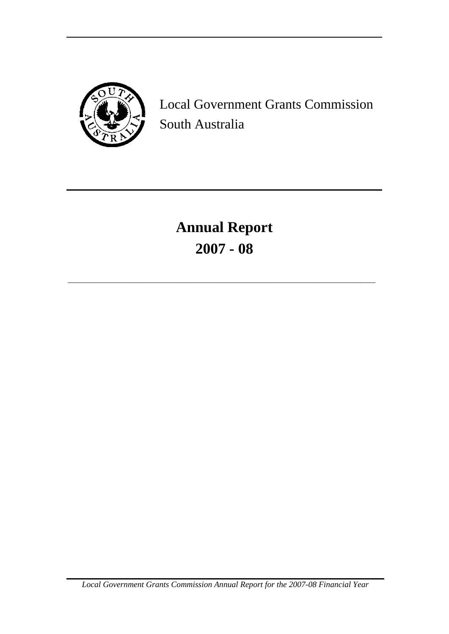

Local Government Grants Commission South Australia

**Annual Report 2007 - 08**

\_\_\_\_\_\_\_\_\_\_\_\_\_\_\_\_\_\_\_\_\_\_\_\_\_\_\_\_\_\_\_\_\_\_\_\_\_\_\_\_\_\_\_\_\_\_\_\_\_\_\_\_\_\_\_\_\_\_\_\_\_\_\_\_\_\_\_\_\_\_\_\_\_\_\_\_\_\_\_\_\_

*Local Government Grants Commission Annual Report for the 2007-08 Financial Year*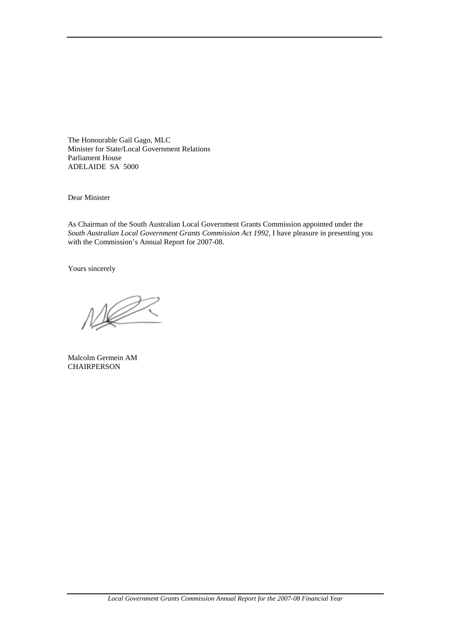The Honourable Gail Gago, MLC Minister for State/Local Government Relations Parliament House ADELAIDE SA 5000

Dear Minister

As Chairman of the South Australian Local Government Grants Commission appointed under the *South Australian Local Government Grants Commission Act 1992*, I have pleasure in presenting you with the Commission's Annual Report for 2007-08.

Yours sincerely

Malcolm Germein AM **CHAIRPERSON**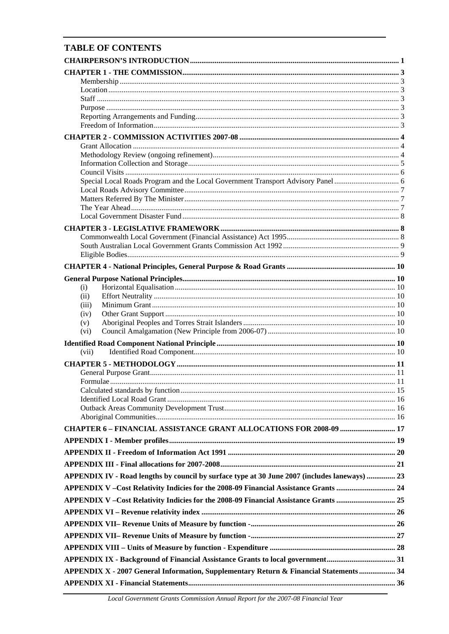# **TABLE OF CONTENTS**

| (i)                                                                                           |  |
|-----------------------------------------------------------------------------------------------|--|
| (ii)                                                                                          |  |
| (iii)<br>(iv)                                                                                 |  |
| (v)                                                                                           |  |
| (vi)                                                                                          |  |
|                                                                                               |  |
| (vii)                                                                                         |  |
|                                                                                               |  |
|                                                                                               |  |
|                                                                                               |  |
|                                                                                               |  |
|                                                                                               |  |
|                                                                                               |  |
| CHAPTER 6 - FINANCIAL ASSISTANCE GRANT ALLOCATIONS FOR 2008-09  17                            |  |
|                                                                                               |  |
|                                                                                               |  |
|                                                                                               |  |
| APPENDIX IV - Road lengths by council by surface type at 30 June 2007 (includes laneways)  23 |  |
| APPENDIX V - Cost Relativity Indicies for the 2008-09 Financial Assistance Grants  24         |  |
|                                                                                               |  |
| APPENDIX V-Cost Relativity Indicies for the 2008-09 Financial Assistance Grants  25           |  |
|                                                                                               |  |
|                                                                                               |  |
|                                                                                               |  |
|                                                                                               |  |
|                                                                                               |  |
| APPENDIX X - 2007 General Information, Supplementary Return & Financial Statements  34        |  |
|                                                                                               |  |
|                                                                                               |  |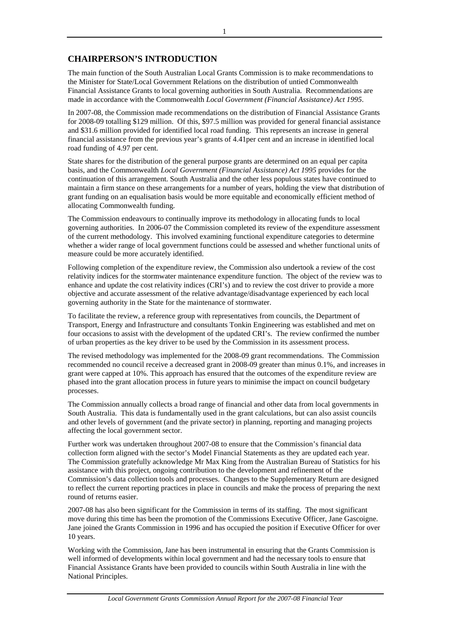# **CHAIRPERSON'S INTRODUCTION**

The main function of the South Australian Local Grants Commission is to make recommendations to the Minister for State/Local Government Relations on the distribution of untied Commonwealth Financial Assistance Grants to local governing authorities in South Australia. Recommendations are made in accordance with the Commonwealth *Local Government (Financial Assistance) Act 1995*.

In 2007-08, the Commission made recommendations on the distribution of Financial Assistance Grants for 2008-09 totalling \$129 million. Of this, \$97.5 million was provided for general financial assistance and \$31.6 million provided for identified local road funding. This represents an increase in general financial assistance from the previous year's grants of 4.41per cent and an increase in identified local road funding of 4.97 per cent.

State shares for the distribution of the general purpose grants are determined on an equal per capita basis, and the Commonwealth *Local Government (Financial Assistance) Act 1995* provides for the continuation of this arrangement. South Australia and the other less populous states have continued to maintain a firm stance on these arrangements for a number of years, holding the view that distribution of grant funding on an equalisation basis would be more equitable and economically efficient method of allocating Commonwealth funding.

The Commission endeavours to continually improve its methodology in allocating funds to local governing authorities. In 2006-07 the Commission completed its review of the expenditure assessment of the current methodology. This involved examining functional expenditure categories to determine whether a wider range of local government functions could be assessed and whether functional units of measure could be more accurately identified.

Following completion of the expenditure review, the Commission also undertook a review of the cost relativity indices for the stormwater maintenance expenditure function. The object of the review was to enhance and update the cost relativity indices (CRI's) and to review the cost driver to provide a more objective and accurate assessment of the relative advantage/disadvantage experienced by each local governing authority in the State for the maintenance of stormwater.

To facilitate the review, a reference group with representatives from councils, the Department of Transport, Energy and Infrastructure and consultants Tonkin Engineering was established and met on four occasions to assist with the development of the updated CRI's. The review confirmed the number of urban properties as the key driver to be used by the Commission in its assessment process.

The revised methodology was implemented for the 2008-09 grant recommendations. The Commission recommended no council receive a decreased grant in 2008-09 greater than minus 0.1%, and increases in grant were capped at 10%. This approach has ensured that the outcomes of the expenditure review are phased into the grant allocation process in future years to minimise the impact on council budgetary processes.

The Commission annually collects a broad range of financial and other data from local governments in South Australia. This data is fundamentally used in the grant calculations, but can also assist councils and other levels of government (and the private sector) in planning, reporting and managing projects affecting the local government sector.

Further work was undertaken throughout 2007-08 to ensure that the Commission's financial data collection form aligned with the sector's Model Financial Statements as they are updated each year. The Commission gratefully acknowledge Mr Max King from the Australian Bureau of Statistics for his assistance with this project, ongoing contribution to the development and refinement of the Commission's data collection tools and processes. Changes to the Supplementary Return are designed to reflect the current reporting practices in place in councils and make the process of preparing the next round of returns easier.

2007-08 has also been significant for the Commission in terms of its staffing. The most significant move during this time has been the promotion of the Commissions Executive Officer, Jane Gascoigne. Jane joined the Grants Commission in 1996 and has occupied the position if Executive Officer for over 10 years.

Working with the Commission, Jane has been instrumental in ensuring that the Grants Commission is well informed of developments within local government and had the necessary tools to ensure that Financial Assistance Grants have been provided to councils within South Australia in line with the National Principles.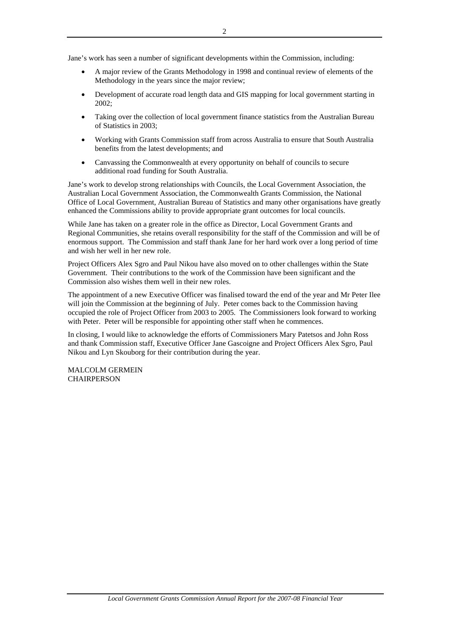Jane's work has seen a number of significant developments within the Commission, including:

- A major review of the Grants Methodology in 1998 and continual review of elements of the Methodology in the years since the major review;
- Development of accurate road length data and GIS mapping for local government starting in 2002;
- Taking over the collection of local government finance statistics from the Australian Bureau of Statistics in 2003;
- Working with Grants Commission staff from across Australia to ensure that South Australia benefits from the latest developments; and
- Canvassing the Commonwealth at every opportunity on behalf of councils to secure additional road funding for South Australia.

Jane's work to develop strong relationships with Councils, the Local Government Association, the Australian Local Government Association, the Commonwealth Grants Commission, the National Office of Local Government, Australian Bureau of Statistics and many other organisations have greatly enhanced the Commissions ability to provide appropriate grant outcomes for local councils.

While Jane has taken on a greater role in the office as Director, Local Government Grants and Regional Communities, she retains overall responsibility for the staff of the Commission and will be of enormous support. The Commission and staff thank Jane for her hard work over a long period of time and wish her well in her new role.

Project Officers Alex Sgro and Paul Nikou have also moved on to other challenges within the State Government. Their contributions to the work of the Commission have been significant and the Commission also wishes them well in their new roles.

The appointment of a new Executive Officer was finalised toward the end of the year and Mr Peter Ilee will join the Commission at the beginning of July. Peter comes back to the Commission having occupied the role of Project Officer from 2003 to 2005. The Commissioners look forward to working with Peter. Peter will be responsible for appointing other staff when he commences.

In closing, I would like to acknowledge the efforts of Commissioners Mary Patetsos and John Ross and thank Commission staff, Executive Officer Jane Gascoigne and Project Officers Alex Sgro, Paul Nikou and Lyn Skouborg for their contribution during the year.

MALCOLM GERMEIN **CHAIRPERSON**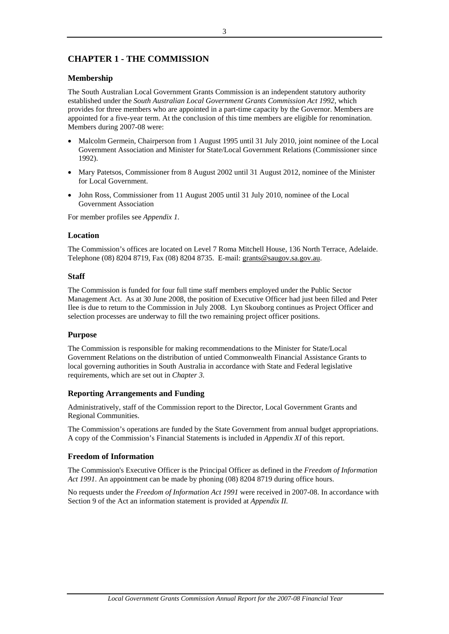# **CHAPTER 1 - THE COMMISSION**

# **Membership**

The South Australian Local Government Grants Commission is an independent statutory authority established under the *South Australian Local Government Grants Commission Act 1992*, which provides for three members who are appointed in a part-time capacity by the Governor. Members are appointed for a five-year term. At the conclusion of this time members are eligible for renomination. Members during 2007-08 were:

- Malcolm Germein, Chairperson from 1 August 1995 until 31 July 2010, joint nominee of the Local Government Association and Minister for State/Local Government Relations (Commissioner since 1992).
- Mary Patetsos, Commissioner from 8 August 2002 until 31 August 2012, nominee of the Minister for Local Government.
- John Ross, Commissioner from 11 August 2005 until 31 July 2010, nominee of the Local Government Association

For member profiles see *Appendix 1.*

## **Location**

The Commission's offices are located on Level 7 Roma Mitchell House, 136 North Terrace, Adelaide. Telephone (08) 8204 8719, Fax (08) 8204 8735. E-mail: grants@saugov.sa.gov.au.

## **Staff**

The Commission is funded for four full time staff members employed under the Public Sector Management Act. As at 30 June 2008, the position of Executive Officer had just been filled and Peter Ilee is due to return to the Commission in July 2008. Lyn Skouborg continues as Project Officer and selection processes are underway to fill the two remaining project officer positions.

## **Purpose**

The Commission is responsible for making recommendations to the Minister for State/Local Government Relations on the distribution of untied Commonwealth Financial Assistance Grants to local governing authorities in South Australia in accordance with State and Federal legislative requirements, which are set out in *Chapter 3*.

## **Reporting Arrangements and Funding**

Administratively, staff of the Commission report to the Director, Local Government Grants and Regional Communities.

The Commission's operations are funded by the State Government from annual budget appropriations. A copy of the Commission's Financial Statements is included in *Appendix XI* of this report.

## **Freedom of Information**

The Commission's Executive Officer is the Principal Officer as defined in the *Freedom of Information Act 1991*. An appointment can be made by phoning (08) 8204 8719 during office hours.

No requests under the *Freedom of Information Act 1991* were received in 2007-08. In accordance with Section 9 of the Act an information statement is provided at *Appendix II.*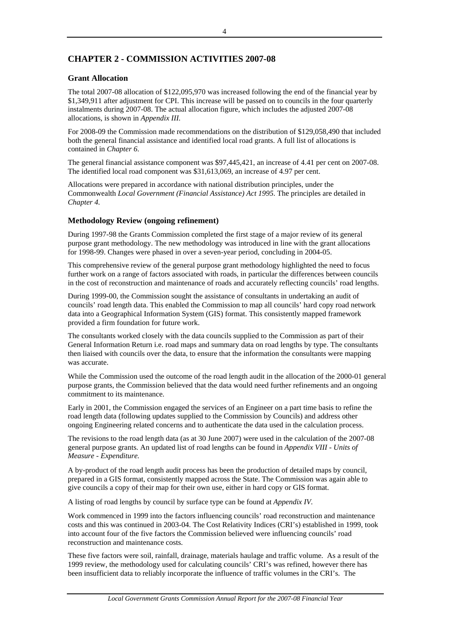# **CHAPTER 2 - COMMISSION ACTIVITIES 2007-08**

# **Grant Allocation**

The total 2007-08 allocation of \$122,095,970 was increased following the end of the financial year by \$1,349,911 after adjustment for CPI. This increase will be passed on to councils in the four quarterly instalments during 2007-08. The actual allocation figure, which includes the adjusted 2007-08 allocations, is shown in *Appendix III.*

For 2008-09 the Commission made recommendations on the distribution of \$129,058,490 that included both the general financial assistance and identified local road grants. A full list of allocations is contained in *Chapter 6*.

The general financial assistance component was \$97,445,421, an increase of 4.41 per cent on 2007-08. The identified local road component was \$31,613,069, an increase of 4.97 per cent.

Allocations were prepared in accordance with national distribution principles, under the Commonwealth *Local Government (Financial Assistance) Act 1995*. The principles are detailed in *Chapter 4.*

## **Methodology Review (ongoing refinement)**

During 1997-98 the Grants Commission completed the first stage of a major review of its general purpose grant methodology. The new methodology was introduced in line with the grant allocations for 1998-99. Changes were phased in over a seven-year period, concluding in 2004-05.

This comprehensive review of the general purpose grant methodology highlighted the need to focus further work on a range of factors associated with roads, in particular the differences between councils in the cost of reconstruction and maintenance of roads and accurately reflecting councils' road lengths.

During 1999-00, the Commission sought the assistance of consultants in undertaking an audit of councils' road length data. This enabled the Commission to map all councils' hard copy road network data into a Geographical Information System (GIS) format. This consistently mapped framework provided a firm foundation for future work.

The consultants worked closely with the data councils supplied to the Commission as part of their General Information Return i.e. road maps and summary data on road lengths by type. The consultants then liaised with councils over the data, to ensure that the information the consultants were mapping was accurate.

While the Commission used the outcome of the road length audit in the allocation of the 2000-01 general purpose grants, the Commission believed that the data would need further refinements and an ongoing commitment to its maintenance.

Early in 2001, the Commission engaged the services of an Engineer on a part time basis to refine the road length data (following updates supplied to the Commission by Councils) and address other ongoing Engineering related concerns and to authenticate the data used in the calculation process.

The revisions to the road length data (as at 30 June 2007) were used in the calculation of the 2007-08 general purpose grants. An updated list of road lengths can be found in *Appendix VIII - Units of Measure - Expenditure.* 

A by-product of the road length audit process has been the production of detailed maps by council, prepared in a GIS format, consistently mapped across the State. The Commission was again able to give councils a copy of their map for their own use, either in hard copy or GIS format.

A listing of road lengths by council by surface type can be found at *Appendix IV.*

Work commenced in 1999 into the factors influencing councils' road reconstruction and maintenance costs and this was continued in 2003-04. The Cost Relativity Indices (CRI's) established in 1999, took into account four of the five factors the Commission believed were influencing councils' road reconstruction and maintenance costs.

These five factors were soil, rainfall, drainage, materials haulage and traffic volume. As a result of the 1999 review, the methodology used for calculating councils' CRI's was refined, however there has been insufficient data to reliably incorporate the influence of traffic volumes in the CRI's. The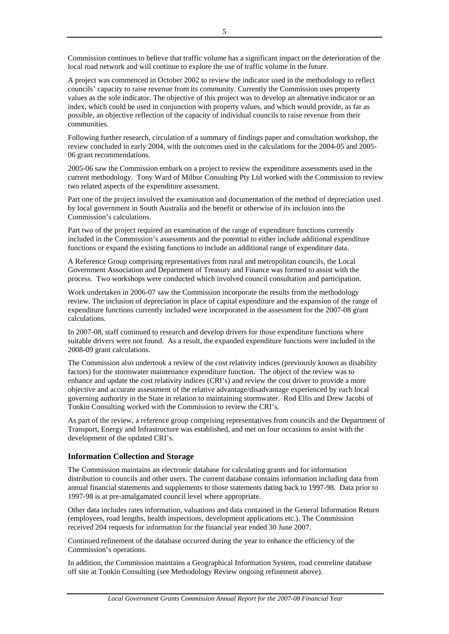Commission continues to believe that traffic volume has a significant impact on the deterioration of the local road network and will continue to explore the use of traffic volume in the future.

A project was commenced in October 2002 to review the indicator used in the methodology to reflect councils' capacity to raise revenue from its community. Currently the Commission uses property values as the sole indicator. The objective of this project was to develop an alternative indicator or an index, which could be used in conjunction with property values, and which would provide, as far as possible, an objective reflection of the capacity of individual councils to raise revenue from their communities.

Following further research, circulation of a summary of findings paper and consultation workshop, the review concluded in early 2004, with the outcomes used in the calculations for the 2004-05 and 2005- 06 grant recommendations.

2005-06 saw the Commission embark on a project to review the expenditure assessments used in the current methodology. Tony Ward of Milbur Consulting Pty Ltd worked with the Commission to review two related aspects of the expenditure assessment.

Part one of the project involved the examination and documentation of the method of depreciation used by local government in South Australia and the benefit or otherwise of its inclusion into the Commission's calculations.

Part two of the project required an examination of the range of expenditure functions currently included in the Commission's assessments and the potential to either include additional expenditure functions or expand the existing functions to include an additional range of expenditure data.

A Reference Group comprising representatives from rural and metropolitan councils, the Local Government Association and Department of Treasury and Finance was formed to assist with the process. Two workshops were conducted which involved council consultation and participation.

Work undertaken in 2006-07 saw the Commission incorporate the results from the methodology review. The inclusion of depreciation in place of capital expenditure and the expansion of the range of expenditure functions currently included were incorporated in the assessment for the 2007-08 grant calculations.

In 2007-08, staff continued to research and develop drivers for those expenditure functions where suitable drivers were not found. As a result, the expanded expenditure functions were included in the 2008-09 grant calculations.

The Commission also undertook a review of the cost relativity indices (previously known as disability factors) for the stormwater maintenance expenditure function. The object of the review was to enhance and update the cost relativity indices (CRI's) and review the cost driver to provide a more objective and accurate assessment of the relative advantage/disadvantage experienced by each local governing authority in the State in relation to maintaining stormwater. Rod Ellis and Drew Jacobi of Tonkin Consulting worked with the Commission to review the CRI's.

As part of the review, a reference group comprising representatives from councils and the Department of Transport, Energy and Infrastructure was established, and met on four occasions to assist with the development of the updated CRI's.

# **Information Collection and Storage**

The Commission maintains an electronic database for calculating grants and for information distribution to councils and other users. The current database contains information including data from annual financial statements and supplements to those statements dating back to 1997-98. Data prior to 1997-98 is at pre-amalgamated council level where appropriate.

Other data includes rates information, valuations and data contained in the General Information Return (employees, road lengths, health inspections, development applications etc.). The Commission received 204 requests for information for the financial year ended 30 June 2007.

Continued refinement of the database occurred during the year to enhance the efficiency of the Commission's operations.

In addition, the Commission maintains a Geographical Information System, road centreline database off site at Tonkin Consulting (see Methodology Review ongoing refinement above).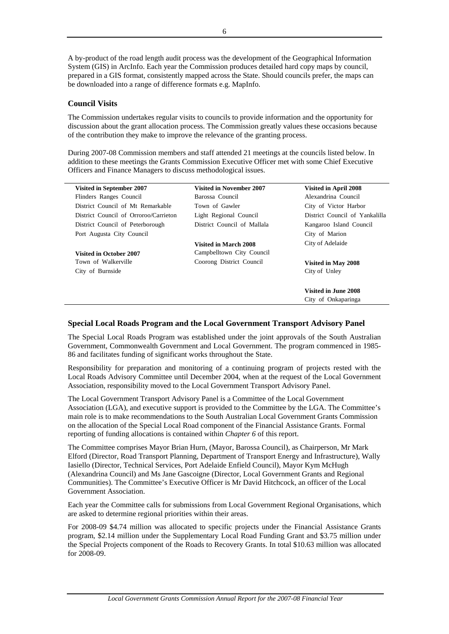A by-product of the road length audit process was the development of the Geographical Information System (GIS) in ArcInfo. Each year the Commission produces detailed hard copy maps by council, prepared in a GIS format, consistently mapped across the State. Should councils prefer, the maps can be downloaded into a range of difference formats e.g. MapInfo.

# **Council Visits**

The Commission undertakes regular visits to councils to provide information and the opportunity for discussion about the grant allocation process. The Commission greatly values these occasions because of the contribution they make to improve the relevance of the granting process.

During 2007-08 Commission members and staff attended 21 meetings at the councils listed below. In addition to these meetings the Grants Commission Executive Officer met with some Chief Executive Officers and Finance Managers to discuss methodological issues.

| <b>Visited in September 2007</b>      | <b>Visited in November 2007</b> | Visited in April 2008          |
|---------------------------------------|---------------------------------|--------------------------------|
| Flinders Ranges Council               | Barossa Council                 | Alexandrina Council            |
| District Council of Mt Remarkable     | Town of Gawler                  | City of Victor Harbor          |
| District Council of Orroroo/Carrieton | Light Regional Council          | District Council of Yankalilla |
| District Council of Peterborough      | District Council of Mallala     | Kangaroo Island Council        |
| Port Augusta City Council             |                                 | City of Marion                 |
|                                       | <b>Visited in March 2008</b>    | City of Adelaide               |
| <b>Visited in October 2007</b>        | Campbelltown City Council       |                                |
| Town of Walkerville                   | Coorong District Council        | Visited in May 2008            |
| City of Burnside                      |                                 | City of Unley                  |
|                                       |                                 | Visited in June 2008           |
|                                       |                                 | City of Onkaparinga            |

## **Special Local Roads Program and the Local Government Transport Advisory Panel**

The Special Local Roads Program was established under the joint approvals of the South Australian Government, Commonwealth Government and Local Government. The program commenced in 1985- 86 and facilitates funding of significant works throughout the State.

Responsibility for preparation and monitoring of a continuing program of projects rested with the Local Roads Advisory Committee until December 2004, when at the request of the Local Government Association, responsibility moved to the Local Government Transport Advisory Panel.

The Local Government Transport Advisory Panel is a Committee of the Local Government Association (LGA), and executive support is provided to the Committee by the LGA. The Committee's main role is to make recommendations to the South Australian Local Government Grants Commission on the allocation of the Special Local Road component of the Financial Assistance Grants. Formal reporting of funding allocations is contained within *Chapter 6* of this report.

The Committee comprises Mayor Brian Hurn, (Mayor, Barossa Council), as Chairperson, Mr Mark Elford (Director, Road Transport Planning, Department of Transport Energy and Infrastructure), Wally Iasiello (Director, Technical Services, Port Adelaide Enfield Council), Mayor Kym McHugh (Alexandrina Council) and Ms Jane Gascoigne (Director, Local Government Grants and Regional Communities). The Committee's Executive Officer is Mr David Hitchcock, an officer of the Local Government Association.

Each year the Committee calls for submissions from Local Government Regional Organisations, which are asked to determine regional priorities within their areas.

For 2008-09 \$4.74 million was allocated to specific projects under the Financial Assistance Grants program, \$2.14 million under the Supplementary Local Road Funding Grant and \$3.75 million under the Special Projects component of the Roads to Recovery Grants. In total \$10.63 million was allocated for 2008-09.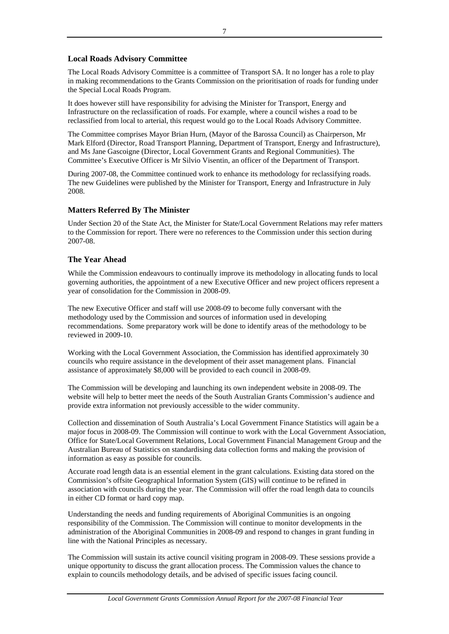# **Local Roads Advisory Committee**

The Local Roads Advisory Committee is a committee of Transport SA. It no longer has a role to play in making recommendations to the Grants Commission on the prioritisation of roads for funding under the Special Local Roads Program.

It does however still have responsibility for advising the Minister for Transport, Energy and Infrastructure on the reclassification of roads. For example, where a council wishes a road to be reclassified from local to arterial, this request would go to the Local Roads Advisory Committee.

The Committee comprises Mayor Brian Hurn, (Mayor of the Barossa Council) as Chairperson, Mr Mark Elford (Director, Road Transport Planning, Department of Transport, Energy and Infrastructure), and Ms Jane Gascoigne (Director, Local Government Grants and Regional Communities). The Committee's Executive Officer is Mr Silvio Visentin, an officer of the Department of Transport.

During 2007-08, the Committee continued work to enhance its methodology for reclassifying roads. The new Guidelines were published by the Minister for Transport, Energy and Infrastructure in July 2008.

# **Matters Referred By The Minister**

Under Section 20 of the State Act, the Minister for State/Local Government Relations may refer matters to the Commission for report. There were no references to the Commission under this section during 2007-08.

# **The Year Ahead**

While the Commission endeavours to continually improve its methodology in allocating funds to local governing authorities, the appointment of a new Executive Officer and new project officers represent a year of consolidation for the Commission in 2008-09.

The new Executive Officer and staff will use 2008-09 to become fully conversant with the methodology used by the Commission and sources of information used in developing recommendations. Some preparatory work will be done to identify areas of the methodology to be reviewed in 2009-10.

Working with the Local Government Association, the Commission has identified approximately 30 councils who require assistance in the development of their asset management plans. Financial assistance of approximately \$8,000 will be provided to each council in 2008-09.

The Commission will be developing and launching its own independent website in 2008-09. The website will help to better meet the needs of the South Australian Grants Commission's audience and provide extra information not previously accessible to the wider community.

Collection and dissemination of South Australia's Local Government Finance Statistics will again be a major focus in 2008-09. The Commission will continue to work with the Local Government Association, Office for State/Local Government Relations, Local Government Financial Management Group and the Australian Bureau of Statistics on standardising data collection forms and making the provision of information as easy as possible for councils.

Accurate road length data is an essential element in the grant calculations. Existing data stored on the Commission's offsite Geographical Information System (GIS) will continue to be refined in association with councils during the year. The Commission will offer the road length data to councils in either CD format or hard copy map.

Understanding the needs and funding requirements of Aboriginal Communities is an ongoing responsibility of the Commission. The Commission will continue to monitor developments in the administration of the Aboriginal Communities in 2008-09 and respond to changes in grant funding in line with the National Principles as necessary.

The Commission will sustain its active council visiting program in 2008-09. These sessions provide a unique opportunity to discuss the grant allocation process. The Commission values the chance to explain to councils methodology details, and be advised of specific issues facing council.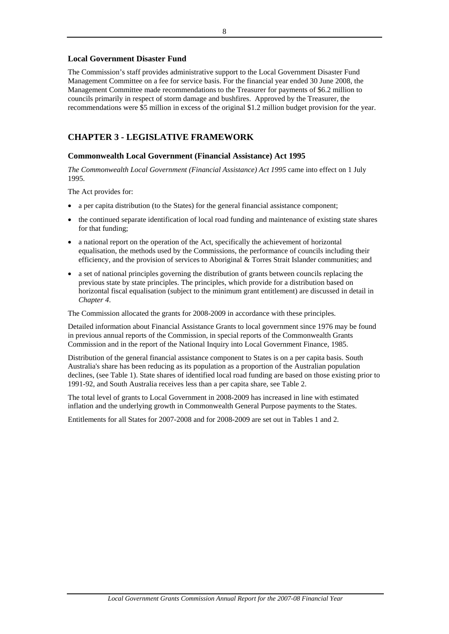# **Local Government Disaster Fund**

The Commission's staff provides administrative support to the Local Government Disaster Fund Management Committee on a fee for service basis. For the financial year ended 30 June 2008, the Management Committee made recommendations to the Treasurer for payments of \$6.2 million to councils primarily in respect of storm damage and bushfires. Approved by the Treasurer, the recommendations were \$5 million in excess of the original \$1.2 million budget provision for the year.

# **CHAPTER 3 - LEGISLATIVE FRAMEWORK**

## **Commonwealth Local Government (Financial Assistance) Act 1995**

*The Commonwealth Local Government (Financial Assistance) Act 1995* came into effect on 1 July 1995.

The Act provides for:

- a per capita distribution (to the States) for the general financial assistance component;
- the continued separate identification of local road funding and maintenance of existing state shares for that funding;
- a national report on the operation of the Act, specifically the achievement of horizontal equalisation, the methods used by the Commissions, the performance of councils including their efficiency, and the provision of services to Aboriginal & Torres Strait Islander communities; and
- a set of national principles governing the distribution of grants between councils replacing the previous state by state principles. The principles, which provide for a distribution based on horizontal fiscal equalisation (subject to the minimum grant entitlement) are discussed in detail in *Chapter 4*.

The Commission allocated the grants for 2008-2009 in accordance with these principles.

Detailed information about Financial Assistance Grants to local government since 1976 may be found in previous annual reports of the Commission, in special reports of the Commonwealth Grants Commission and in the report of the National Inquiry into Local Government Finance, 1985.

Distribution of the general financial assistance component to States is on a per capita basis. South Australia's share has been reducing as its population as a proportion of the Australian population declines, (see Table 1). State shares of identified local road funding are based on those existing prior to 1991-92, and South Australia receives less than a per capita share, see Table 2.

The total level of grants to Local Government in 2008-2009 has increased in line with estimated inflation and the underlying growth in Commonwealth General Purpose payments to the States.

Entitlements for all States for 2007-2008 and for 2008-2009 are set out in Tables 1 and 2.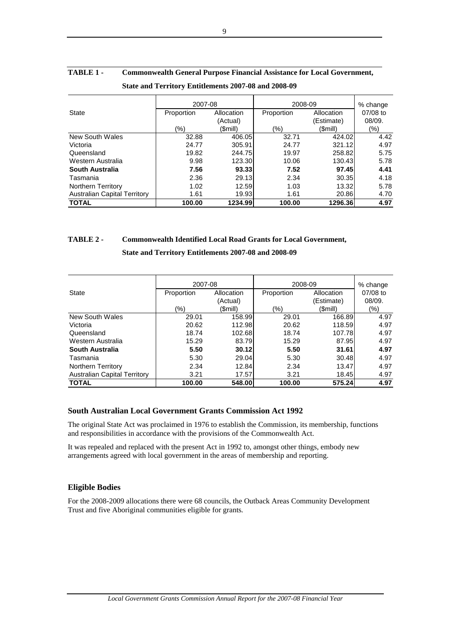|                                     | 2007-08    |            | 2008-09    | % change   |          |
|-------------------------------------|------------|------------|------------|------------|----------|
| State                               | Proportion | Allocation | Proportion | Allocation | 07/08 to |
|                                     |            | (Actual)   |            | (Estimate) | 08/09.   |
|                                     | $(\% )$    | (Smill)    | (%)        | (\$mill)   | (%)      |
| New South Wales                     | 32.88      | 406.05     | 32.71      | 424.02     | 4.42     |
| Victoria                            | 24.77      | 305.91     | 24.77      | 321.12     | 4.97     |
| Queensland                          | 19.82      | 244.75     | 19.97      | 258.82     | 5.75     |
| Western Australia                   | 9.98       | 123.30     | 10.06      | 130.43     | 5.78     |
| South Australia                     | 7.56       | 93.33      | 7.52       | 97.45      | 4.41     |
| Tasmania                            | 2.36       | 29.13      | 2.34       | 30.35      | 4.18     |
| <b>Northern Territory</b>           | 1.02       | 12.59      | 1.03       | 13.32      | 5.78     |
| <b>Australian Capital Territory</b> | 1.61       | 19.93      | 1.61       | 20.86      | 4.70     |
| <b>TOTAL</b>                        | 100.00     | 1234.99    | 100.00     | 1296.36    | 4.97     |

# **TABLE 1 - Commonwealth General Purpose Financial Assistance for Local Government, State and Territory Entitlements 2007-08 and 2008-09**

# **TABLE 2 - Commonwealth Identified Local Road Grants for Local Government,**

## **State and Territory Entitlements 2007-08 and 2008-09**

|                                     | 2007-08    |            | 2008-09    | % change   |          |
|-------------------------------------|------------|------------|------------|------------|----------|
| <b>State</b>                        | Proportion | Allocation | Proportion | Allocation | 07/08 to |
|                                     |            | (Actual)   |            | (Estimate) | 08/09.   |
|                                     | (%)        | (\$mill)   | (%)        | (\$mill)   | (%)      |
| New South Wales                     | 29.01      | 158.99     | 29.01      | 166.89     | 4.97     |
| Victoria                            | 20.62      | 112.98     | 20.62      | 118.59     | 4.97     |
| Queensland                          | 18.74      | 102.68     | 18.74      | 107.78     | 4.97     |
| Western Australia                   | 15.29      | 83.79      | 15.29      | 87.95      | 4.97     |
| South Australia                     | 5.50       | 30.12      | 5.50       | 31.61      | 4.97     |
| Tasmania                            | 5.30       | 29.04      | 5.30       | 30.48      | 4.97     |
| Northern Territory                  | 2.34       | 12.84      | 2.34       | 13.47      | 4.97     |
| <b>Australian Capital Territory</b> | 3.21       | 17.57      | 3.21       | 18.45      | 4.97     |
| <b>TOTAL</b>                        | 100.00     | 548.00     | 100.00     | 575.24     | 4.97     |

# **South Australian Local Government Grants Commission Act 1992**

The original State Act was proclaimed in 1976 to establish the Commission, its membership, functions and responsibilities in accordance with the provisions of the Commonwealth Act.

It was repealed and replaced with the present Act in 1992 to, amongst other things, embody new arrangements agreed with local government in the areas of membership and reporting.

# **Eligible Bodies**

For the 2008-2009 allocations there were 68 councils, the Outback Areas Community Development Trust and five Aboriginal communities eligible for grants*.*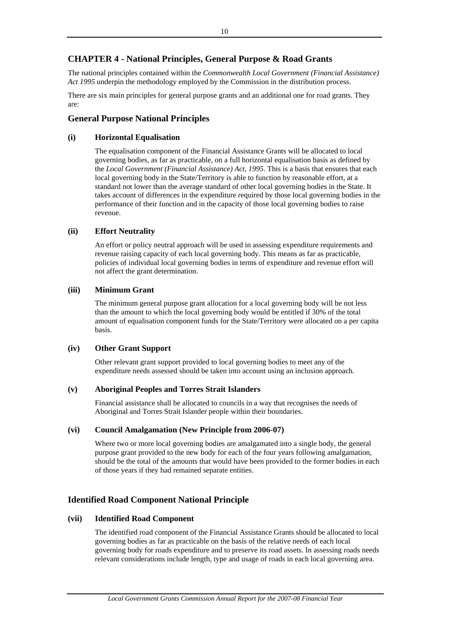# **CHAPTER 4 - National Principles, General Purpose & Road Grants**

The national principles contained within the *Commonwealth Local Government (Financial Assistance) Act 1995* underpin the methodology employed by the Commission in the distribution process.

There are six main principles for general purpose grants and an additional one for road grants. They are:

# **General Purpose National Principles**

## **(i) Horizontal Equalisation**

The equalisation component of the Financial Assistance Grants will be allocated to local governing bodies, as far as practicable, on a full horizontal equalisation basis as defined by the *Local Government (Financial Assistance) Act, 1995*. This is a basis that ensures that each local governing body in the State/Territory is able to function by reasonable effort, at a standard not lower than the average standard of other local governing bodies in the State. It takes account of differences in the expenditure required by those local governing bodies in the performance of their function and in the capacity of those local governing bodies to raise revenue.

# **(ii) Effort Neutrality**

An effort or policy neutral approach will be used in assessing expenditure requirements and revenue raising capacity of each local governing body. This means as far as practicable, policies of individual local governing bodies in terms of expenditure and revenue effort will not affect the grant determination.

## **(iii) Minimum Grant**

The minimum general purpose grant allocation for a local governing body will be not less than the amount to which the local governing body would be entitled if 30% of the total amount of equalisation component funds for the State/Territory were allocated on a per capita basis.

## **(iv) Other Grant Support**

Other relevant grant support provided to local governing bodies to meet any of the expenditure needs assessed should be taken into account using an inclusion approach.

## **(v) Aboriginal Peoples and Torres Strait Islanders**

Financial assistance shall be allocated to councils in a way that recognises the needs of Aboriginal and Torres Strait Islander people within their boundaries.

## **(vi) Council Amalgamation (New Principle from 2006-07)**

Where two or more local governing bodies are amalgamated into a single body, the general purpose grant provided to the new body for each of the four years following amalgamation, should be the total of the amounts that would have been provided to the former bodies in each of those years if they had remained separate entities.

# **Identified Road Component National Principle**

## **(vii) Identified Road Component**

The identified road component of the Financial Assistance Grants should be allocated to local governing bodies as far as practicable on the basis of the relative needs of each local governing body for roads expenditure and to preserve its road assets. In assessing roads needs relevant considerations include length, type and usage of roads in each local governing area.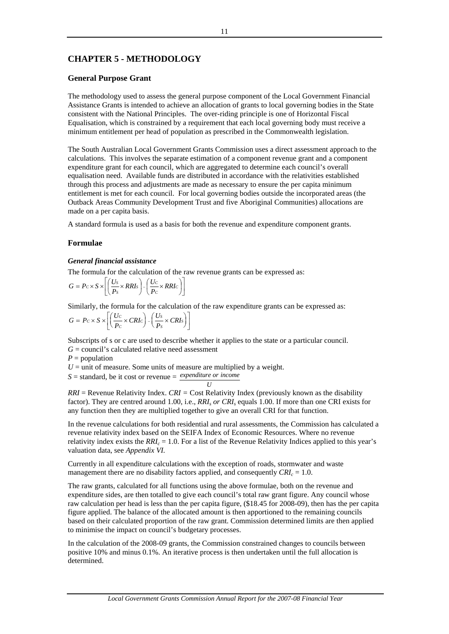# **CHAPTER 5 - METHODOLOGY**

## **General Purpose Grant**

The methodology used to assess the general purpose component of the Local Government Financial Assistance Grants is intended to achieve an allocation of grants to local governing bodies in the State consistent with the National Principles. The over-riding principle is one of Horizontal Fiscal Equalisation, which is constrained by a requirement that each local governing body must receive a minimum entitlement per head of population as prescribed in the Commonwealth legislation.

The South Australian Local Government Grants Commission uses a direct assessment approach to the calculations. This involves the separate estimation of a component revenue grant and a component expenditure grant for each council, which are aggregated to determine each council's overall equalisation need. Available funds are distributed in accordance with the relativities established through this process and adjustments are made as necessary to ensure the per capita minimum entitlement is met for each council. For local governing bodies outside the incorporated areas (the Outback Areas Community Development Trust and five Aboriginal Communities) allocations are made on a per capita basis.

A standard formula is used as a basis for both the revenue and expenditure component grants.

## **Formulae**

#### *General financial assistance*

The formula for the calculation of the raw revenue grants can be expressed as:

$$
G = P_C \times S \times \left[ \left( \frac{Us}{Ps} \times RRIs \right) - \left( \frac{U_C}{P_C} \times RRI_C \right) \right]
$$

Similarly, the formula for the calculation of the raw expenditure grants can be expressed as:

$$
G = Pc \times S \times \left[ \left( \frac{Uc}{P_c} \times CRIc \right) - \left( \frac{U_s}{P_s} \times CRI_s \right) \right]
$$

Subscripts of s or c are used to describe whether it applies to the state or a particular council.

 $G =$  council's calculated relative need assessment

 $P =$  population

 $U =$  unit of measure. Some units of measure are multiplied by a weight.

 $S =$  standard, be it cost or revenue  $=$  *expenditure or income* 

*U RRI* = Revenue Relativity Index. *CRI =* Cost Relativity Index (previously known as the disability factor). They are centred around 1.00, i.e., *RRIs or CRIs* equals 1.00. If more than one CRI exists for any function then they are multiplied together to give an overall CRI for that function.

In the revenue calculations for both residential and rural assessments, the Commission has calculated a revenue relativity index based on the SEIFA Index of Economic Resources. Where no revenue relativity index exists the  $RRI<sub>c</sub> = 1.0$ . For a list of the Revenue Relativity Indices applied to this year's valuation data, see *Appendix VI.*

Currently in all expenditure calculations with the exception of roads, stormwater and waste management there are no disability factors applied, and consequently  $CRI_c = 1.0$ .

The raw grants, calculated for all functions using the above formulae, both on the revenue and expenditure sides, are then totalled to give each council's total raw grant figure. Any council whose raw calculation per head is less than the per capita figure, (\$18.45 for 2008-09), then has the per capita figure applied. The balance of the allocated amount is then apportioned to the remaining councils based on their calculated proportion of the raw grant. Commission determined limits are then applied to minimise the impact on council's budgetary processes.

In the calculation of the 2008-09 grants, the Commission constrained changes to councils between positive 10% and minus 0.1%. An iterative process is then undertaken until the full allocation is determined.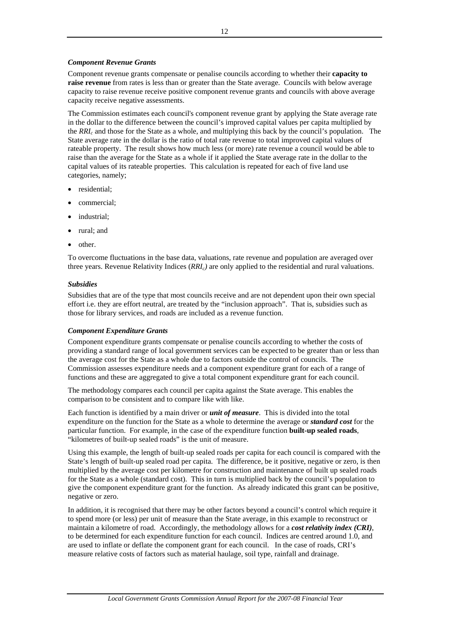## *Component Revenue Grants*

Component revenue grants compensate or penalise councils according to whether their **capacity to raise revenue** from rates is less than or greater than the State average. Councils with below average capacity to raise revenue receive positive component revenue grants and councils with above average capacity receive negative assessments.

The Commission estimates each council's component revenue grant by applying the State average rate in the dollar to the difference between the council's improved capital values per capita multiplied by the *RRIc* and those for the State as a whole, and multiplying this back by the council's population. The State average rate in the dollar is the ratio of total rate revenue to total improved capital values of rateable property. The result shows how much less (or more) rate revenue a council would be able to raise than the average for the State as a whole if it applied the State average rate in the dollar to the capital values of its rateable properties. This calculation is repeated for each of five land use categories, namely;

- residential:
- commercial;
- industrial;
- rural; and
- other.

To overcome fluctuations in the base data, valuations, rate revenue and population are averaged over three years. Revenue Relativity Indices (*RRIc)* are only applied to the residential and rural valuations.

## *Subsidies*

Subsidies that are of the type that most councils receive and are not dependent upon their own special effort i.e. they are effort neutral, are treated by the "inclusion approach". That is, subsidies such as those for library services, and roads are included as a revenue function.

## *Component Expenditure Grants*

Component expenditure grants compensate or penalise councils according to whether the costs of providing a standard range of local government services can be expected to be greater than or less than the average cost for the State as a whole due to factors outside the control of councils. The Commission assesses expenditure needs and a component expenditure grant for each of a range of functions and these are aggregated to give a total component expenditure grant for each council.

The methodology compares each council per capita against the State average. This enables the comparison to be consistent and to compare like with like.

Each function is identified by a main driver or *unit of measure*. This is divided into the total expenditure on the function for the State as a whole to determine the average or *standard cost* for the particular function. For example, in the case of the expenditure function **built-up sealed roads**, "kilometres of built-up sealed roads" is the unit of measure.

Using this example, the length of built-up sealed roads per capita for each council is compared with the State's length of built-up sealed road per capita. The difference, be it positive, negative or zero, is then multiplied by the average cost per kilometre for construction and maintenance of built up sealed roads for the State as a whole (standard cost). This in turn is multiplied back by the council's population to give the component expenditure grant for the function. As already indicated this grant can be positive, negative or zero.

In addition, it is recognised that there may be other factors beyond a council's control which require it to spend more (or less) per unit of measure than the State average, in this example to reconstruct or maintain a kilometre of road. Accordingly, the methodology allows for a *cost relativity index (CRI)*, to be determined for each expenditure function for each council. Indices are centred around 1.0, and are used to inflate or deflate the component grant for each council. In the case of roads, CRI's measure relative costs of factors such as material haulage, soil type, rainfall and drainage.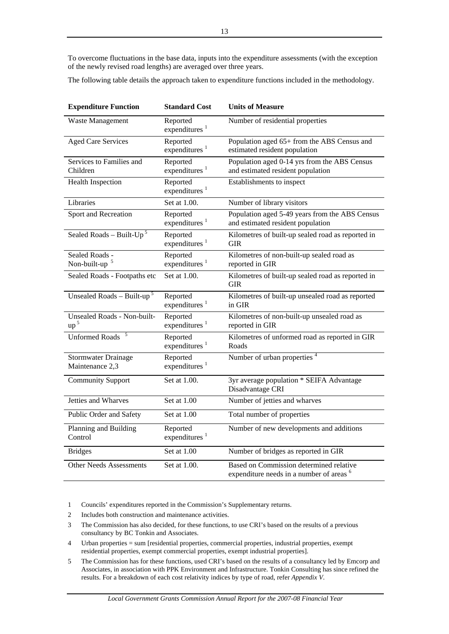To overcome fluctuations in the base data, inputs into the expenditure assessments (with the exception of the newly revised road lengths) are averaged over three years.

The following table details the approach taken to expenditure functions included in the methodology.

| <b>Expenditure Function</b>                    | <b>Standard Cost</b>                  | <b>Units of Measure</b>                                                                        |
|------------------------------------------------|---------------------------------------|------------------------------------------------------------------------------------------------|
| Waste Management                               | Reported<br>expenditures $1$          | Number of residential properties                                                               |
| <b>Aged Care Services</b>                      | Reported<br>expenditures <sup>1</sup> | Population aged 65+ from the ABS Census and<br>estimated resident population                   |
| Services to Families and<br>Children           | Reported<br>expenditures <sup>1</sup> | Population aged 0-14 yrs from the ABS Census<br>and estimated resident population              |
| <b>Health Inspection</b>                       | Reported<br>expenditures <sup>1</sup> | Establishments to inspect                                                                      |
| Libraries                                      | Set at 1.00.                          | Number of library visitors                                                                     |
| Sport and Recreation                           | Reported<br>expenditures <sup>1</sup> | Population aged 5-49 years from the ABS Census<br>and estimated resident population            |
| Sealed Roads - Built- $Up^5$                   | Reported<br>expenditures <sup>1</sup> | Kilometres of built-up sealed road as reported in<br><b>GIR</b>                                |
| Sealed Roads -<br>Non-built-up <sup>5</sup>    | Reported<br>expenditures <sup>1</sup> | Kilometres of non-built-up sealed road as<br>reported in GIR                                   |
| Sealed Roads - Footpaths etc                   | Set at 1.00.                          | Kilometres of built-up sealed road as reported in<br><b>GIR</b>                                |
| Unsealed Roads – Built-up <sup>5</sup>         | Reported<br>expenditures <sup>1</sup> | Kilometres of built-up unsealed road as reported<br>in GIR                                     |
| Unsealed Roads - Non-built-<br>up <sup>5</sup> | Reported<br>expenditures $1$          | Kilometres of non-built-up unsealed road as<br>reported in GIR                                 |
| <b>Unformed Roads</b>                          | Reported<br>expenditures $1$          | Kilometres of unformed road as reported in GIR<br>Roads                                        |
| <b>Stormwater Drainage</b><br>Maintenance 2,3  | Reported<br>expenditures $1$          | Number of urban properties <sup>4</sup>                                                        |
| <b>Community Support</b>                       | Set at 1.00.                          | 3yr average population * SEIFA Advantage<br>Disadvantage CRI                                   |
| Jetties and Wharves                            | Set at 1.00                           | Number of jetties and wharves                                                                  |
| Public Order and Safety                        | Set at 1.00                           | Total number of properties                                                                     |
| Planning and Building<br>Control               | Reported<br>expenditures $1$          | Number of new developments and additions                                                       |
| <b>Bridges</b>                                 | Set at 1.00                           | Number of bridges as reported in GIR                                                           |
| <b>Other Needs Assessments</b>                 | Set at 1.00.                          | Based on Commission determined relative<br>expenditure needs in a number of areas <sup>6</sup> |

1 Councils' expenditures reported in the Commission's Supplementary returns.

- 2 Includes both construction and maintenance activities.
- 3 The Commission has also decided, for these functions, to use CRI's based on the results of a previous consultancy by BC Tonkin and Associates.
- 4 Urban properties = sum [residential properties, commercial properties, industrial properties, exempt residential properties, exempt commercial properties, exempt industrial properties].
- 5 The Commission has for these functions, used CRI's based on the results of a consultancy led by Emcorp and Associates, in association with PPK Environment and Infrastructure. Tonkin Consulting has since refined the results. For a breakdown of each cost relativity indices by type of road, refer *Appendix V*.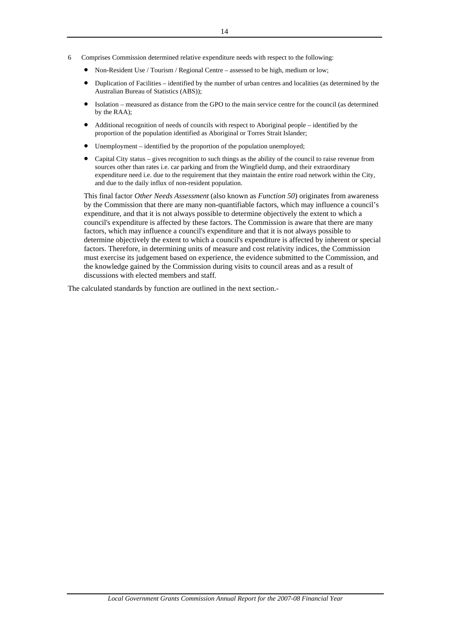- 6 Comprises Commission determined relative expenditure needs with respect to the following:
	- Non-Resident Use / Tourism / Regional Centre assessed to be high, medium or low;
	- Duplication of Facilities identified by the number of urban centres and localities (as determined by the Australian Bureau of Statistics (ABS));
	- Isolation measured as distance from the GPO to the main service centre for the council (as determined by the RAA);
	- Additional recognition of needs of councils with respect to Aboriginal people identified by the proportion of the population identified as Aboriginal or Torres Strait Islander;
	- Unemployment identified by the proportion of the population unemployed;
	- Capital City status gives recognition to such things as the ability of the council to raise revenue from sources other than rates i.e. car parking and from the Wingfield dump, and their extraordinary expenditure need i.e. due to the requirement that they maintain the entire road network within the City, and due to the daily influx of non-resident population.

This final factor *Other Needs Assessment* (also known as *Function 50*) originates from awareness by the Commission that there are many non-quantifiable factors, which may influence a council's expenditure, and that it is not always possible to determine objectively the extent to which a council's expenditure is affected by these factors. The Commission is aware that there are many factors, which may influence a council's expenditure and that it is not always possible to determine objectively the extent to which a council's expenditure is affected by inherent or special factors. Therefore, in determining units of measure and cost relativity indices, the Commission must exercise its judgement based on experience, the evidence submitted to the Commission, and the knowledge gained by the Commission during visits to council areas and as a result of discussions with elected members and staff.

The calculated standards by function are outlined in the next section.-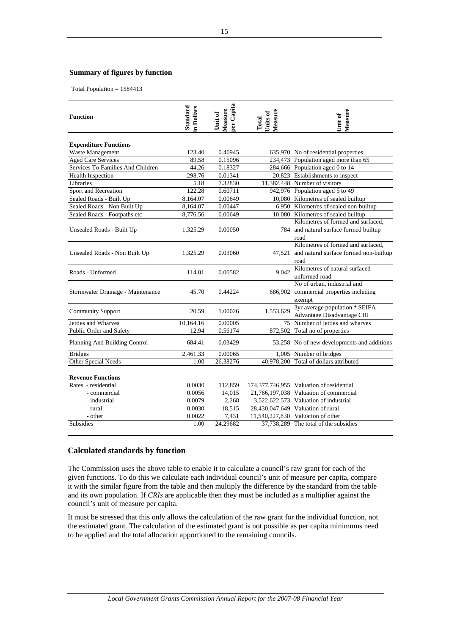#### **Summary of figures by function**

Total Population = 1584413

| <b>Function</b>                   | Standard<br>in Dollars | per Capita<br>Measure<br>Unit of | Measure<br>Units of<br>Total | Measure<br>Unit of                          |
|-----------------------------------|------------------------|----------------------------------|------------------------------|---------------------------------------------|
| <b>Expenditure Functions</b>      |                        |                                  |                              |                                             |
| Waste Management                  | 123.40                 | 0.40945                          |                              | 635,970 No of residential properties        |
| <b>Aged Care Services</b>         | 89.58                  | 0.15096                          |                              | 234,473 Population aged more than 65        |
| Services To Families And Children | 44.26                  | 0.18327                          |                              | 284,666 Population aged 0 to 14             |
| <b>Health Inspection</b>          | 298.76                 | 0.01341                          |                              | 20,823 Establishments to inspect            |
| Libraries                         | 5.18                   | 7.32830                          |                              | 11,382,448 Number of visitors               |
| Sport and Recreation              | 122.28                 | 0.60711                          |                              | 942,976 Population aged 5 to 49             |
| Sealed Roads - Built Up           | 8,164.07               | 0.00649                          |                              | 10,080 Kilometres of sealed builtup         |
| Sealed Roads - Non Built Up       | 8,164.07               | 0.00447                          |                              | 6,950 Kilometres of sealed non-builtup      |
| Sealed Roads - Footpaths etc      | 8,776.56               | 0.00649                          |                              | 10,080 Kilometres of sealed builtup         |
|                                   |                        |                                  |                              | Kilometres of formed and surfaced,          |
| Unsealed Roads - Built Up         | 1,325.29               | 0.00050                          |                              | 784 and natural surface formed builtup      |
|                                   |                        |                                  |                              | road                                        |
|                                   |                        |                                  |                              | Kilometres of formed and surfaced,          |
| Unsealed Roads - Non Built Up     | 1,325.29               | 0.03060                          | 47.521                       | and natural surface formed non-builtup      |
|                                   |                        |                                  |                              | road                                        |
| Roads - Unformed                  | 114.01                 | 0.00582                          | 9,042                        | Kilometres of natural surfaced              |
|                                   |                        |                                  |                              | unformed road                               |
|                                   |                        |                                  |                              | No of urban, industrial and                 |
| Stormwater Drainage - Maintenance | 45.70                  | 0.44224                          |                              | 686,902 commercial properties including     |
|                                   |                        |                                  |                              | exempt                                      |
| <b>Community Support</b>          | 20.59                  | 1.00026                          | 1,553,629                    | 3yr average population * SEIFA              |
|                                   |                        |                                  |                              | Advantage Disadvantage CRI                  |
| Jetties and Wharves               | 10,164.16              | 0.00005                          |                              | 75 Number of jetties and wharves            |
| Public Order and Safety           | 12.94                  | 0.56174                          |                              | 872,502 Total no of properties              |
| Planning And Building Control     | 684.41                 | 0.03429                          |                              | 53,258 No of new developments and additions |
| <b>Bridges</b>                    | 2,461.33               | 0.00065                          |                              | 1,005 Number of bridges                     |
| Other Special Needs               | 1.00                   | 26.38276                         |                              | 40,978,200 Total of dollars attributed      |
|                                   |                        |                                  |                              |                                             |
| <b>Revenue Functions</b>          |                        |                                  |                              |                                             |
| Rates - residential               | 0.0030                 | 112,859                          |                              | 174,377,746,955 Valuation of residential    |
| - commercial                      | 0.0056                 | 14,015                           |                              | 21,766,197,038 Valuation of commercial      |
| - industrial                      | 0.0079                 | 2,268                            |                              | 3,522,622,573 Valuation of industrial       |
| - rural                           | 0.0030                 | 18,515                           |                              | 28,430,047,649 Valuation of rural           |
| - other                           | 0.0022                 | 7,431                            |                              | 11,540,227,830 Valuation of other           |
| Subsidies                         | 1.00                   | 24.29682                         |                              | 37,738,289 The total of the subsidies       |

## **Calculated standards by function**

The Commission uses the above table to enable it to calculate a council's raw grant for each of the given functions. To do this we calculate each individual council's unit of measure per capita, compare it with the similar figure from the table and then multiply the difference by the standard from the table and its own population. If *CRIs* are applicable then they must be included as a multiplier against the council's unit of measure per capita.

It must be stressed that this only allows the calculation of the raw grant for the individual function, not the estimated grant. The calculation of the estimated grant is not possible as per capita minimums need to be applied and the total allocation apportioned to the remaining councils.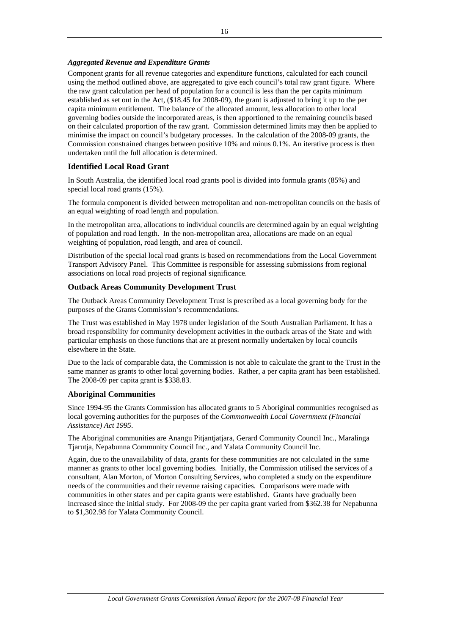# *Aggregated Revenue and Expenditure Grants*

Component grants for all revenue categories and expenditure functions, calculated for each council using the method outlined above, are aggregated to give each council's total raw grant figure. Where the raw grant calculation per head of population for a council is less than the per capita minimum established as set out in the Act, (\$18.45 for 2008-09), the grant is adjusted to bring it up to the per capita minimum entitlement. The balance of the allocated amount, less allocation to other local governing bodies outside the incorporated areas, is then apportioned to the remaining councils based on their calculated proportion of the raw grant. Commission determined limits may then be applied to minimise the impact on council's budgetary processes. In the calculation of the 2008-09 grants, the Commission constrained changes between positive 10% and minus 0.1%. An iterative process is then undertaken until the full allocation is determined.

# **Identified Local Road Grant**

In South Australia, the identified local road grants pool is divided into formula grants (85%) and special local road grants (15%).

The formula component is divided between metropolitan and non-metropolitan councils on the basis of an equal weighting of road length and population.

In the metropolitan area, allocations to individual councils are determined again by an equal weighting of population and road length. In the non-metropolitan area, allocations are made on an equal weighting of population, road length, and area of council.

Distribution of the special local road grants is based on recommendations from the Local Government Transport Advisory Panel. This Committee is responsible for assessing submissions from regional associations on local road projects of regional significance.

# **Outback Areas Community Development Trust**

The Outback Areas Community Development Trust is prescribed as a local governing body for the purposes of the Grants Commission's recommendations.

The Trust was established in May 1978 under legislation of the South Australian Parliament. It has a broad responsibility for community development activities in the outback areas of the State and with particular emphasis on those functions that are at present normally undertaken by local councils elsewhere in the State.

Due to the lack of comparable data, the Commission is not able to calculate the grant to the Trust in the same manner as grants to other local governing bodies. Rather, a per capita grant has been established. The 2008-09 per capita grant is \$338.83.

# **Aboriginal Communities**

Since 1994-95 the Grants Commission has allocated grants to 5 Aboriginal communities recognised as local governing authorities for the purposes of the *Commonwealth Local Government (Financial Assistance) Act 1995*.

The Aboriginal communities are Anangu Pitjantjatjara, Gerard Community Council Inc., Maralinga Tjarutja, Nepabunna Community Council Inc., and Yalata Community Council Inc.

Again, due to the unavailability of data, grants for these communities are not calculated in the same manner as grants to other local governing bodies. Initially, the Commission utilised the services of a consultant, Alan Morton, of Morton Consulting Services, who completed a study on the expenditure needs of the communities and their revenue raising capacities. Comparisons were made with communities in other states and per capita grants were established. Grants have gradually been increased since the initial study. For 2008-09 the per capita grant varied from \$362.38 for Nepabunna to \$1,302.98 for Yalata Community Council.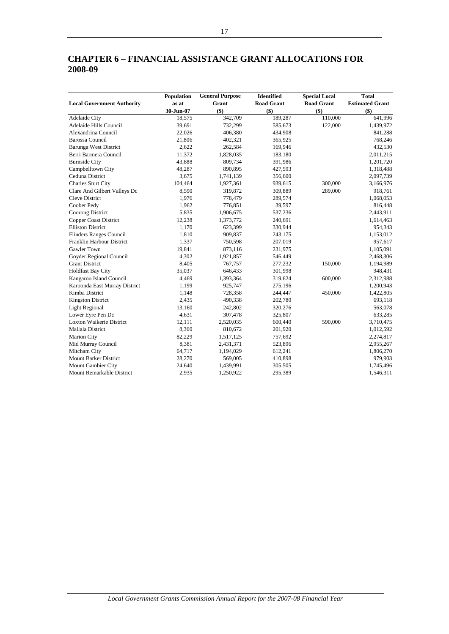# **CHAPTER 6 – FINANCIAL ASSISTANCE GRANT ALLOCATIONS FOR 2008-09**

|                                   | Population | <b>General Purpose</b> | Identified        | <b>Special Local</b> | <b>Total</b>           |
|-----------------------------------|------------|------------------------|-------------------|----------------------|------------------------|
| <b>Local Government Authority</b> | as at      | Grant                  | <b>Road Grant</b> | <b>Road Grant</b>    | <b>Estimated Grant</b> |
|                                   | 30-Jun-07  | $($ \$)                | $($ \$)           | $($ \$)              | $($ \$)                |
| Adelaide City                     | 18,575     | 342,709                | 189,287           | 110,000              | 641,996                |
| Adelaide Hills Council            | 39,691     | 732,299                | 585,673           | 122,000              | 1,439,972              |
| Alexandrina Council               | 22,026     | 406,380                | 434,908           |                      | 841,288                |
| <b>Barossa Council</b>            | 21,806     | 402,321                | 365,925           |                      | 768,246                |
| <b>Barunga West District</b>      | 2,622      | 262,584                | 169,946           |                      | 432,530                |
| Berri Barmera Council             | 11,372     | 1,828,035              | 183,180           |                      | 2,011,215              |
| <b>Burnside City</b>              | 43,888     | 809,734                | 391,986           |                      | 1,201,720              |
| Campbelltown City                 | 48,287     | 890,895                | 427,593           |                      | 1,318,488              |
| Ceduna District                   | 3,675      | 1,741,139              | 356,600           |                      | 2,097,739              |
| <b>Charles Sturt City</b>         | 104,464    | 1,927,361              | 939,615           | 300,000              | 3,166,976              |
| Clare And Gilbert Valleys Dc      | 8,590      | 319,872                | 309,889           | 289,000              | 918,761                |
| <b>Cleve District</b>             | 1,976      | 778,479                | 289,574           |                      | 1,068,053              |
| Coober Pedy                       | 1,962      | 776,851                | 39,597            |                      | 816,448                |
| Coorong District                  | 5,835      | 1,906,675              | 537,236           |                      | 2,443,911              |
| Copper Coast District             | 12,238     | 1,373,772              | 240,691           |                      | 1,614,463              |
| <b>Elliston District</b>          | 1,170      | 623,399                | 330,944           |                      | 954,343                |
| Flinders Ranges Council           | 1,810      | 909,837                | 243,175           |                      | 1,153,012              |
| Franklin Harbour District         | 1,337      | 750,598                | 207,019           |                      | 957,617                |
| <b>Gawler Town</b>                | 19,841     | 873,116                | 231,975           |                      | 1,105,091              |
| Goyder Regional Council           | 4,302      | 1,921,857              | 546,449           |                      | 2,468,306              |
| <b>Grant District</b>             | 8,405      | 767,757                | 277,232           | 150,000              | 1,194,989              |
| <b>Holdfast Bay City</b>          | 35,037     | 646,433                | 301,998           |                      | 948,431                |
| Kangaroo Island Council           | 4,469      | 1,393,364              | 319,624           | 600,000              | 2,312,988              |
| Karoonda East Murray District     | 1,199      | 925,747                | 275,196           |                      | 1,200,943              |
| Kimba District                    | 1,148      | 728,358                | 244,447           | 450,000              | 1,422,805              |
| <b>Kingston District</b>          | 2,435      | 490,338                | 202,780           |                      | 693,118                |
| <b>Light Regional</b>             | 13,160     | 242,802                | 320,276           |                      | 563,078                |
| Lower Eyre Pen Dc                 | 4,631      | 307,478                | 325,807           |                      | 633,285                |
| <b>Loxton Waikerie District</b>   | 12,111     | 2,520,035              | 600,440           | 590,000              | 3,710,475              |
| Mallala District                  | 8,360      | 810,672                | 201,920           |                      | 1,012,592              |
| Marion City                       | 82,229     | 1,517,125              | 757,692           |                      | 2,274,817              |
| Mid Murray Council                | 8,381      | 2,431,371              | 523,896           |                      | 2,955,267              |
| Mitcham City                      | 64,717     | 1,194,029              | 612,241           |                      | 1,806,270              |
| <b>Mount Barker District</b>      | 28,270     | 569,005                | 410,898           |                      | 979,903                |
| Mount Gambier City                | 24,640     | 1,439,991              | 305,505           |                      | 1,745,496              |
| Mount Remarkable District         | 2,935      | 1,250,922              | 295,389           |                      | 1,546,311              |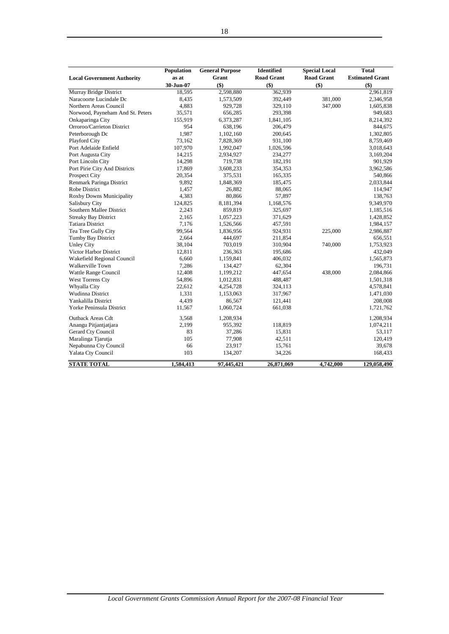|                                   | Population | <b>General Purpose</b> | <b>Identified</b> | <b>Special Local</b> | <b>Total</b>           |
|-----------------------------------|------------|------------------------|-------------------|----------------------|------------------------|
| <b>Local Government Authority</b> | as at      | Grant                  | <b>Road Grant</b> | <b>Road Grant</b>    | <b>Estimated Grant</b> |
|                                   | 30-Jun-07  | $($ \$)                | $($ \$)           | $($ \$               | $($ \$)                |
| Murray Bridge District            | 18,595     | 2,598,880              | 362,939           |                      | 2,961,819              |
| Naracoorte Lucindale Dc           | 8,435      | 1,573,509              | 392,449           | 381,000              | 2,346,958              |
| Northern Areas Council            | 4,883      | 929,728                | 329,110           | 347,000              | 1,605,838              |
| Norwood, Payneham And St. Peters  | 35,571     | 656,285                | 293,398           |                      | 949,683                |
| Onkaparinga City                  | 155,919    | 6,373,287              | 1,841,105         |                      | 8,214,392              |
| Orroroo/Carrieton District        | 954        | 638,196                | 206,479           |                      | 844,675                |
| Peterborough Dc                   | 1,987      | 1,102,160              | 200,645           |                      | 1,302,805              |
| Playford City                     | 73,162     | 7,828,369              | 931,100           |                      | 8,759,469              |
| Port Adelaide Enfield             | 107,970    | 1,992,047              | 1,026,596         |                      | 3,018,643              |
| Port Augusta City                 | 14,215     | 2,934,927              | 234,277           |                      | 3,169,204              |
| Port Lincoln City                 | 14,298     | 719,738                | 182,191           |                      | 901,929                |
| Port Pirie City And Districts     | 17,869     | 3,608,233              | 354,353           |                      | 3,962,586              |
| <b>Prospect City</b>              | 20,354     | 375,531                | 165,335           |                      | 540,866                |
| Renmark Paringa District          | 9,892      | 1,848,369              | 185,475           |                      | 2,033,844              |
| Robe District                     | 1,457      | 26,882                 | 88,065            |                      | 114,947                |
| <b>Roxby Downs Municipality</b>   | 4,383      | 80,866                 | 57,897            |                      | 138,763                |
| Salisbury City                    | 124,825    | 8,181,394              | 1,168,576         |                      | 9,349,970              |
| Southern Mallee District          | 2,243      | 859,819                | 325,697           |                      | 1,185,516              |
| <b>Streaky Bay District</b>       | 2,165      | 1,057,223              | 371,629           |                      | 1,428,852              |
| <b>Tatiara District</b>           | 7,176      | 1,526,566              | 457,591           |                      | 1,984,157              |
| Tea Tree Gully City               | 99,564     | 1,836,956              | 924,931           | 225,000              | 2,986,887              |
| <b>Tumby Bay District</b>         | 2,664      | 444,697                | 211,854           |                      | 656,551                |
| <b>Unley City</b>                 | 38,104     | 703,019                | 310,904           | 740,000              | 1,753,923              |
| Victor Harbor District            | 12,811     | 236,363                | 195,686           |                      | 432,049                |
| Wakefield Regional Council        | 6,660      | 1,159,841              | 406,032           |                      | 1,565,873              |
| Walkerville Town                  | 7,286      | 134,427                | 62,304            |                      | 196,731                |
| Wattle Range Council              | 12,408     | 1,199,212              | 447,654           | 438,000              | 2,084,866              |
| West Torrens Cty                  | 54,896     | 1,012,831              | 488,487           |                      | 1,501,318              |
| Whyalla City                      | 22,612     | 4,254,728              | 324,113           |                      | 4,578,841              |
| Wudinna District                  | 1,331      | 1,153,063              | 317,967           |                      | 1,471,030              |
| Yankalilla District               | 4,439      | 86,567                 | 121,441           |                      | 208,008                |
| Yorke Peninsula District          | 11,567     | 1,060,724              | 661,038           |                      | 1,721,762              |
| <b>Outback Areas Cdt</b>          | 3,568      | 1,208,934              |                   |                      | 1,208,934              |
| Anangu Pitjantjatjara             | 2,199      | 955,392                | 118,819           |                      | 1,074,211              |
| Gerard Cty Council                | 83         | 37,286                 | 15,831            |                      | 53,117                 |
| Maralinga Tjarutja                | 105        | 77,908                 | 42,511            |                      | 120,419                |
| Nepabunna Cty Council             | 66         | 23,917                 | 15,761            |                      | 39,678                 |
| Yalata Cty Council                | 103        | 134,207                | 34,226            |                      | 168,433                |
| <b>STATE TOTAL</b>                | 1,584,413  | 97,445,421             | 26,871,069        | 4,742,000            | 129,058,490            |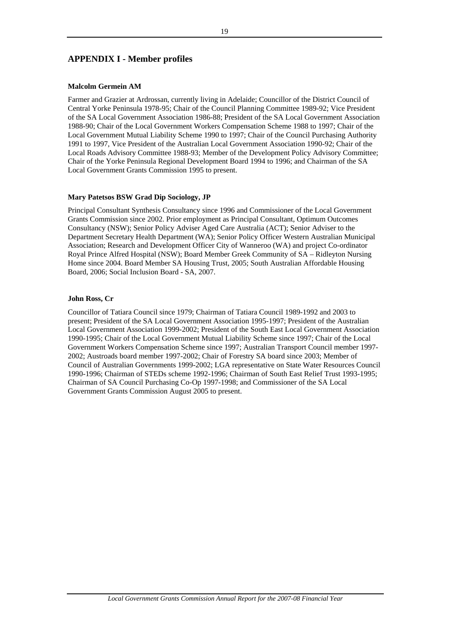# **APPENDIX I - Member profiles**

#### **Malcolm Germein AM**

Farmer and Grazier at Ardrossan, currently living in Adelaide; Councillor of the District Council of Central Yorke Peninsula 1978-95; Chair of the Council Planning Committee 1989-92; Vice President of the SA Local Government Association 1986-88; President of the SA Local Government Association 1988-90; Chair of the Local Government Workers Compensation Scheme 1988 to 1997; Chair of the Local Government Mutual Liability Scheme 1990 to 1997; Chair of the Council Purchasing Authority 1991 to 1997, Vice President of the Australian Local Government Association 1990-92; Chair of the Local Roads Advisory Committee 1988-93; Member of the Development Policy Advisory Committee; Chair of the Yorke Peninsula Regional Development Board 1994 to 1996; and Chairman of the SA Local Government Grants Commission 1995 to present.

#### **Mary Patetsos BSW Grad Dip Sociology, JP**

Principal Consultant Synthesis Consultancy since 1996 and Commissioner of the Local Government Grants Commission since 2002. Prior employment as Principal Consultant, Optimum Outcomes Consultancy (NSW); Senior Policy Adviser Aged Care Australia (ACT); Senior Adviser to the Department Secretary Health Department (WA); Senior Policy Officer Western Australian Municipal Association; Research and Development Officer City of Wanneroo (WA) and project Co-ordinator Royal Prince Alfred Hospital (NSW); Board Member Greek Community of SA – Ridleyton Nursing Home since 2004. Board Member SA Housing Trust, 2005; South Australian Affordable Housing Board, 2006; Social Inclusion Board - SA, 2007.

#### **John Ross, Cr**

Councillor of Tatiara Council since 1979; Chairman of Tatiara Council 1989-1992 and 2003 to present; President of the SA Local Government Association 1995-1997; President of the Australian Local Government Association 1999-2002; President of the South East Local Government Association 1990-1995; Chair of the Local Government Mutual Liability Scheme since 1997; Chair of the Local Government Workers Compensation Scheme since 1997; Australian Transport Council member 1997- 2002; Austroads board member 1997-2002; Chair of Forestry SA board since 2003; Member of Council of Australian Governments 1999-2002; LGA representative on State Water Resources Council 1990-1996; Chairman of STEDs scheme 1992-1996; Chairman of South East Relief Trust 1993-1995; Chairman of SA Council Purchasing Co-Op 1997-1998; and Commissioner of the SA Local Government Grants Commission August 2005 to present.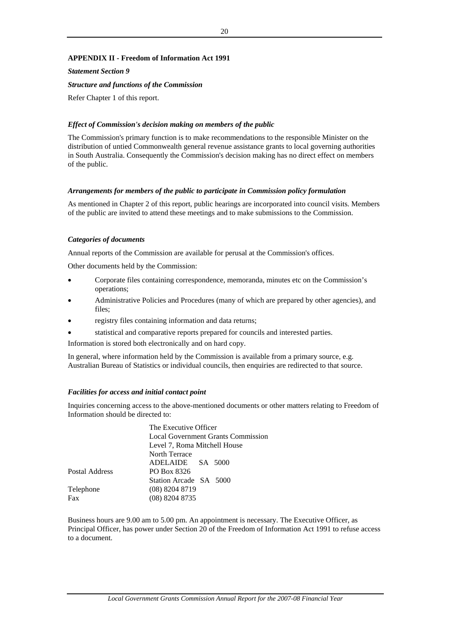## **APPENDIX II - Freedom of Information Act 1991**

*Statement Section 9* 

*Structure and functions of the Commission*

Refer Chapter 1 of this report.

#### *Effect of Commission's decision making on members of the public*

The Commission's primary function is to make recommendations to the responsible Minister on the distribution of untied Commonwealth general revenue assistance grants to local governing authorities in South Australia. Consequently the Commission's decision making has no direct effect on members of the public.

#### *Arrangements for members of the public to participate in Commission policy formulation*

As mentioned in Chapter 2 of this report, public hearings are incorporated into council visits. Members of the public are invited to attend these meetings and to make submissions to the Commission.

#### *Categories of documents*

Annual reports of the Commission are available for perusal at the Commission's offices.

Other documents held by the Commission:

- Corporate files containing correspondence, memoranda, minutes etc on the Commission's operations;
- Administrative Policies and Procedures (many of which are prepared by other agencies), and files;
- registry files containing information and data returns;
- statistical and comparative reports prepared for councils and interested parties.

Information is stored both electronically and on hard copy.

In general, where information held by the Commission is available from a primary source, e.g. Australian Bureau of Statistics or individual councils, then enquiries are redirected to that source.

#### *Facilities for access and initial contact point*

Inquiries concerning access to the above-mentioned documents or other matters relating to Freedom of Information should be directed to:

|                | The Executive Officer                     |  |  |  |  |
|----------------|-------------------------------------------|--|--|--|--|
|                | <b>Local Government Grants Commission</b> |  |  |  |  |
|                | Level 7, Roma Mitchell House              |  |  |  |  |
|                | North Terrace                             |  |  |  |  |
|                | ADELAIDE SA 5000                          |  |  |  |  |
| Postal Address | PO Box 8326                               |  |  |  |  |
|                | Station Arcade SA 5000                    |  |  |  |  |
| Telephone      | $(08)$ 8204 8719                          |  |  |  |  |
| Fax            | $(08)$ 8204 8735                          |  |  |  |  |

Business hours are 9.00 am to 5.00 pm. An appointment is necessary. The Executive Officer, as Principal Officer, has power under Section 20 of the Freedom of Information Act 1991 to refuse access to a document.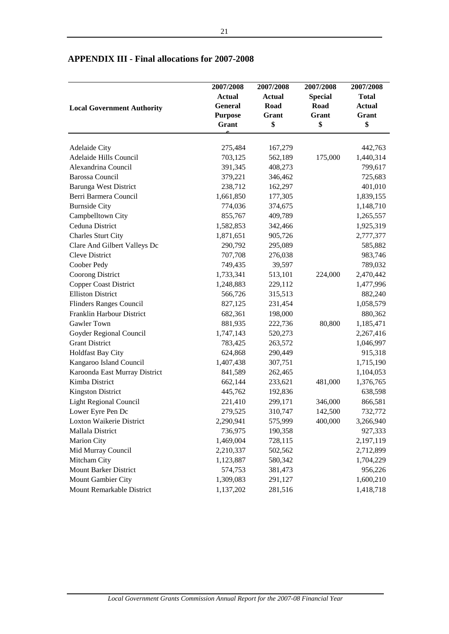|                                   | 2007/2008      | 2007/2008     | 2007/2008      | 2007/2008     |
|-----------------------------------|----------------|---------------|----------------|---------------|
|                                   | <b>Actual</b>  | <b>Actual</b> | <b>Special</b> | <b>Total</b>  |
| <b>Local Government Authority</b> | <b>General</b> | Road          | Road           | <b>Actual</b> |
|                                   | <b>Purpose</b> | Grant         | Grant          | Grant         |
|                                   | Grant          | \$            | \$             | \$            |
|                                   |                |               |                |               |
| Adelaide City                     | 275,484        | 167,279       |                | 442,763       |
| Adelaide Hills Council            | 703,125        | 562,189       | 175,000        | 1,440,314     |
| Alexandrina Council               | 391,345        | 408,273       |                | 799,617       |
| <b>Barossa Council</b>            | 379,221        | 346,462       |                | 725,683       |
| <b>Barunga West District</b>      | 238,712        | 162,297       |                | 401,010       |
| Berri Barmera Council             | 1,661,850      | 177,305       |                | 1,839,155     |
| <b>Burnside City</b>              | 774,036        | 374,675       |                | 1,148,710     |
| Campbelltown City                 | 855,767        | 409,789       |                | 1,265,557     |
| Ceduna District                   | 1,582,853      | 342,466       |                | 1,925,319     |
| <b>Charles Sturt City</b>         | 1,871,651      | 905,726       |                | 2,777,377     |
| Clare And Gilbert Valleys Dc      | 290,792        | 295,089       |                | 585,882       |
| Cleve District                    | 707,708        | 276,038       |                | 983,746       |
| Coober Pedy                       | 749,435        | 39,597        |                | 789,032       |
| Coorong District                  | 1,733,341      | 513,101       | 224,000        | 2,470,442     |
| <b>Copper Coast District</b>      | 1,248,883      | 229,112       |                | 1,477,996     |
| <b>Elliston District</b>          | 566,726        | 315,513       |                | 882,240       |
| Flinders Ranges Council           | 827,125        | 231,454       |                | 1,058,579     |
| Franklin Harbour District         | 682,361        | 198,000       |                | 880,362       |
| Gawler Town                       | 881,935        | 222,736       | 80,800         | 1,185,471     |
| Goyder Regional Council           | 1,747,143      | 520,273       |                | 2,267,416     |
| <b>Grant District</b>             | 783,425        | 263,572       |                | 1,046,997     |
| <b>Holdfast Bay City</b>          | 624,868        | 290,449       |                | 915,318       |
| Kangaroo Island Council           | 1,407,438      | 307,751       |                | 1,715,190     |
| Karoonda East Murray District     | 841,589        | 262,465       |                | 1,104,053     |
| Kimba District                    | 662,144        | 233,621       | 481,000        | 1,376,765     |
| <b>Kingston District</b>          | 445,762        | 192,836       |                | 638,598       |
| <b>Light Regional Council</b>     | 221,410        | 299,171       | 346,000        | 866,581       |
| Lower Eyre Pen Dc                 | 279,525        | 310,747       | 142,500        | 732,772       |
| Loxton Waikerie District          | 2,290,941      | 575,999       | 400,000        | 3,266,940     |
| Mallala District                  | 736,975        | 190,358       |                | 927,333       |
| Marion City                       | 1,469,004      | 728,115       |                | 2,197,119     |
| Mid Murray Council                | 2,210,337      | 502,562       |                | 2,712,899     |
| Mitcham City                      | 1,123,887      | 580,342       |                | 1,704,229     |
| <b>Mount Barker District</b>      | 574,753        | 381,473       |                | 956,226       |
| Mount Gambier City                | 1,309,083      | 291,127       |                | 1,600,210     |
| Mount Remarkable District         | 1,137,202      | 281,516       |                | 1,418,718     |

# **APPENDIX III - Final allocations for 2007-2008**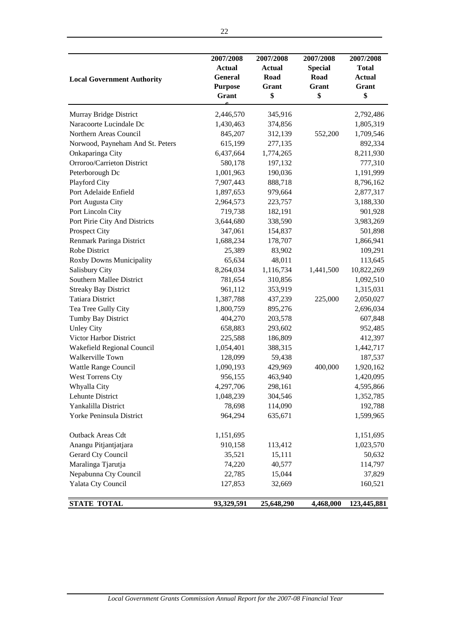| <b>Local Government Authority</b>           | 2007/2008<br><b>Actual</b><br><b>General</b><br><b>Purpose</b><br>Grant | 2007/2008<br><b>Actual</b><br>Road<br>Grant<br>\$ | 2007/2008<br><b>Special</b><br>Road<br>Grant<br>\$ | 2007/2008<br><b>Total</b><br><b>Actual</b><br>Grant<br>\$ |
|---------------------------------------------|-------------------------------------------------------------------------|---------------------------------------------------|----------------------------------------------------|-----------------------------------------------------------|
| Murray Bridge District                      | 2,446,570                                                               | 345,916                                           |                                                    | 2,792,486                                                 |
| Naracoorte Lucindale Dc                     | 1,430,463                                                               | 374,856                                           |                                                    | 1,805,319                                                 |
| Northern Areas Council                      | 845,207                                                                 | 312,139                                           | 552,200                                            | 1,709,546                                                 |
| Norwood, Payneham And St. Peters            | 615,199                                                                 | 277,135                                           |                                                    | 892,334                                                   |
| Onkaparinga City                            | 6,437,664                                                               | 1,774,265                                         |                                                    | 8,211,930                                                 |
| Orroroo/Carrieton District                  | 580,178                                                                 | 197,132                                           |                                                    | 777,310                                                   |
| Peterborough Dc                             | 1,001,963                                                               | 190,036                                           |                                                    | 1,191,999                                                 |
| Playford City                               | 7,907,443                                                               | 888,718                                           |                                                    | 8,796,162                                                 |
| Port Adelaide Enfield                       | 1,897,653                                                               | 979,664                                           |                                                    | 2,877,317                                                 |
| Port Augusta City                           | 2,964,573                                                               | 223,757                                           |                                                    | 3,188,330                                                 |
| Port Lincoln City                           | 719,738                                                                 | 182,191                                           |                                                    | 901,928                                                   |
| Port Pirie City And Districts               | 3,644,680                                                               | 338,590                                           |                                                    | 3,983,269                                                 |
| Prospect City                               | 347,061                                                                 | 154,837                                           |                                                    | 501,898                                                   |
| Renmark Paringa District                    | 1,688,234                                                               | 178,707                                           |                                                    | 1,866,941                                                 |
| Robe District                               | 25,389                                                                  | 83,902                                            |                                                    | 109,291                                                   |
| <b>Roxby Downs Municipality</b>             | 65,634                                                                  | 48,011                                            |                                                    | 113,645                                                   |
| Salisbury City                              | 8,264,034                                                               | 1,116,734                                         | 1,441,500                                          | 10,822,269                                                |
| Southern Mallee District                    | 781,654                                                                 | 310,856                                           |                                                    | 1,092,510                                                 |
| <b>Streaky Bay District</b>                 | 961,112                                                                 | 353,919                                           |                                                    | 1,315,031                                                 |
| <b>Tatiara District</b>                     | 1,387,788                                                               | 437,239                                           | 225,000                                            | 2,050,027                                                 |
| Tea Tree Gully City                         | 1,800,759                                                               | 895,276                                           |                                                    | 2,696,034                                                 |
| Tumby Bay District                          | 404,270<br>658,883                                                      | 203,578                                           |                                                    | 607,848                                                   |
| <b>Unley City</b><br>Victor Harbor District | 225,588                                                                 | 293,602<br>186,809                                |                                                    | 952,485<br>412,397                                        |
| Wakefield Regional Council                  | 1,054,401                                                               | 388,315                                           |                                                    | 1,442,717                                                 |
| Walkerville Town                            | 128,099                                                                 | 59,438                                            |                                                    | 187,537                                                   |
| Wattle Range Council                        | 1,090,193                                                               | 429,969                                           | 400,000                                            | 1,920,162                                                 |
| West Torrens Cty                            | 956,155                                                                 | 463,940                                           |                                                    | 1,420,095                                                 |
| Whyalla City                                | 4,297,706                                                               | 298,161                                           |                                                    | 4,595,866                                                 |
| Lehunte District                            | 1,048,239                                                               | 304,546                                           |                                                    | 1,352,785                                                 |
| Yankalilla District                         | 78,698                                                                  | 114,090                                           |                                                    | 192,788                                                   |
| Yorke Peninsula District                    | 964,294                                                                 | 635,671                                           |                                                    | 1,599,965                                                 |
| Outback Areas Cdt                           | 1,151,695                                                               |                                                   |                                                    | 1,151,695                                                 |
| Anangu Pitjantjatjara                       | 910,158                                                                 | 113,412                                           |                                                    | 1,023,570                                                 |
| Gerard Cty Council                          | 35,521                                                                  | 15,111                                            |                                                    | 50,632                                                    |
| Maralinga Tjarutja                          | 74,220                                                                  | 40,577                                            |                                                    | 114,797                                                   |
| Nepabunna Cty Council                       | 22,785                                                                  | 15,044                                            |                                                    | 37,829                                                    |
| Yalata Cty Council                          | 127,853                                                                 | 32,669                                            |                                                    | 160,521                                                   |
| <b>STATE TOTAL</b>                          | 93,329,591                                                              | 25,648,290                                        | 4,468,000                                          | 123,445,881                                               |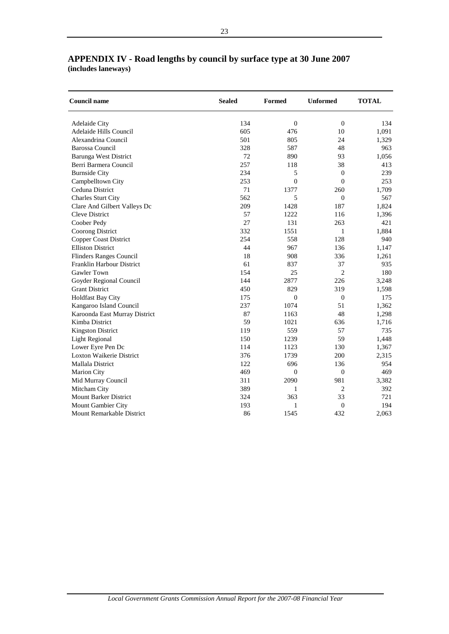| <b>Council name</b>            | <b>Sealed</b> | Formed           | <b>Unformed</b>  | <b>TOTAL</b> |
|--------------------------------|---------------|------------------|------------------|--------------|
| <b>Adelaide City</b>           | 134           | $\overline{0}$   | $\boldsymbol{0}$ | 134          |
| Adelaide Hills Council         | 605           | 476              | 10               | 1,091        |
| Alexandrina Council            | 501           | 805              | 24               | 1,329        |
| <b>Barossa Council</b>         | 328           | 587              | 48               | 963          |
| <b>Barunga West District</b>   | 72            | 890              | 93               | 1.056        |
| Berri Barmera Council          | 257           | 118              | 38               | 413          |
| <b>Burnside City</b>           | 234           | 5                | $\overline{0}$   | 239          |
| Campbelltown City              | 253           | $\overline{0}$   | $\overline{0}$   | 253          |
| Ceduna District                | 71            | 1377             | 260              | 1,709        |
| <b>Charles Sturt City</b>      | 562           | 5                | $\overline{0}$   | 567          |
| Clare And Gilbert Valleys Dc   | 209           | 1428             | 187              | 1,824        |
| <b>Cleve District</b>          | 57            | 1222             | 116              | 1,396        |
| Coober Pedy                    | 27            | 131              | 263              | 421          |
| <b>Coorong District</b>        | 332           | 1551             | 1                | 1,884        |
| <b>Copper Coast District</b>   | 254           | 558              | 128              | 940          |
| <b>Elliston District</b>       | 44            | 967              | 136              | 1,147        |
| <b>Flinders Ranges Council</b> | 18            | 908              | 336              | 1,261        |
| Franklin Harbour District      | 61            | 837              | 37               | 935          |
| <b>Gawler Town</b>             | 154           | 25               | $\overline{2}$   | 180          |
| Goyder Regional Council        | 144           | 2877             | 226              | 3,248        |
| <b>Grant District</b>          | 450           | 829              | 319              | 1,598        |
| <b>Holdfast Bay City</b>       | 175           | $\overline{0}$   | $\boldsymbol{0}$ | 175          |
| Kangaroo Island Council        | 237           | 1074             | 51               | 1,362        |
| Karoonda East Murray District  | 87            | 1163             | 48               | 1,298        |
| Kimba District                 | 59            | 1021             | 636              | 1,716        |
| <b>Kingston District</b>       | 119           | 559              | 57               | 735          |
| <b>Light Regional</b>          | 150           | 1239             | 59               | 1,448        |
| Lower Eyre Pen Dc              | 114           | 1123             | 130              | 1,367        |
| Loxton Waikerie District       | 376           | 1739             | 200              | 2,315        |
| <b>Mallala District</b>        | 122           | 696              | 136              | 954          |
| <b>Marion City</b>             | 469           | $\boldsymbol{0}$ | $\overline{0}$   | 469          |
| Mid Murray Council             | 311           | 2090             | 981              | 3,382        |
| Mitcham City                   | 389           | 1                | $\overline{c}$   | 392          |
| <b>Mount Barker District</b>   | 324           | 363              | 33               | 721          |
| Mount Gambier City             | 193           | 1                | $\overline{0}$   | 194          |
| Mount Remarkable District      | 86            | 1545             | 432              | 2,063        |

# **APPENDIX IV - Road lengths by council by surface type at 30 June 2007 (includes laneways)**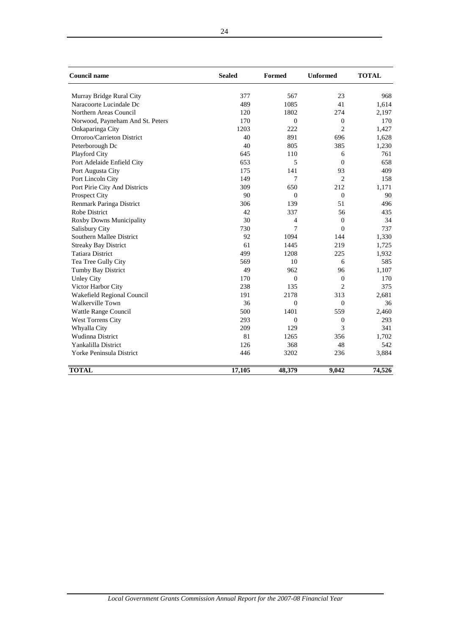| <b>Council name</b>              | <b>Sealed</b> | <b>Formed</b>  | <b>Unformed</b> | <b>TOTAL</b> |
|----------------------------------|---------------|----------------|-----------------|--------------|
| Murray Bridge Rural City         | 377           | 567            | 23              | 968          |
| Naracoorte Lucindale Dc          | 489           | 1085           | 41              | 1,614        |
| Northern Areas Council           | 120           | 1802           | 274             | 2,197        |
| Norwood, Payneham And St. Peters | 170           | $\overline{0}$ | $\overline{0}$  | 170          |
| Onkaparinga City                 | 1203          | 222            | $\overline{2}$  | 1,427        |
| Orroroo/Carrieton District       | 40            | 891            | 696             | 1,628        |
| Peterborough Dc                  | 40            | 805            | 385             | 1,230        |
| Playford City                    | 645           | 110            | 6               | 761          |
| Port Adelaide Enfield City       | 653           | 5              | $\Omega$        | 658          |
| Port Augusta City                | 175           | 141            | 93              | 409          |
| Port Lincoln City                | 149           | 7              | $\overline{c}$  | 158          |
| Port Pirie City And Districts    | 309           | 650            | 212             | 1,171        |
| Prospect City                    | 90            | $\Omega$       | $\overline{0}$  | 90           |
| Renmark Paringa District         | 306           | 139            | 51              | 496          |
| <b>Robe District</b>             | 42            | 337            | 56              | 435          |
| Roxby Downs Municipality         | 30            | 4              | $\mathbf{0}$    | 34           |
| Salisbury City                   | 730           | 7              | $\overline{0}$  | 737          |
| Southern Mallee District         | 92            | 1094           | 144             | 1,330        |
| <b>Streaky Bay District</b>      | 61            | 1445           | 219             | 1,725        |
| <b>Tatiara District</b>          | 499           | 1208           | 225             | 1,932        |
| Tea Tree Gully City              | 569           | 10             | 6               | 585          |
| Tumby Bay District               | 49            | 962            | 96              | 1,107        |
| <b>Unley City</b>                | 170           | $\Omega$       | $\mathbf{0}$    | 170          |
| Victor Harbor City               | 238           | 135            | $\overline{c}$  | 375          |
| Wakefield Regional Council       | 191           | 2178           | 313             | 2,681        |
| <b>Walkerville Town</b>          | 36            | $\mathbf{0}$   | $\mathbf{0}$    | 36           |
| Wattle Range Council             | 500           | 1401           | 559             | 2,460        |
| West Torrens City                | 293           | $\mathbf{0}$   | $\overline{0}$  | 293          |
| Whyalla City                     | 209           | 129            | 3               | 341          |
| <b>Wudinna District</b>          | 81            | 1265           | 356             | 1,702        |
| Yankalilla District              | 126           | 368            | 48              | 542          |
| Yorke Peninsula District         | 446           | 3202           | 236             | 3,884        |
| <b>TOTAL</b>                     | 17,105        | 48,379         | 9,042           | 74,526       |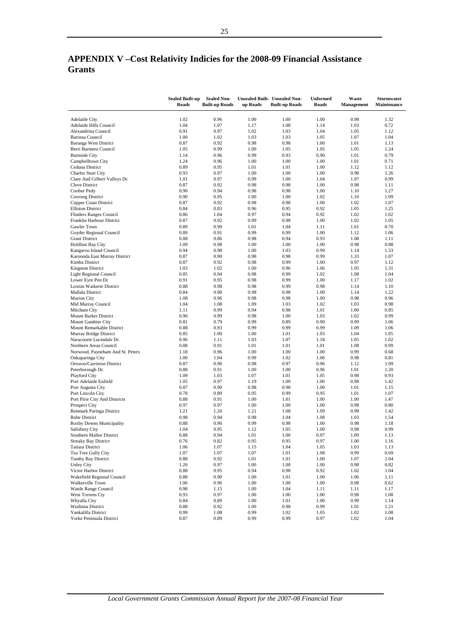# **APPENDIX V –Cost Relativity Indicies for the 2008-09 Financial Assistance Grants**

|                                                  | <b>Sealed Built-up</b><br>Roads | <b>Sealed Non-</b><br><b>Built-up Roads</b> | up Roads     | <b>Unsealed Built- Unsealed Non-</b><br><b>Built-up Roads</b> | <b>Unformed</b><br><b>Roads</b> | Waste<br><b>Management</b> | Stormwater<br>Maintenance |
|--------------------------------------------------|---------------------------------|---------------------------------------------|--------------|---------------------------------------------------------------|---------------------------------|----------------------------|---------------------------|
| <b>Adelaide City</b>                             | 1.02                            | 0.96                                        | 1.00         | 1.00                                                          | 1.00                            | 0.98                       | 1.32                      |
| Adelaide Hills Council                           | 1.04                            | 1.07                                        | 1.17         | 1.08                                                          | 1.14                            | 1.03                       | 0.72                      |
| Alexandrina Council                              | 0.91                            | 0.97                                        | 1.02         | 1.03                                                          | 1.04                            | 1.05                       | 1.12                      |
| <b>Barossa Council</b>                           | 1.00                            | 1.02                                        | 1.03         | 1.03                                                          | 1.05                            | 1.07                       | 1.04                      |
| Barunga West District<br>Berri Barmera Council   | 0.87<br>1.05                    | 0.92<br>0.99                                | 0.98<br>1.00 | 0.98<br>1.05                                                  | 1.00<br>1.05                    | 1.01<br>1.05               | 1.13<br>1.24              |
| <b>Burnside City</b>                             | 1.14                            | 0.96                                        | 0.99         | 0.93                                                          | 0.90                            | 1.01                       | 0.79                      |
| Campbelltown City                                | 1.24                            | 0.96                                        | 1.00         | 1.00                                                          | 1.00                            | 1.01                       | 0.71                      |
| Ceduna District                                  | 0.89                            | 0.95                                        | 1.01         | 1.01                                                          | 1.00                            | 1.12                       | 1.12                      |
| Charles Sturt City                               | 0.93                            | 0.97                                        | 1.00         | 1.00                                                          | 1.00                            | 0.98                       | 1.26                      |
| Clare And Gilbert Valleys Dc                     | 1.01                            | 0.97                                        | 0.99         | 1.00                                                          | 1.04                            | 1.07                       | 0.99                      |
| Cleve District                                   | 0.87<br>0.90                    | 0.92                                        | 0.98         | 0.98<br>0.98                                                  | 1.00<br>1.00                    | 0.98<br>1.10               | 1.11<br>1.27              |
| Coober Pedy<br>Coorong District                  | 0.90                            | 0.94<br>0.95                                | 0.98<br>1.00 | 1.00                                                          | 1.02                            | 1.10                       | 1.09                      |
| Copper Coast District                            | 0.87                            | 0.92                                        | 0.98         | 0.98                                                          | 1.00                            | 1.02                       | 1.07                      |
| <b>Elliston District</b>                         | 0.84                            | 0.83                                        | 0.96         | 0.95                                                          | 0.92                            | 1.05                       | 1.25                      |
| Flinders Ranges Council                          | 0.86                            | 1.04                                        | 0.97         | 0.94                                                          | 0.92                            | 1.02                       | 1.02                      |
| Franklin Harbour District                        | 0.87                            | 0.92                                        | 0.99         | 0.98                                                          | 1.00                            | 1.02                       | 1.05                      |
| Gawler Town                                      | 0.89                            | 0.99                                        | 1.01         | 1.04                                                          | 1.11                            | 1.01                       | 0.70                      |
| Goyder Regional Council<br><b>Grant District</b> | 0.89<br>0.88                    | 0.91<br>0.86                                | 0.99<br>0.98 | 0.99<br>0.94                                                  | 1.00<br>0.93                    | 1.12<br>1.08               | 1.06<br>1.11              |
| <b>Holdfast Bay City</b>                         | 1.09                            | 0.98                                        | 1.00         | 1.00                                                          | 1.00                            | 0.98                       | 0.88                      |
| Kangaroo Island Council                          | 0.94                            | 0.98                                        | 1.00         | 1.03                                                          | 0.99                            | 1.14                       | 1.33                      |
| Karoonda East Murray District                    | 0.87                            | 0.90                                        | 0.98         | 0.98                                                          | 0.99                            | 1.33                       | 1.07                      |
| Kimba District                                   | 0.87                            | 0.92                                        | 0.98         | 0.99                                                          | 1.00                            | 0.97                       | 1.12                      |
| <b>Kingston District</b>                         | 1.03                            | 1.02                                        | 1.00         | 0.96                                                          | 1.06                            | 1.05                       | 1.31                      |
| Light Regional Council                           | 0.85                            | 0.94                                        | 0.98         | 0.99                                                          | 1.02                            | 1.08                       | 1.04                      |
| Lower Eyre Pen Dc<br>Loxton Waikerie District    | 0.91<br>0.88                    | 0.95<br>0.98                                | 0.98<br>0.98 | 0.99<br>0.99                                                  | 1.00<br>0.98                    | 1.17<br>1.14               | 1.02<br>1.10              |
| Mallala District                                 | 0.84                            | 0.90                                        | 0.98         | 0.98                                                          | 1.00                            | 1.14                       | 1.22                      |
| <b>Marion City</b>                               | 1.08                            | 0.96                                        | 0.98         | 0.98                                                          | 1.00                            | 0.98                       | 0.96                      |
| Mid Murray Council                               | 1.04                            | 1.08                                        | 1.09         | 1.03                                                          | 1.02                            | 1.03                       | 0.98                      |
| Mitcham City                                     | 1.11                            | 0.99                                        | 0.94         | 0.98                                                          | 1.01                            | 1.00                       | 0.85                      |
| Mount Barker District                            | 0.96                            | 0.99                                        | 0.98         | 1.00                                                          | 1.03                            | 1.02                       | 0.99                      |
| Mount Gambier City<br>Mount Remarkable District  | 0.81<br>0.88                    | 0.79<br>0.93                                | 0.99<br>0.99 | 0.89<br>0.99                                                  | 0.90<br>0.99                    | 0.99<br>1.09               | 1.06<br>1.06              |
| Murray Bridge District                           | 0.85                            | 1.00                                        | 1.00         | 1.01                                                          | 1.03                            | 1.04                       | 1.05                      |
| Naracoorte Lucindale Dc                          | 0.96                            | 1.11                                        | 1.03         | 1.07                                                          | 1.18                            | 1.05                       | 1.02                      |
| Northern Areas Council                           | 0.88                            | 0.91                                        | 1.01         | 1.01                                                          | 1.01                            | 1.08                       | 0.99                      |
| Norwood, Payneham And St. Peters                 | 1.18                            | 0.96                                        | 1.00         | 1.00                                                          | 1.00                            | 0.99                       | 0.68                      |
| Onkaparinga City                                 | 1.00                            | 1.04                                        | 0.99         | 1.02                                                          | 1.06                            | 0.98                       | 0.81                      |
| Orroroo/Carrieton District                       | 0.87<br>0.88                    | 0.90                                        | 0.98         | 0.97<br>1.00                                                  | 0.96<br>0.96                    | 1.12<br>1.01               | 1.09<br>1.20              |
| Peterborough Dc<br>Playford City                 | 1.09                            | 0.91<br>1.03                                | 1.00<br>1.07 | 1.01                                                          | 1.05                            | 0.98                       | 0.93                      |
| Port Adelaide Enfield                            | 1.05                            | 0.97                                        | 1.19         | 1.00                                                          | 1.00                            | 0.98                       | 1.42                      |
| Port Augusta City                                | 0.87                            | 0.90                                        | 0.98         | 0.98                                                          | 1.00                            | 1.01                       | 1.15                      |
| Port Lincoln City                                | 0.78                            | 0.89                                        | 0.95         | 0.99                                                          | 0.95                            | 1.01                       | 1.07                      |
| Port Pirie City And Districts                    | 0.88                            | 0.91                                        | 1.00         | 1.01                                                          | 1.00                            | 1.00                       | 1.47                      |
| <b>Prospect City</b>                             | 0.97                            | 0.97                                        | 1.00         | 1.00                                                          | 1.00                            | 0.98                       | 0.80<br>1.42              |
| Renmark Paringa District<br>Robe District        | 1.21<br>0.98                    | 1.20<br>0.94                                | 1.21<br>0.98 | 1.08<br>1.04                                                  | 1.09<br>1.08                    | 0.99<br>1.03               | 1.54                      |
| Roxby Downs Municipality                         | 0.88                            | 0.90                                        | 0.99         | 0.98                                                          | 1.00                            | 0.98                       | 1.18                      |
| Salisbury City                                   | 1.04                            | 0.95                                        | 1.12         | 1.05                                                          | 1.00                            | 0.98                       | 0.99                      |
| Southern Mallee District                         | $\rm 0.88$                      | 0.94                                        | 1.01         | 1.00                                                          | 0.97                            | 1.09                       | 1.13                      |
| <b>Streaky Bay District</b>                      | 0.76                            | 0.82                                        | 0.95         | 0.95                                                          | 0.97                            | 1.00                       | 1.16                      |
| <b>Tatiara District</b>                          | 1.06                            | 1.07                                        | 1.15         | 1.04                                                          | 1.05                            | 1.03                       | 1.13                      |
| Tea Tree Gully City<br>Tumby Bay District        | 1.07<br>0.88                    | 1.07<br>0.92                                | 1.07<br>1.01 | 1.01<br>1.01                                                  | 1.08<br>1.00                    | 0.99<br>1.07               | 0.69<br>1.04              |
| <b>Unley City</b>                                | 1.26                            | 0.97                                        | 1.00         | 1.00                                                          | 1.00                            | 0.98                       | 0.82                      |
| Victor Harbor District                           | 0.88                            | 0.95                                        | 0.94         | 0.98                                                          | 0.92                            | 1.02                       | 1.04                      |
| Wakefield Regional Council                       | 0.88                            | 0.90                                        | 1.00         | 1.01                                                          | 1.00                            | 1.06                       | 1.11                      |
| Walkerville Town                                 | 1.06                            | 0.96                                        | 1.00         | 1.00                                                          | 1.00                            | 0.98                       | 0.62                      |
| Wattle Range Council                             | 0.98                            | 1.15                                        | 1.00         | 1.04                                                          | 1.11                            | 1.11                       | 1.17                      |
| West Torrens Cty                                 | 0.93                            | 0.97                                        | 1.00         | 1.00                                                          | 1.00                            | 0.98                       | 1.08                      |
| Whyalla City<br>Wudinna District                 | 0.84<br>0.88                    | 0.89<br>0.92                                | 1.00<br>1.00 | 1.01<br>0.98                                                  | 1.00<br>0.99                    | 0.99<br>1.01               | 1.14<br>1.21              |
| Yankalilla District                              | 0.99                            | 1.08                                        | 0.99         | 1.02                                                          | 1.05                            | 1.02                       | 1.08                      |
| Yorke Peninsula District                         | 0.87                            | 0.89                                        | 0.99         | 0.99                                                          | 0.97                            | 1.02                       | 1.04                      |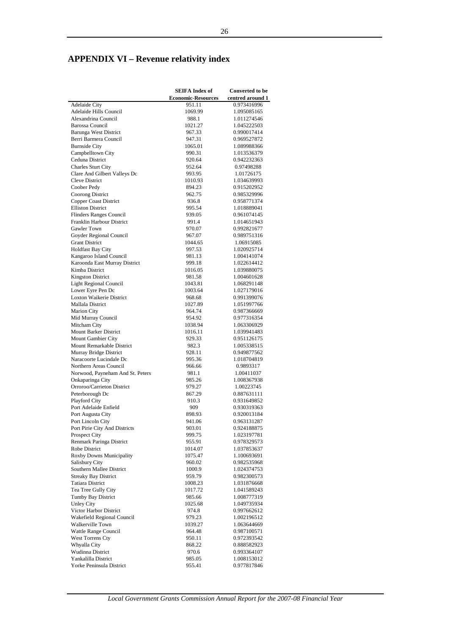# **APPENDIX VI – Revenue relativity index**

|                                  | <b>SEIFA Index of</b>     | <b>Converted to be</b>     |
|----------------------------------|---------------------------|----------------------------|
|                                  | <b>Economic-Resources</b> | centred around 1           |
| <b>Adelaide City</b>             | 951.11                    | 0.973416996                |
| Adelaide Hills Council           | 1069.99                   | 1.095085165                |
| Alexandrina Council              | 988.1                     | 1.011274546                |
| <b>Barossa Council</b>           | 1021.27                   | 1.045222503                |
| <b>Barunga West District</b>     | 967.33                    | 0.990017414                |
| Berri Barmera Council            | 947.31                    | 0.969527872                |
| <b>Burnside City</b>             | 1065.01                   | 1.089988366                |
| Campbelltown City                | 990.31                    | 1.013536379                |
| Ceduna District                  | 920.64                    | 0.942232363                |
| <b>Charles Sturt City</b>        | 952.64                    | 0.97498288                 |
| Clare And Gilbert Valleys Dc     | 993.95                    | 1.01726175                 |
| Cleve District                   | 1010.93                   | 1.034639993                |
| Coober Pedy                      | 894.23                    | 0.915202952                |
| Coorong District                 | 962.75                    | 0.985329996                |
| <b>Copper Coast District</b>     | 936.8                     | 0.958771374                |
| <b>Elliston District</b>         | 995.54                    | 1.018889041                |
| <b>Flinders Ranges Council</b>   | 939.05                    | 0.961074145                |
| Franklin Harbour District        | 991.4                     | 1.014651943                |
| Gawler Town                      | 970.07                    | 0.992821677                |
| Goyder Regional Council          | 967.07                    | 0.989751316                |
| <b>Grant District</b>            | 1044.65                   | 1.06915085                 |
| <b>Holdfast Bay City</b>         | 997.53                    | 1.020925714                |
| Kangaroo Island Council          | 981.13                    | 1.004141074                |
| Karoonda East Murray District    | 999.18                    | 1.022614412                |
| Kimba District                   | 1016.05                   | 1.039880075                |
| <b>Kingston District</b>         | 981.58                    | 1.004601628                |
| <b>Light Regional Council</b>    | 1043.81                   | 1.068291148                |
| Lower Eyre Pen Dc                | 1003.64                   | 1.027179016                |
| Loxton Waikerie District         | 968.68                    | 0.991399076                |
| Mallala District                 | 1027.89                   | 1.051997766                |
| <b>Marion City</b>               | 964.74                    | 0.987366669                |
| Mid Murray Council               | 954.92                    | 0.977316354                |
| Mitcham City                     | 1038.94                   | 1.063306929                |
| Mount Barker District            | 1016.11                   | 1.039941483                |
| Mount Gambier City               | 929.33                    | 0.951126175                |
| Mount Remarkable District        | 982.3                     | 1.005338515                |
| Murray Bridge District           | 928.11                    | 0.949877562                |
| Naracoorte Lucindale Dc          | 995.36                    | 1.018704819                |
| Northern Areas Council           | 966.66                    | 0.9893317                  |
| Norwood, Payneham And St. Peters | 981.1                     | 1.00411037                 |
| Onkaparinga City                 | 985.26                    | 1.008367938                |
| Orroroo/Carrieton District       | 979.27                    | 1.00223745                 |
| Peterborough Dc                  | 867.29                    | 0.887631111                |
| Playford City                    | 910.3                     | 0.931649852                |
| Port Adelaide Enfield            | 909                       | 0.930319363                |
| Port Augusta City                | 898.93                    | 0.920013184                |
| Port Lincoln City                | 941.06                    | 0.963131287                |
| Port Pirie City And Districts    | 903.01                    | 0.924188875                |
| Prospect City                    | 999.75                    | 1.023197781                |
| Renmark Paringa District         | 955.91                    | 0.978329573                |
| Robe District                    | 1014.07                   | 1.037853637                |
| Roxby Downs Municipality         | 1075.47                   | 1.100693691                |
| Salisbury City                   | 960.02                    | 0.982535968                |
| Southern Mallee District         | 1000.9                    | 1.024374753                |
| <b>Streaky Bay District</b>      | 959.79                    | 0.982300573                |
| <b>Tatiara District</b>          | 1008.23                   | 1.031876668                |
| Tea Tree Gully City              | 1017.72                   | 1.041589243                |
| Tumby Bay District               | 985.66                    | 1.008777319                |
| <b>Unley City</b>                | 1025.68                   | 1.049735934                |
| Victor Harbor District           | 974.8                     | 0.997662612                |
| Wakefield Regional Council       |                           |                            |
| Walkerville Town                 | 979.23<br>1039.27         | 1.002196512<br>1.063644669 |
| Wattle Range Council             |                           |                            |
| West Torrens Cty                 | 964.48<br>950.11          | 0.987100571<br>0.972393542 |
| Whyalla City                     | 868.22                    | 0.888582923                |
| Wudinna District                 |                           |                            |
| Yankalilla District              | 970.6                     | 0.993364107                |
|                                  | 985.05                    | 1.008153012                |
| Yorke Peninsula District         | 955.41                    | 0.977817846                |

*Local Government Grants Commission Annual Report for the 2007-08 Financial Year*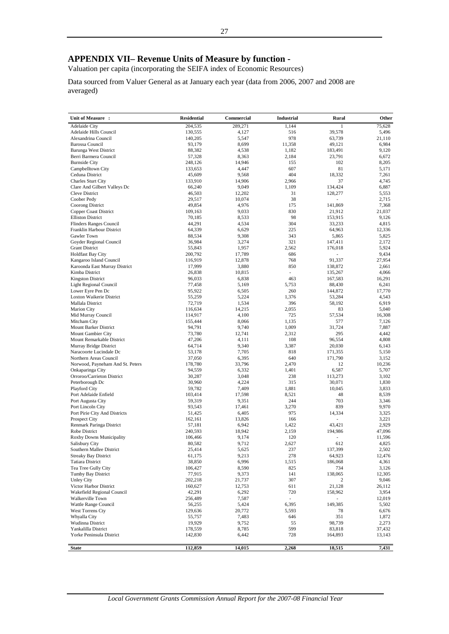Valuation per capita (incorporating the SEIFA index of Economic Resources)

Data sourced from Valuer General as at January each year (data from 2006, 2007 and 2008 are averaged)

| Unit of Measure :                                  | <b>Residential</b> | Commercial     | Industrial               | Rural                    | Other           |
|----------------------------------------------------|--------------------|----------------|--------------------------|--------------------------|-----------------|
| <b>Adelaide City</b>                               | 204.535            | 289.271        | 1,144                    | 1                        | 75.628          |
| Adelaide Hills Council                             | 130,555            | 4,127          | 516                      | 39,578                   | 5,496           |
| Alexandrina Council                                | 140,205            | 5,547          | 978                      | 63,739                   | 21,110          |
| <b>Barossa Council</b>                             | 93,179             | 8,699          | 11,358                   | 49,121                   | 6,984           |
| <b>Barunga West District</b>                       | 88,382             | 4,538          | 1,182                    | 183,491                  | 9,120           |
| Berri Barmera Council                              | 57,328             | 8,363          | 2,184                    | 23,791                   | 6,672           |
| <b>Burnside City</b>                               | 248,126            | 14,946         | 155                      | 102                      | 8,205           |
| Campbelltown City<br>Ceduna District               | 133,653<br>45,609  | 4,447<br>9,568 | 607<br>404               | 81<br>18,332             | 5,171<br>7,261  |
| Charles Sturt City                                 | 133,910            | 14,906         | 2,966                    | 37                       | 4,745           |
| Clare And Gilbert Valleys Dc                       | 66,240             | 9,049          | 1,109                    | 134,424                  | 6,887           |
| Cleve District                                     | 46,503             | 12,202         | 31                       | 128,277                  | 5,553           |
| Coober Pedy                                        | 29,517             | 10,074         | 38                       |                          | 2,715           |
| Coorong District                                   | 49,854             | 4,976          | 175                      | 141,869                  | 7,368           |
| <b>Copper Coast District</b>                       | 109,163            | 9,033          | 830                      | 21,912                   | 21,037          |
| <b>Elliston District</b>                           | 70,185             | 8,533          | 98                       | 153,915                  | 9,126           |
| <b>Flinders Ranges Council</b>                     | 44,291             | 4,534          | 304                      | 33,233                   | 4,815           |
| Franklin Harbour District                          | 64,339             | 6,629          | 225                      | 64,963                   | 12,336          |
| Gawler Town                                        | 88,534             | 9,308          | 343                      | 5,865                    | 5,825           |
| Goyder Regional Council                            | 36,984             | 3,274          | 321                      | 147,411                  | 2,172           |
| <b>Grant District</b>                              | 55,843             | 1,957          | 2,562                    | 176,018                  | 5,924           |
| <b>Holdfast Bay City</b>                           | 200,792            | 17,789         | 686                      | ×.                       | 9,434           |
| Kangaroo Island Council                            | 116,919            | 12,878         | 768                      | 91,337                   | 27,954          |
| Karoonda East Murray District                      | 17,999             | 3,880          | 850                      | 138,872                  | 2,661           |
| Kimba District                                     | 26,838             | 10,815         | ×.                       | 135,267                  | 4,066           |
| <b>Kingston District</b>                           | 96,033             | 6,838          | 463                      | 167,583                  | 16,291          |
| <b>Light Regional Council</b><br>Lower Eyre Pen Dc | 77,458<br>95,922   | 5,169<br>6,505 | 5,753<br>260             | 88,430<br>144,872        | 6,241<br>17,770 |
| Loxton Waikerie District                           | 55,259             | 5,224          | 1,376                    | 53,284                   | 4,543           |
| Mallala District                                   | 72,719             | 1,534          | 396                      | 58,192                   | 6,919           |
| <b>Marion City</b>                                 | 116,634            | 14,215         | 2,055                    | 83                       | 5,040           |
| Mid Murray Council                                 | 114,917            | 4,100          | 725                      | 57,534                   | 16,308          |
| Mitcham City                                       | 155,444            | 8,066          | 1,135                    | 577                      | 7,126           |
| Mount Barker District                              | 94,791             | 9,740          | 1,009                    | 31,724                   | 7,887           |
| Mount Gambier City                                 | 73,780             | 12,741         | 2,312                    | 295                      | 4,442           |
| Mount Remarkable District                          | 47,206             | 4,111          | 108                      | 96,554                   | 4,808           |
| Murray Bridge District                             | 64,714             | 9,340          | 3,387                    | 20,030                   | 6,143           |
| Naracoorte Lucindale Dc                            | 53,178             | 7,705          | 818                      | 171,355                  | 5,150           |
| Northern Areas Council                             | 37,050             | 6,395          | 640                      | 171,790                  | 3,152           |
| Norwood, Payneham And St. Peters                   | 178,780            | 33,796         | 2,470                    | 12                       | 10,236          |
| Onkaparinga City                                   | 94,559             | 6,332          | 1,401                    | 6,587                    | 5,707           |
| Orroroo/Carrieton District                         | 30,287             | 3,048          | 238                      | 113,273                  | 3,102           |
| Peterborough Dc<br>Playford City                   | 30,960<br>59,782   | 4,224<br>7,409 | 315<br>1,881             | 30,071<br>10,045         | 1,830<br>3,833  |
| Port Adelaide Enfield                              | 103,414            | 17,598         | 8,521                    | 48                       | 8,539           |
| Port Augusta City                                  | 59,319             | 9,351          | 244                      | 703                      | 3,346           |
| Port Lincoln City                                  | 93,543             | 17,461         | 3,270                    | 839                      | 9,970           |
| Port Pirie City And Districts                      | 51,425             | 6,405          | 975                      | 14,334                   | 3,325           |
| <b>Prospect City</b>                               | 162,161            | 13,826         | 166                      | ä.                       | 3,221           |
| Renmark Paringa District                           | 57,181             | 6,942          | 1,422                    | 43,421                   | 2,929           |
| Robe District                                      | 240,593            | 18,942         | 2,159                    | 194,986                  | 47,096          |
| Roxby Downs Municipality                           | 106,466            | 9,174          | 120                      | ä,                       | 11,596          |
| Salisbury City                                     | 80,582             | 9,712          | 2,627                    | 612                      | 4,825           |
| Southern Mallee District                           | 25,414             | 5,625          | 237                      | 137,399                  | 2,502           |
| <b>Streaky Bay District</b>                        | 61,175             | 9,213          | 278                      | 64,923                   | 12,476          |
| <b>Tatiara District</b>                            | 38,850             | 6,996          | 1,515                    | 186,068                  | 4,361           |
| Tea Tree Gully City                                | 106,427            | 8,590          | 825                      | 734                      | 3,126           |
| Tumby Bay District                                 | 77,915             | 9,373          | 141                      | 138,065                  | 12,305          |
| <b>Unley City</b>                                  | 202,218            | 21,737         | 307                      | $\overline{c}$           | 9,046           |
| Victor Harbor District                             | 160,627            | 12,753         | 611                      | 21,128                   | 26,112          |
| Wakefield Regional Council                         | 42,291             | 6,292          | 720                      | 158,962                  | 3,954           |
| Walkerville Town                                   | 256,489            | 7,587          | $\overline{\phantom{a}}$ | $\overline{\phantom{a}}$ | 12,019          |
| Wattle Range Council<br>West Torrens Cty           | 56,255             | 5,424          | 6,395                    | 149,385                  | 5,502           |
| Whyalla City                                       | 129,636<br>55,757  | 20,772         | 5,593<br>646             | 78<br>351                | 6,676           |
| Wudinna District                                   | 19,929             | 7,483<br>9,752 | 55                       | 98,739                   | 1,872<br>2,273  |
| Yankalilla District                                | 178,559            | 8,785          | 599                      | 83,818                   | 37,432          |
| Yorke Peninsula District                           | 142,830            | 6,442          | 728                      | 164,893                  | 13,143          |
|                                                    |                    |                |                          |                          |                 |
| <b>State</b>                                       | 112,859            | 14,015         | 2,268                    | 18,515                   | 7,431           |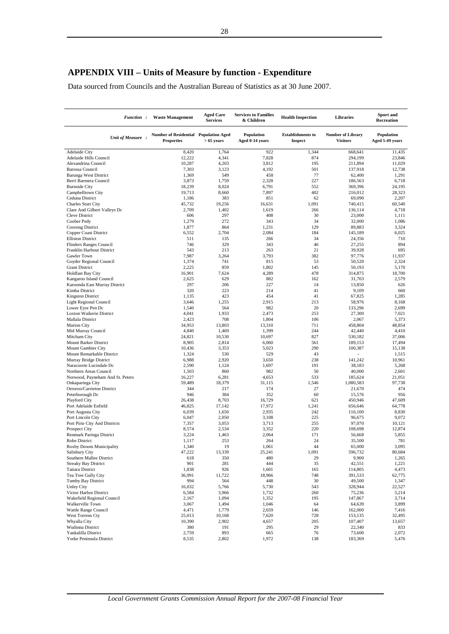# **APPENDIX VIII – Units of Measure by function - Expenditure**

Data sourced from Councils and the Australian Bureau of Statistics as at 30 June 2007.

| <b>Function:</b>                                          | <b>Waste Management</b>                                    | <b>Aged Care</b><br><b>Services</b> | <b>Services to Families</b><br>& Children | <b>Health Inspection</b>                   | Libraries                                   | <b>Sport and</b><br>Recreation |
|-----------------------------------------------------------|------------------------------------------------------------|-------------------------------------|-------------------------------------------|--------------------------------------------|---------------------------------------------|--------------------------------|
| Unit of Measure:                                          | Number of Residential Population Aged<br><b>Properties</b> | $> 65$ years                        | <b>Population</b><br>Aged 0-14 years      | <b>Establishments to</b><br><b>Inspect</b> | <b>Number of Library</b><br><b>Visitors</b> | Population<br>Aged 5-49 years  |
| Adelaide City                                             | 8,420                                                      | 1,764                               | 922                                       | 1,344                                      | 668,641                                     | 11,435                         |
| Adelaide Hills Council                                    | 12,222                                                     | 4,341                               | 7,828                                     | 874                                        | 294,199                                     | 23,846                         |
| Alexandrina Council                                       | 10,287                                                     | 4,203                               | 3,812                                     | 195                                        | 211,894                                     | 11,029                         |
| <b>Barossa Council</b>                                    | 7,303                                                      | 3,123                               | 4,192                                     | 501                                        | 137,918                                     | 12,738                         |
| <b>Barunga West District</b><br>Berri Barmera Council     | 1,369<br>3,873                                             | 549<br>1,759                        | 458<br>2,328                              | 77<br>227                                  | 62,400<br>186,563                           | 1,291<br>6,718                 |
| <b>Burnside City</b>                                      | 18,239                                                     | 8,024                               | 6,791                                     | 552                                        | 369,396                                     | 24,195                         |
| Campbelltown City                                         | 19,713                                                     | 8,660                               | 7,897                                     | 402                                        | 216,012                                     | 28,323                         |
| Ceduna District                                           | 1,186                                                      | 383                                 | 851                                       | 62                                         | 69,090                                      | 2,207                          |
| <b>Charles Sturt City</b>                                 | 45,732                                                     | 19,256                              | 16,631                                    | 1,091                                      | 740,415                                     | 60,540                         |
| Clare And Gilbert Valleys Dc                              | 2,709                                                      | 1,402                               | 1,619                                     | 266                                        | 136,114                                     | 4,718                          |
| <b>Cleve District</b>                                     | 606                                                        | 297                                 | 408                                       | 30                                         | 23,000                                      | 1,111                          |
| Coober Pedy                                               | 1,279                                                      | 272                                 | 343                                       | 34                                         | 32,000                                      | 1,086                          |
| Coorong District                                          | 1,877                                                      | 864                                 | 1,231                                     | 129                                        | 89,883                                      | 3,324                          |
| Copper Coast District                                     | 6,552                                                      | 2,704                               | 2,084                                     | 184                                        | 145,189                                     | 6,025                          |
| <b>Elliston District</b><br>Flinders Ranges Council       | 511<br>746                                                 | 135<br>329                          | 266<br>343                                | 34<br>46                                   | 24,356<br>27,255                            | 710<br>894                     |
| Franklin Harbour District                                 | 543                                                        | 213                                 | 263                                       | 21                                         | 39,928                                      | 695                            |
| Gawler Town                                               | 7,987                                                      | 3,264                               | 3,793                                     | 382                                        | 97,776                                      | 11.937                         |
| Goyder Regional Council                                   | 1,374                                                      | 741                                 | 815                                       | 53                                         | 50,520                                      | 2,324                          |
| <b>Grant District</b>                                     | 2,225                                                      | 859                                 | 1,802                                     | 145                                        | 50,193                                      | 5,170                          |
| <b>Holdfast Bay City</b>                                  | 16,901                                                     | 7,624                               | 4,289                                     | 478                                        | 314,875                                     | 18,700                         |
| Kangaroo Island Council                                   | 2,625                                                      | 629                                 | 882                                       | 162                                        | 31,703                                      | 2,579                          |
| Karoonda East Murray District                             | 297                                                        | 206                                 | 227                                       | 14                                         | 13,850                                      | 626                            |
| Kimba District                                            | 320                                                        | 223                                 | 214                                       | 41                                         | 9,109                                       | 660                            |
| <b>Kingston District</b><br><b>Light Regional Council</b> | 1,135                                                      | 423                                 | 454<br>2,915                              | 41                                         | 67,825                                      | 1,285                          |
| Lower Eyre Pen Dc                                         | 3,646<br>1,540                                             | 1,255<br>564                        | 982                                       | 213<br>20                                  | 58,976<br>133,296                           | 8,168<br>2,699                 |
| <b>Loxton Waikerie District</b>                           | 4,041                                                      | 1,933                               | 2,473                                     | 253                                        | 27,300                                      | 7,021                          |
| Mallala District                                          | 2,423                                                      | 708                                 | 1,804                                     | 106                                        | 2,067                                       | 5,373                          |
| <b>Marion City</b>                                        | 34,953                                                     | 13,803                              | 13,310                                    | 711                                        | 458,804                                     | 48,854                         |
| Mid Murray Council                                        | 4,840                                                      | 1,469                               | 1,399                                     | 244                                        | 42,440                                      | 4,410                          |
| Mitcham City                                              | 24,821                                                     | 10,530                              | 10,697                                    | 827                                        | 530,182                                     | 37,006                         |
| Mount Barker District                                     | 8,905                                                      | 2,814                               | 6,060                                     | 561                                        | 189,153                                     | 17,494                         |
| Mount Gambier City                                        | 10,436                                                     | 3,353                               | 5,023                                     | 290                                        | 100,387                                     | 15,138                         |
| Mount Remarkable District                                 | 1,324                                                      | 530                                 | 529                                       | 43                                         | ٠                                           | 1,515                          |
| Murray Bridge District<br>Naracoorte Lucindale Dc         | 6,988                                                      | 2,920<br>1,124                      | 3,650<br>1,697                            | 238<br>191                                 | 141,242<br>38,183                           | 10,961                         |
| Northern Areas Council                                    | 2,590<br>1,503                                             | 860                                 | 982                                       | 50                                         | 40,000                                      | 5,268<br>2,601                 |
| Norwood, Payneham And St. Peters                          | 16,227                                                     | 6,281                               | 4,653                                     | 533                                        | 185,624                                     | 21,051                         |
| Onkaparinga City                                          | 59,489                                                     | 18,379                              | 31,115                                    | 1,546                                      | 1,080,583                                   | 97,738                         |
| Orroroo/Carrieton District                                | 344                                                        | 217                                 | 174                                       | 27                                         | 21,670                                      | 474                            |
| Peterborough Dc                                           | 946                                                        | 384                                 | 352                                       | 60                                         | 15,576                                      | 956                            |
| Playford City                                             | 26.438                                                     | 8,703                               | 16,729                                    | 621                                        | 450,946                                     | 47,609                         |
| Port Adelaide Enfield                                     | 46,825                                                     | 17.142                              | 17,972                                    | 1,241                                      | 656,646                                     | 64,778                         |
| Port Augusta City                                         | 6,039                                                      | 1,650                               | 2,935                                     | 242                                        | 116,100                                     | 8,830                          |
| Port Lincoln City                                         | 6,047                                                      | 2,050                               | 3,108                                     | 225                                        | 96,675                                      | 9,072                          |
| Port Pirie City And Districts<br>Prospect City            | 7,357<br>8,574                                             | 3,053<br>2,534                      | 3,713<br>3,352                            | 255<br>220                                 | 97,070<br>108,698                           | 10,121<br>12,874               |
| Renmark Paringa District                                  | 3,224                                                      | 1,463                               | 2,064                                     | 171                                        | 56,668                                      | 5,855                          |
| Robe District                                             | 1,117                                                      | 253                                 | 264                                       | 24                                         | 35,500                                      | 781                            |
| Roxby Downs Municipality                                  | 1,340                                                      | 19                                  | 1,061                                     | 44                                         | 65,000                                      | 3,095                          |
| Salisbury City                                            | 47,222                                                     | 13,339                              | 25,241                                    | 1,091                                      | 596,732                                     | 80,684                         |
| Southern Mallee District                                  | 618                                                        | 350                                 | 480                                       | 29                                         | 9,900                                       | 1,265                          |
| <b>Streaky Bay District</b>                               | 901                                                        | 281                                 | 444                                       | 35                                         | 42,551                                      | 1,221                          |
| <b>Tatiara District</b>                                   | 1,838                                                      | 926                                 | 1,601                                     | 165                                        | 114,805                                     | 4,473                          |
| Tea Tree Gully City                                       | 36,991                                                     | 11,722                              | 18,966                                    | 748                                        | 391,533                                     | 62,775                         |
| Tumby Bay District<br><b>Unley City</b>                   | 994<br>16,032                                              | 564<br>5,766                        | 448<br>5,730                              | 30<br>543                                  | 49,500<br>328,944                           | 1,347<br>22,527                |
| Victor Harbor District                                    | 6,584                                                      | 3,966                               | 1,732                                     | 260                                        | 75,236                                      | 5,214                          |
| Wakefield Regional Council                                | 2,167                                                      | 1,094                               | 1,352                                     | 195                                        | 147,867                                     | 3,714                          |
| Walkerville Town                                          | 3,067                                                      | 1,494                               | 1,046                                     | 64                                         | 64,639                                      | 3,899                          |
| Wattle Range Council                                      | 4,471                                                      | 1,779                               | 2,659                                     | 146                                        | 162,000                                     | 7,416                          |
| West Torrens Cty                                          | 25,013                                                     | 10,168                              | 7,620                                     | 728                                        | 153,135                                     | 32,495                         |
| Whyalla City                                              | 10,390                                                     | 2,902                               | 4,657                                     | 205                                        | 107,407                                     | 13,657                         |
| Wudinna District                                          | 380                                                        | 191                                 | 295                                       | 29                                         | 22,340                                      | 833                            |
| Yankalilla District                                       | 2,759                                                      | 893                                 | 665                                       | 76                                         | 73,600                                      | 2,072                          |
| Yorke Peninsula District                                  | 8,535                                                      | 2,802                               | 1,972                                     | 138                                        | 183,369                                     | 5,476                          |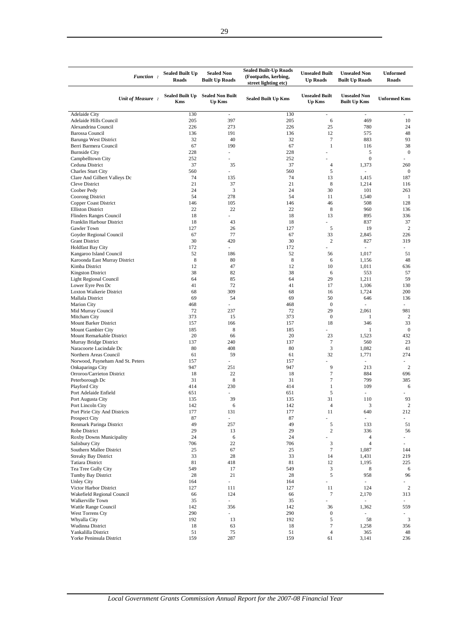| <b>Function:</b>                                      | <b>Sealed Built Up</b><br><b>Roads</b> | <b>Sealed Non</b><br><b>Built Up Roads</b> | <b>Sealed Built-Up Roads</b><br>(Footpaths, kerbing,<br>street lighting etc) | <b>Unsealed Built</b><br><b>Up Roads</b> | <b>Unsealed Non</b><br><b>Built Up Roads</b> | <b>Unformed</b><br><b>Roads</b> |
|-------------------------------------------------------|----------------------------------------|--------------------------------------------|------------------------------------------------------------------------------|------------------------------------------|----------------------------------------------|---------------------------------|
| Unit of Measure:                                      | <b>Sealed Built Up</b><br><b>Kms</b>   | <b>Sealed Non Built</b><br><b>Up Kms</b>   | <b>Sealed Built Up Kms</b>                                                   | <b>Unsealed Built</b><br><b>Up Kms</b>   | <b>Unsealed Non</b><br><b>Built Up Kms</b>   | <b>Unformed Kms</b>             |
| Adelaide City                                         | 130                                    |                                            | 130                                                                          | ÷,                                       | ÷,                                           |                                 |
| Adelaide Hills Council                                | 205                                    | 397                                        | 205                                                                          | 6                                        | 469                                          | 10                              |
| Alexandrina Council                                   | 226                                    | 273                                        | 226                                                                          | 25                                       | 780                                          | 24                              |
| <b>Barossa Council</b>                                | 136<br>32                              | 191<br>40                                  | 136<br>32                                                                    | 12<br>$\tau$                             | 575<br>883                                   | 48<br>93                        |
| <b>Barunga West District</b><br>Berri Barmera Council | 67                                     | 190                                        | 67                                                                           | $\mathbf{1}$                             | 116                                          | 38                              |
| <b>Burnside City</b>                                  | 228                                    | ä,                                         | 228                                                                          |                                          | 5                                            | $\mathbf{0}$                    |
| Campbelltown City                                     | 252                                    |                                            | 252                                                                          |                                          | $\boldsymbol{0}$                             |                                 |
| Ceduna District                                       | 37                                     | 35                                         | 37                                                                           | $\overline{4}$                           | 1,373                                        | 260                             |
| <b>Charles Sturt City</b>                             | 560                                    |                                            | 560                                                                          | 5                                        | ä,                                           | $\mathbf{0}$                    |
| Clare And Gilbert Valleys Dc                          | 74                                     | 135                                        | 74                                                                           | 13                                       | 1,415                                        | 187                             |
| Cleve District                                        | 21                                     | 37                                         | 21                                                                           | 8                                        | 1,214                                        | 116                             |
| Coober Pedy                                           | 24                                     | 3                                          | 24                                                                           | 30                                       | 101                                          | 263                             |
| Coorong District                                      | 54                                     | 278                                        | 54                                                                           | 11                                       | 1,540                                        | 1                               |
| Copper Coast District                                 | 146                                    | 105                                        | 146                                                                          | 46                                       | 508                                          | 128                             |
| <b>Elliston District</b>                              | 22                                     | 22                                         | 22                                                                           | 8                                        | 960                                          | 136                             |
| Flinders Ranges Council                               | 18                                     |                                            | 18                                                                           | 13                                       | 895                                          | 336                             |
| Franklin Harbour District                             | 18                                     | 43                                         | 18                                                                           |                                          | 837                                          | 37                              |
| Gawler Town                                           | 127                                    | 26                                         | 127                                                                          | 5                                        | 19                                           | $\overline{c}$                  |
| Goyder Regional Council                               | 67<br>30                               | 77<br>420                                  | 67<br>30                                                                     | 33<br>$\boldsymbol{2}$                   | 2,845                                        | 226<br>319                      |
| <b>Grant District</b><br><b>Holdfast Bay City</b>     | 172                                    | $\sim$                                     | 172                                                                          |                                          | 827                                          |                                 |
| Kangaroo Island Council                               | 52                                     | 186                                        | 52                                                                           | 56                                       | 1,017                                        | 51                              |
| Karoonda East Murray District                         | 8                                      | 80                                         | 8                                                                            | 6                                        | 1,156                                        | 48                              |
| Kimba District                                        | 12                                     | 47                                         | 12                                                                           | 10                                       | 1,011                                        | 636                             |
| <b>Kingston District</b>                              | 38                                     | 82                                         | 38                                                                           | 6                                        | 553                                          | 57                              |
| Light Regional Council                                | 64                                     | 85                                         | 64                                                                           | 29                                       | 1,211                                        | 59                              |
| Lower Eyre Pen Dc                                     | 41                                     | 72                                         | 41                                                                           | 17                                       | 1,106                                        | 130                             |
| Loxton Waikerie District                              | 68                                     | 309                                        | 68                                                                           | 16                                       | 1,724                                        | 200                             |
| Mallala District                                      | 69                                     | 54                                         | 69                                                                           | 50                                       | 646                                          | 136                             |
| <b>Marion City</b>                                    | 468                                    | ÷.                                         | 468                                                                          | $\boldsymbol{0}$                         | L,                                           |                                 |
| Mid Murray Council                                    | 72                                     | 237                                        | 72                                                                           | 29                                       | 2,061                                        | 981                             |
| Mitcham City                                          | 373                                    | 15                                         | 373                                                                          | $\boldsymbol{0}$                         | $\mathbf{1}$                                 | 2                               |
| Mount Barker District                                 | 157                                    | 166                                        | 157                                                                          | 18                                       | 346                                          | 33                              |
| Mount Gambier City                                    | 185                                    | 8                                          | 185                                                                          |                                          | $\mathbf{1}$                                 | $\mathbf{0}$                    |
| Mount Remarkable District                             | 20<br>137                              | 66<br>240                                  | 20<br>137                                                                    | 23<br>7                                  | 1,523<br>560                                 | 432<br>23                       |
| Murray Bridge District<br>Naracoorte Lucindale Dc     | 80                                     | 408                                        | 80                                                                           | 3                                        | 1,082                                        | 41                              |
| Northern Areas Council                                | 61                                     | 59                                         | 61                                                                           | 32                                       | 1,771                                        | 274                             |
| Norwood, Payneham And St. Peters                      | 157                                    | $\sim$                                     | 157                                                                          |                                          | ä,                                           |                                 |
| Onkaparinga City                                      | 947                                    | 251                                        | 947                                                                          | 9                                        | 213                                          | $\overline{2}$                  |
| Orroroo/Carrieton District                            | 18                                     | 22                                         | 18                                                                           | 7                                        | 884                                          | 696                             |
| Peterborough Dc                                       | 31                                     | $\,$ 8 $\,$                                | 31                                                                           | $\tau$                                   | 799                                          | 385                             |
| Playford City                                         | 414                                    | 230                                        | 414                                                                          | $\mathbf{1}$                             | 109                                          | 6                               |
| Port Adelaide Enfield                                 | 651                                    | $\sim$                                     | 651                                                                          | 5                                        | $\overline{\phantom{0}}$                     |                                 |
| Port Augusta City                                     | 135                                    | 39                                         | 135                                                                          | 31                                       | 110                                          | 93                              |
| Port Lincoln City                                     | 142                                    | 6                                          | 142                                                                          | $\sqrt{4}$                               | 3                                            | $\boldsymbol{2}$                |
| Port Pirie City And Districts                         | 177                                    | 131                                        | 177                                                                          | 11                                       | 640                                          | 212                             |
| Prospect City                                         | 87                                     | ÷.                                         | 87                                                                           | ä,                                       | ä,                                           | ÷.                              |
| Renmark Paringa District                              | 49                                     | 257                                        | 49                                                                           | 5                                        | 133                                          | 51                              |
| Robe District                                         | 29<br>24                               | 13<br>6                                    | 29<br>24                                                                     | $\overline{c}$                           | 336<br>$\overline{4}$                        | 56<br>$\overline{\phantom{a}}$  |
| Roxby Downs Municipality<br>Salisbury City            | 706                                    | 22                                         | 706                                                                          | 3                                        | $\overline{4}$                               | ×.                              |
| Southern Mallee District                              | 25                                     | 67                                         | 25                                                                           | $\boldsymbol{7}$                         | 1,087                                        | 144                             |
| <b>Streaky Bay District</b>                           | 33                                     | 28                                         | 33                                                                           | 14                                       | 1,431                                        | 219                             |
| <b>Tatiara District</b>                               | 81                                     | 418                                        | 81                                                                           | 12                                       | 1,195                                        | 225                             |
| Tea Tree Gully City                                   | 549                                    | 17                                         | 549                                                                          | 3                                        | $\,$ 8 $\,$                                  | 6                               |
| Tumby Bay District                                    | 28                                     | 21                                         | 28                                                                           | 5                                        | 958                                          | 96                              |
| <b>Unley City</b>                                     | 164                                    | $\omega$                                   | 164                                                                          | ÷,                                       |                                              |                                 |
| Victor Harbor District                                | 127                                    | 111                                        | 127                                                                          | 11                                       | 124                                          | $\sqrt{2}$                      |
| Wakefield Regional Council                            | 66                                     | 124                                        | 66                                                                           | 7                                        | 2,170                                        | 313                             |
| Walkerville Town                                      | 35                                     | $\blacksquare$                             | 35                                                                           | ÷,                                       | ÷,                                           |                                 |
| Wattle Range Council                                  | 142                                    | 356                                        | 142                                                                          | 36                                       | 1,362                                        | 559                             |
| West Torrens Cty                                      | 290                                    | $\overline{\phantom{a}}$                   | 290                                                                          | $\boldsymbol{0}$                         | $\overline{\phantom{a}}$                     |                                 |
| Whyalla City                                          | 192                                    | 13                                         | 192                                                                          | 5                                        | 58                                           | 3                               |
| Wudinna District<br>Yankalilla District               | 18<br>51                               | 63<br>75                                   | 18<br>51                                                                     | 7<br>$\sqrt{4}$                          | 1,258<br>365                                 | 356<br>48                       |
| Yorke Peninsula District                              | 159                                    | 287                                        | 159                                                                          | 61                                       | 3,141                                        | 236                             |
|                                                       |                                        |                                            |                                                                              |                                          |                                              |                                 |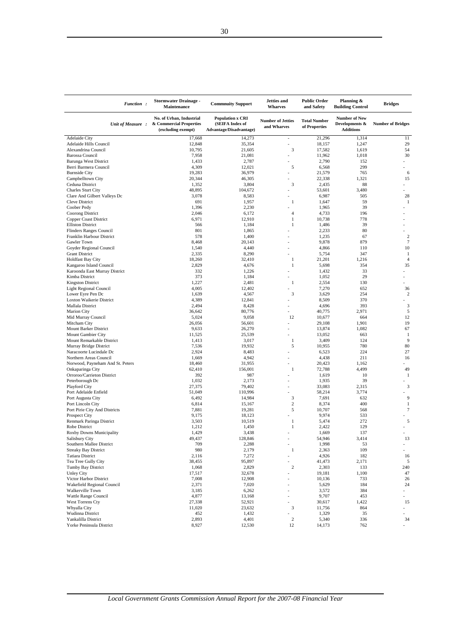| Function:                                                 | <b>Stormwater Drainage -</b><br>Maintenance                               | <b>Commnuity Support</b>                                              | <b>Jetties</b> and<br><b>Wharves</b>    | <b>Public Order</b><br>and Safety    | Planning &<br><b>Building Control</b>                      | <b>Bridges</b>           |
|-----------------------------------------------------------|---------------------------------------------------------------------------|-----------------------------------------------------------------------|-----------------------------------------|--------------------------------------|------------------------------------------------------------|--------------------------|
| Unit of Measure:                                          | No. of Urban, Industrial<br>& Commercial Properties<br>(excluding exempt) | <b>Population x CRI</b><br>(SEIFA Index of<br>Advantage/Disadvantage) | <b>Number of Jetties</b><br>and Wharves | <b>Total Number</b><br>of Properties | <b>Number of New</b><br>Developments &<br><b>Additions</b> | <b>Number of Bridges</b> |
| <b>Adelaide City</b>                                      | 17,668                                                                    | 14,273                                                                | $\overline{a}$                          | 21,296                               | 1,314                                                      | 11                       |
| Adelaide Hills Council                                    | 12,848                                                                    | 35,354                                                                | ÷                                       | 18,157                               | 1,247                                                      | 29                       |
| Alexandrina Council<br><b>Barossa Council</b>             | 10,795<br>7,958                                                           | 21,605<br>21,081                                                      | 3                                       | 17,582<br>11,962                     | 1,619<br>1,018                                             | 54<br>30                 |
| Barunga West District                                     | 1,433                                                                     | 2,787                                                                 |                                         | 2,790                                | 152                                                        |                          |
| Berri Barmera Council                                     | 4,309                                                                     | 12,021                                                                | 5                                       | 6,568                                | 299                                                        |                          |
| <b>Burnside City</b>                                      | 19,283                                                                    | 36,979                                                                |                                         | 21,579                               | 765                                                        | 6                        |
| Campbelltown City                                         | 20,344                                                                    | 46,305                                                                |                                         | 22,338                               | 1,321                                                      | 15                       |
| Ceduna District                                           | 1,352                                                                     | 3,804                                                                 | 3                                       | 2,435                                | 88                                                         |                          |
| <b>Charles Sturt City</b><br>Clare And Gilbert Valleys Dc | 48,895<br>3,078                                                           | 104,672                                                               |                                         | 53,601<br>6,987                      | 3,480<br>505                                               | 28                       |
| <b>Cleve District</b>                                     | 691                                                                       | 8,583<br>1,957                                                        | 1                                       | 1,647                                | 59                                                         | 1                        |
| Coober Pedy                                               | 1,396                                                                     | 2,230                                                                 |                                         | 1,965                                | 39                                                         |                          |
| Coorong District                                          | 2,046                                                                     | 6,172                                                                 | 4                                       | 4,733                                | 196                                                        |                          |
| Copper Coast District                                     | 6,971                                                                     | 12,910                                                                | $\mathbf{1}$                            | 10,738                               | 778                                                        |                          |
| <b>Elliston District</b>                                  | 566                                                                       | 1,184                                                                 | $\mathbf{1}$                            | 1,486                                | 39                                                         |                          |
| <b>Flinders Ranges Council</b>                            | 801                                                                       | 1,865                                                                 |                                         | 2,233                                | 80                                                         |                          |
| Franklin Harbour District<br>Gawler Town                  | 578<br>8,468                                                              | 1,400                                                                 |                                         | 1,235<br>9,878                       | 67<br>879                                                  | $\sqrt{2}$<br>$\tau$     |
| Goyder Regional Council                                   | 1,540                                                                     | 20,143<br>4,440                                                       |                                         | 4,866                                | 110                                                        | 10                       |
| <b>Grant District</b>                                     | 2,335                                                                     | 8,290                                                                 |                                         | 5,754                                | 347                                                        | $\mathbf{1}$             |
| <b>Holdfast Bay City</b>                                  | 18,260                                                                    | 32,410                                                                | $\mathbf{1}$                            | 21,201                               | 1,216                                                      | $\overline{4}$           |
| Kangaroo Island Council                                   | 2,829                                                                     | 4,676                                                                 | $\mathbf{1}$                            | 5,698                                | 354                                                        | 35                       |
| Karoonda East Murray District                             | 332                                                                       | 1,226                                                                 |                                         | 1,432                                | 33                                                         |                          |
| Kimba District                                            | 373                                                                       | 1,184                                                                 |                                         | 1,052                                | 29                                                         |                          |
| <b>Kingston District</b>                                  | 1,227<br>4,005                                                            | 2,481<br>12,402                                                       | $\mathbf{1}$                            | 2,554<br>7,270                       | 130<br>652                                                 | 36                       |
| Light Regional Council<br>Lower Eyre Pen Dc               | 1,639                                                                     | 4,567                                                                 | 3                                       | 3,629                                | 254                                                        | 2                        |
| Loxton Waikerie District                                  | 4,389                                                                     | 12,841                                                                |                                         | 8,509                                | 370                                                        |                          |
| Mallala District                                          | 2,494                                                                     | 8,428                                                                 |                                         | 4,696                                | 393                                                        | $\mathfrak z$            |
| <b>Marion City</b>                                        | 36,642                                                                    | 80,776                                                                |                                         | 40,775                               | 2,971                                                      | 5                        |
| Mid Murray Council                                        | 5,024                                                                     | 9,058                                                                 | 12                                      | 10,677                               | 664                                                        | 12                       |
| Mitcham City                                              | 26,056                                                                    | 56,601                                                                |                                         | 29,108                               | 1,901                                                      | 19                       |
| Mount Barker District<br>Mount Gambier City               | 9,633<br>11,525                                                           | 26,270<br>25,539                                                      | $\overline{a}$                          | 13,874<br>13,052                     | 1,082<br>663                                               | 67<br>$\mathbf{1}$       |
| Mount Remarkable District                                 | 1,413                                                                     | 3,017                                                                 | 1                                       | 3,409                                | 124                                                        | 9                        |
| Murray Bridge District                                    | 7,536                                                                     | 19,932                                                                | 5                                       | 10,955                               | 780                                                        | 80                       |
| Naracoorte Lucindale Dc                                   | 2,924                                                                     | 8,483                                                                 |                                         | 6,523                                | 224                                                        | 27                       |
| Northern Areas Council                                    | 1,669                                                                     | 4,942                                                                 |                                         | 4,438                                | 211                                                        | 16                       |
| Norwood, Payneham And St. Peters                          | 18,460                                                                    | 31,955                                                                |                                         | 20,423                               | 1,162                                                      |                          |
| Onkaparinga City                                          | 62,410                                                                    | 156,001                                                               | $\mathbf{1}$                            | 72,788                               | 4,499                                                      | 49                       |
| Orroroo/Carrieton District<br>Peterborough Dc             | 392<br>1,032                                                              | 987<br>2,173                                                          |                                         | 1,619<br>1,935                       | 10<br>39                                                   | $\mathbf{1}$             |
| Playford City                                             | 27,375                                                                    | 79,402                                                                |                                         | 33,083                               | 2,315                                                      | $\mathfrak{Z}$           |
| Port Adelaide Enfield                                     | 51,049                                                                    | 110,996                                                               |                                         | 58,214                               | 3,774                                                      |                          |
| Port Augusta City                                         | 6,492                                                                     | 14,984                                                                | 3                                       | 7,691                                | 632                                                        | 9                        |
| Port Lincoln City                                         | 6,814                                                                     | 15,167                                                                | $\overline{2}$                          | 8,374                                | 400                                                        | $\mathbf{1}$             |
| Port Pirie City And Districts                             | 7,881                                                                     | 19,281                                                                | 5                                       | 10,707                               | 568                                                        | 7                        |
| <b>Prospect City</b><br>Renmark Paringa District          | 9,175<br>3,503                                                            | 18,123<br>10,519                                                      | $\mathbf{1}$                            | 9,974<br>5,474                       | 533<br>272                                                 | 5                        |
| Robe District                                             | 1,212                                                                     | 1,450                                                                 | $\mathbf{1}$                            | 2,422                                | 129                                                        |                          |
| Roxby Downs Municipality                                  | 1,429                                                                     | 3,438                                                                 |                                         | 1,669                                | 137                                                        | $\overline{a}$           |
| Salisbury City                                            | 49,437                                                                    | 128,846                                                               | ÷                                       | 54,946                               | 3,414                                                      | 13                       |
| Southern Mallee District                                  | 709                                                                       | 2,288                                                                 |                                         | 1,998                                | 53                                                         |                          |
| <b>Streaky Bay District</b>                               | 980                                                                       | 2,179                                                                 | $\mathbf{1}$                            | 2,363                                | 109                                                        |                          |
| Tatiara District<br>Tea Tree Gully City                   | 2,116<br>38,455                                                           | 7,272<br>95,897                                                       | ÷<br>٠                                  | 4,926<br>41,473                      | 182<br>2,171                                               | 16<br>5                  |
| Tumby Bay District                                        | 1,068                                                                     | 2,829                                                                 | $\sqrt{2}$                              | 2,303                                | 133                                                        | 240                      |
| <b>Unley City</b>                                         | 17,517                                                                    | 32,678                                                                | $\overline{a}$                          | 19,181                               | 1,100                                                      | 47                       |
| Victor Harbor District                                    | 7,008                                                                     | 12,908                                                                |                                         | 10,136                               | 733                                                        | 26                       |
| Wakefield Regional Council                                | 2,371                                                                     | 7,020                                                                 | $\overline{a}$                          | 5,629                                | 184                                                        | 24                       |
| Walkerville Town                                          | 3,185                                                                     | 6,262                                                                 | ÷                                       | 3,572                                | 384                                                        |                          |
| Wattle Range Council                                      | 4,877                                                                     | 13,168                                                                |                                         | 9,707                                | 453                                                        |                          |
| West Torrens Cty<br>Whyalla City                          | 27,338<br>11,020                                                          | 52,921<br>23,632                                                      | 3                                       | 30,617<br>11,756                     | 1,422<br>864                                               | 15                       |
| Wudinna District                                          | 452                                                                       | 1,432                                                                 |                                         | 1,329                                | 35                                                         |                          |
| Yankalilla District                                       | 2,893                                                                     | 4,401                                                                 | $\sqrt{2}$                              | 5,340                                | 336                                                        | 34                       |
| Yorke Peninsula District                                  | 8,927                                                                     | 12,530                                                                | 12                                      | 14,173                               | 762                                                        |                          |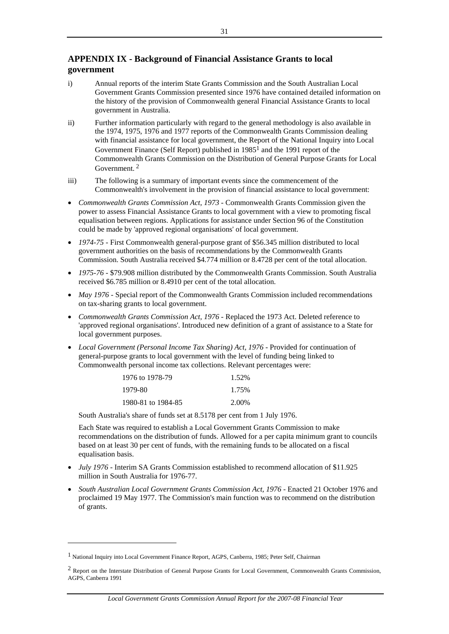# **APPENDIX IX - Background of Financial Assistance Grants to local government**

- i) Annual reports of the interim State Grants Commission and the South Australian Local Government Grants Commission presented since 1976 have contained detailed information on the history of the provision of Commonwealth general Financial Assistance Grants to local government in Australia.
- ii) Further information particularly with regard to the general methodology is also available in the 1974, 1975, 1976 and 1977 reports of the Commonwealth Grants Commission dealing with financial assistance for local government, the Report of the National Inquiry into Local Government Finance (Self Report) published in  $1985<sup>1</sup>$  and the 1991 report of the Commonwealth Grants Commission on the Distribution of General Purpose Grants for Local Government. 2
- iii) The following is a summary of important events since the commencement of the Commonwealth's involvement in the provision of financial assistance to local government:
- *Commonwealth Grants Commission Act, 1973* Commonwealth Grants Commission given the power to assess Financial Assistance Grants to local government with a view to promoting fiscal equalisation between regions. Applications for assistance under Section 96 of the Constitution could be made by 'approved regional organisations' of local government.
- 1974-75 First Commonwealth general-purpose grant of \$56.345 million distributed to local government authorities on the basis of recommendations by the Commonwealth Grants Commission. South Australia received \$4.774 million or 8.4728 per cent of the total allocation.
- 1975-76 \$79.908 million distributed by the Commonwealth Grants Commission. South Australia received \$6.785 million or 8.4910 per cent of the total allocation.
- *May 1976* Special report of the Commonwealth Grants Commission included recommendations on tax-sharing grants to local government.
- *Commonwealth Grants Commission Act, 1976* Replaced the 1973 Act. Deleted reference to 'approved regional organisations'. Introduced new definition of a grant of assistance to a State for local government purposes.
- Local Government (Personal Income Tax Sharing) Act, 1976 Provided for continuation of general-purpose grants to local government with the level of funding being linked to Commonwealth personal income tax collections. Relevant percentages were:

| 1976 to 1978-79    | 1.52% |
|--------------------|-------|
| 1979-80            | 1.75% |
| 1980-81 to 1984-85 | 2.00% |

South Australia's share of funds set at 8.5178 per cent from 1 July 1976.

Each State was required to establish a Local Government Grants Commission to make recommendations on the distribution of funds. Allowed for a per capita minimum grant to councils based on at least 30 per cent of funds, with the remaining funds to be allocated on a fiscal equalisation basis.

- *July 1976* Interim SA Grants Commission established to recommend allocation of \$11.925 million in South Australia for 1976-77.
- *South Australian Local Government Grants Commission Act, 1976* Enacted 21 October 1976 and proclaimed 19 May 1977. The Commission's main function was to recommend on the distribution of grants.

-

<sup>1</sup> National Inquiry into Local Government Finance Report, AGPS, Canberra, 1985; Peter Self, Chairman

<sup>&</sup>lt;sup>2</sup> Report on the Interstate Distribution of General Purpose Grants for Local Government, Commonwealth Grants Commission, AGPS, Canberra 1991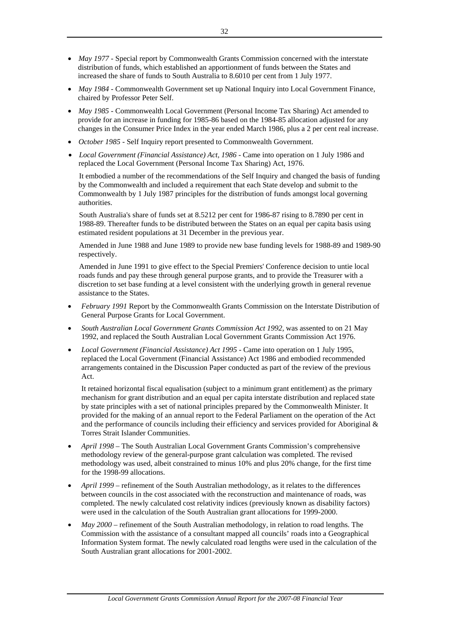- *May 1977* Special report by Commonwealth Grants Commission concerned with the interstate distribution of funds, which established an apportionment of funds between the States and increased the share of funds to South Australia to 8.6010 per cent from 1 July 1977.
- *May 1984* Commonwealth Government set up National Inquiry into Local Government Finance, chaired by Professor Peter Self.
- *May 1985* Commonwealth Local Government (Personal Income Tax Sharing) Act amended to provide for an increase in funding for 1985-86 based on the 1984-85 allocation adjusted for any changes in the Consumer Price Index in the year ended March 1986, plus a 2 per cent real increase.
- *October 1985* Self Inquiry report presented to Commonwealth Government.
- *Local Government (Financial Assistance) Act, 1986 Came into operation on 1 July 1986 and* replaced the Local Government (Personal Income Tax Sharing) Act, 1976.

It embodied a number of the recommendations of the Self Inquiry and changed the basis of funding by the Commonwealth and included a requirement that each State develop and submit to the Commonwealth by 1 July 1987 principles for the distribution of funds amongst local governing authorities.

South Australia's share of funds set at 8.5212 per cent for 1986-87 rising to 8.7890 per cent in 1988-89. Thereafter funds to be distributed between the States on an equal per capita basis using estimated resident populations at 31 December in the previous year.

Amended in June 1988 and June 1989 to provide new base funding levels for 1988-89 and 1989-90 respectively.

Amended in June 1991 to give effect to the Special Premiers' Conference decision to untie local roads funds and pay these through general purpose grants, and to provide the Treasurer with a discretion to set base funding at a level consistent with the underlying growth in general revenue assistance to the States.

- *February 1991* Report by the Commonwealth Grants Commission on the Interstate Distribution of General Purpose Grants for Local Government.
- *South Australian Local Government Grants Commission Act 1992,* was assented to on 21 May 1992, and replaced the South Australian Local Government Grants Commission Act 1976.
- *Local Government (Financial Assistance) Act 1995* Came into operation on 1 July 1995, replaced the Local Government (Financial Assistance) Act 1986 and embodied recommended arrangements contained in the Discussion Paper conducted as part of the review of the previous Act.

It retained horizontal fiscal equalisation (subject to a minimum grant entitlement) as the primary mechanism for grant distribution and an equal per capita interstate distribution and replaced state by state principles with a set of national principles prepared by the Commonwealth Minister. It provided for the making of an annual report to the Federal Parliament on the operation of the Act and the performance of councils including their efficiency and services provided for Aboriginal & Torres Strait Islander Communities.

- *April 1998* The South Australian Local Government Grants Commission's comprehensive methodology review of the general-purpose grant calculation was completed. The revised methodology was used, albeit constrained to minus 10% and plus 20% change, for the first time for the 1998-99 allocations.
- *April 1999*  refinement of the South Australian methodology, as it relates to the differences between councils in the cost associated with the reconstruction and maintenance of roads, was completed. The newly calculated cost relativity indices (previously known as disability factors) were used in the calculation of the South Australian grant allocations for 1999-2000.
- *May 2000*  refinement of the South Australian methodology, in relation to road lengths. The Commission with the assistance of a consultant mapped all councils' roads into a Geographical Information System format. The newly calculated road lengths were used in the calculation of the South Australian grant allocations for 2001-2002.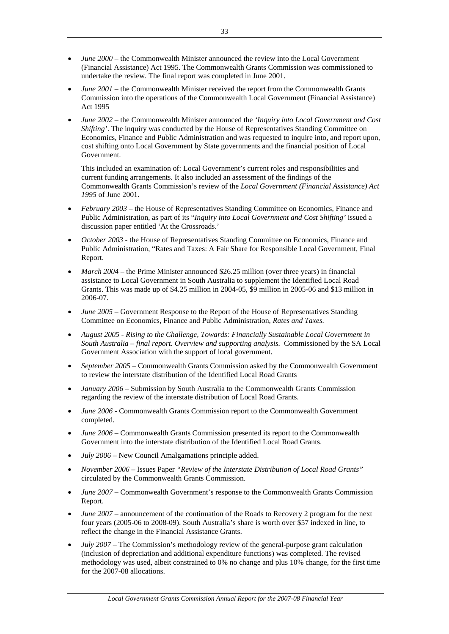- *June 2000*  the Commonwealth Minister announced the review into the Local Government (Financial Assistance) Act 1995. The Commonwealth Grants Commission was commissioned to undertake the review. The final report was completed in June 2001.
- *June 2001* the Commonwealth Minister received the report from the Commonwealth Grants Commission into the operations of the Commonwealth Local Government (Financial Assistance) Act 1995
- *June 2002*  the Commonwealth Minister announced the *'Inquiry into Local Government and Cost Shifting'*. The inquiry was conducted by the House of Representatives Standing Committee on Economics, Finance and Public Administration and was requested to inquire into, and report upon, cost shifting onto Local Government by State governments and the financial position of Local Government.

This included an examination of: Local Government's current roles and responsibilities and current funding arrangements. It also included an assessment of the findings of the Commonwealth Grants Commission's review of the *Local Government (Financial Assistance) Act 1995* of June 2001.

- *February 2003*  the House of Representatives Standing Committee on Economics, Finance and Public Administration, as part of its "*Inquiry into Local Government and Cost Shifting'* issued a discussion paper entitled 'At the Crossroads.'
- *October 2003 the House of Representatives Standing Committee on Economics, Finance and* Public Administration, "Rates and Taxes: A Fair Share for Responsible Local Government, Final Report.
- *March 2004*  the Prime Minister announced \$26.25 million (over three years) in financial assistance to Local Government in South Australia to supplement the Identified Local Road Grants. This was made up of \$4.25 million in 2004-05, \$9 million in 2005-06 and \$13 million in 2006-07.
- *June 2005 –* Government Response to the Report of the House of Representatives Standing Committee on Economics, Finance and Public Administration, *Rates and Taxes.*
- *August 2005 Rising to the Challenge, Towards: Financially Sustainable Local Government in South Australia – final report. Overview and supporting analysis.* Commissioned by the SA Local Government Association with the support of local government.
- *September 2005* Commonwealth Grants Commission asked by the Commonwealth Government to review the interstate distribution of the Identified Local Road Grants
- *January 2006* Submission by South Australia to the Commonwealth Grants Commission regarding the review of the interstate distribution of Local Road Grants.
- *June 2006* Commonwealth Grants Commission report to the Commonwealth Government completed.
- *June 2006* Commonwealth Grants Commission presented its report to the Commonwealth Government into the interstate distribution of the Identified Local Road Grants.
- *July 2006* New Council Amalgamations principle added.
- *November 2006* Issues Paper *"Review of the Interstate Distribution of Local Road Grants"*  circulated by the Commonwealth Grants Commission.
- *June 2007* Commonwealth Government's response to the Commonwealth Grants Commission Report.
- *June 2007* announcement of the continuation of the Roads to Recovery 2 program for the next four years (2005-06 to 2008-09). South Australia's share is worth over \$57 indexed in line, to reflect the change in the Financial Assistance Grants.
- *July 2007* The Commission's methodology review of the general-purpose grant calculation (inclusion of depreciation and additional expenditure functions) was completed. The revised methodology was used, albeit constrained to 0% no change and plus 10% change, for the first time for the 2007-08 allocations.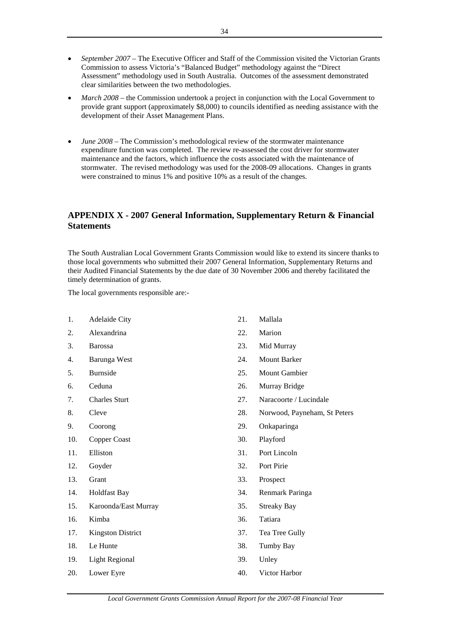- *September 2007*  The Executive Officer and Staff of the Commission visited the Victorian Grants Commission to assess Victoria's "Balanced Budget" methodology against the "Direct Assessment" methodology used in South Australia. Outcomes of the assessment demonstrated clear similarities between the two methodologies.
- March 2008 the Commission undertook a project in conjunction with the Local Government to provide grant support (approximately \$8,000) to councils identified as needing assistance with the development of their Asset Management Plans.
- *June 2008* The Commission's methodological review of the stormwater maintenance expenditure function was completed. The review re-assessed the cost driver for stormwater maintenance and the factors, which influence the costs associated with the maintenance of stormwater. The revised methodology was used for the 2008-09 allocations. Changes in grants were constrained to minus 1% and positive 10% as a result of the changes.

# **APPENDIX X - 2007 General Information, Supplementary Return & Financial Statements**

The South Australian Local Government Grants Commission would like to extend its sincere thanks to those local governments who submitted their 2007 General Information, Supplementary Returns and their Audited Financial Statements by the due date of 30 November 2006 and thereby facilitated the timely determination of grants.

The local governments responsible are:-

- 1. Adelaide City
- 2. Alexandrina
- 3. Barossa
- 4. Barunga West
- 5. Burnside
- 6. Ceduna
- 7. Charles Sturt
- 8. Cleve
- 9. Coorong
- 10. Copper Coast
- 11. Elliston
- 12. Goyder
- 13. Grant
- 14. Holdfast Bay
- 15. Karoonda/East Murray
- 16. Kimba
- 17. Kingston District
- 18. Le Hunte
- 19. Light Regional
- 20. Lower Eyre
- 21. Mallala
- 22. Marion
- 23. Mid Murray
- 24. Mount Barker
- 25. Mount Gambier
- 26. Murray Bridge
- 27. Naracoorte / Lucindale
- 28. Norwood, Payneham, St Peters
- 29. Onkaparinga
- 30. Playford
- 31. Port Lincoln
- 32. Port Pirie
- 33. Prospect
- 34. Renmark Paringa
- 35. Streaky Bay
- 36. Tatiara
- 37. Tea Tree Gully
- 38. Tumby Bay
- 39. Unley
- 40. Victor Harbor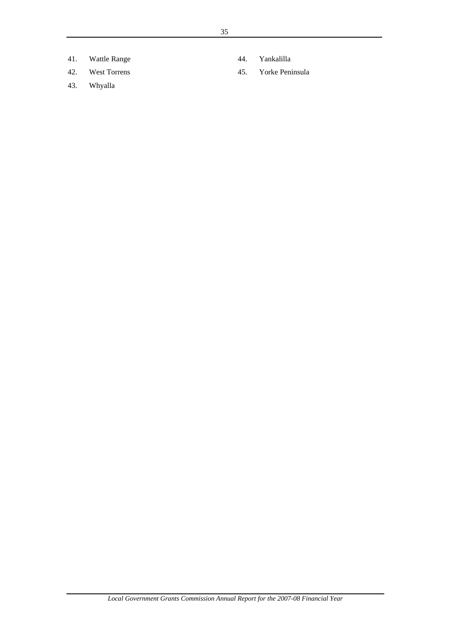- 41. Wattle Range
- 42. West Torrens
- 43. Whyalla
- 44. Yankalilla
- 45. Yorke Peninsula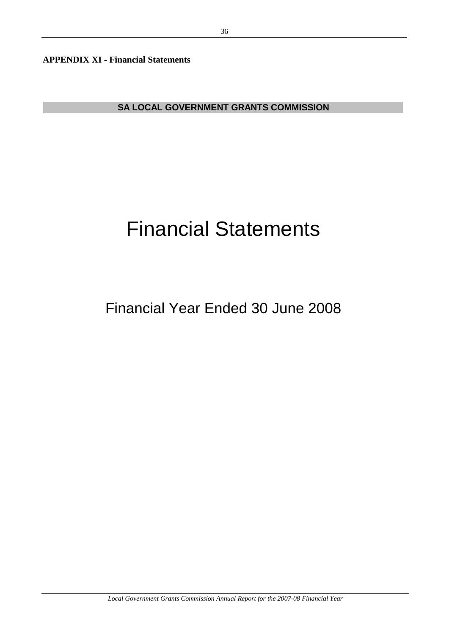**APPENDIX XI - Financial Statements** 

**SA LOCAL GOVERNMENT GRANTS COMMISSION**

# Financial Statements

# Financial Year Ended 30 June 2008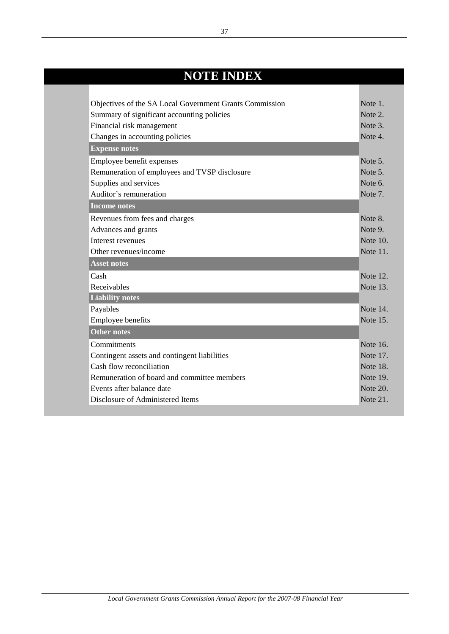# **NOTE INDEX**

| Objectives of the SA Local Government Grants Commission | Note 1.         |
|---------------------------------------------------------|-----------------|
| Summary of significant accounting policies              | Note 2.         |
| Financial risk management                               | Note 3.         |
| Changes in accounting policies                          | Note 4.         |
| <b>Expense notes</b>                                    |                 |
| Employee benefit expenses                               | Note 5.         |
| Remuneration of employees and TVSP disclosure           | Note 5.         |
| Supplies and services                                   | Note 6.         |
| Auditor's remuneration                                  | Note 7.         |
| <b>Income notes</b>                                     |                 |
| Revenues from fees and charges                          | Note 8.         |
| Advances and grants                                     | Note 9.         |
| Interest revenues                                       | Note 10.        |
| Other revenues/income                                   | Note 11.        |
| <b>Asset notes</b>                                      |                 |
| Cash                                                    | Note 12.        |
| Receivables                                             | Note 13.        |
| <b>Liability notes</b>                                  |                 |
| Payables                                                | Note 14.        |
| Employee benefits                                       | Note 15.        |
| <b>Other notes</b>                                      |                 |
| Commitments                                             | Note 16.        |
| Contingent assets and contingent liabilities            | Note 17.        |
| Cash flow reconciliation                                | <b>Note 18.</b> |
| Remuneration of board and committee members             | Note 19.        |
| Events after balance date                               | Note 20.        |
| Disclosure of Administered Items                        | Note 21.        |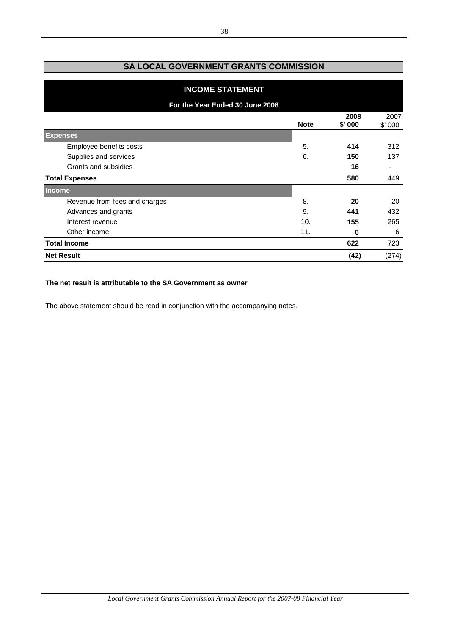# **SA LOCAL GOVERNMENT GRANTS COMMISSION**

| <b>INCOME STATEMENT</b>         |             |                |                |
|---------------------------------|-------------|----------------|----------------|
| For the Year Ended 30 June 2008 |             |                |                |
|                                 | <b>Note</b> | 2008<br>\$'000 | 2007<br>\$'000 |
| <b>Expenses</b>                 |             |                |                |
| Employee benefits costs         | 5.          | 414            | 312            |
| Supplies and services           | 6.          | 150            | 137            |
| Grants and subsidies            |             | 16             |                |
| <b>Total Expenses</b>           |             | 580            | 449            |
| <b>Income</b>                   |             |                |                |
| Revenue from fees and charges   | 8.          | 20             | 20             |
| Advances and grants             | 9.          | 441            | 432            |
| Interest revenue                | 10.         | 155            | 265            |
| Other income                    | 11.         | 6              | 6              |
| <b>Total Income</b>             |             | 622            | 723            |
| <b>Net Result</b>               |             | (42)           | (274)          |

## **The net result is attributable to the SA Government as owner**

The above statement should be read in conjunction with the accompanying notes.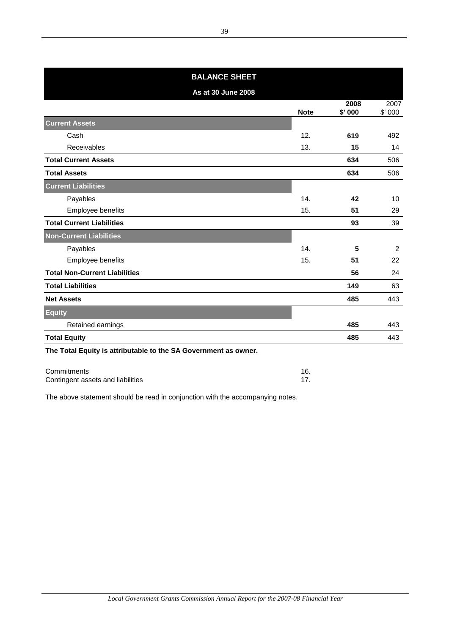| <b>BALANCE SHEET</b>                                            |             |                 |                |  |
|-----------------------------------------------------------------|-------------|-----------------|----------------|--|
| As at 30 June 2008                                              |             |                 |                |  |
|                                                                 | <b>Note</b> | 2008<br>\$' 000 | 2007<br>\$'000 |  |
| <b>Current Assets</b>                                           |             |                 |                |  |
| Cash                                                            | 12.         | 619             | 492            |  |
| <b>Receivables</b>                                              | 13.         | 15              | 14             |  |
| <b>Total Current Assets</b>                                     |             | 634             | 506            |  |
| <b>Total Assets</b>                                             |             | 634             | 506            |  |
| <b>Current Liabilities</b>                                      |             |                 |                |  |
| Payables                                                        | 14.         | 42              | 10             |  |
| Employee benefits                                               | 15.         | 51              | 29             |  |
| <b>Total Current Liabilities</b>                                |             | 93              | 39             |  |
| <b>Non-Current Liabilities</b>                                  |             |                 |                |  |
| Payables                                                        | 14.         | 5               | 2              |  |
| Employee benefits                                               | 15.         | 51              | 22             |  |
| <b>Total Non-Current Liabilities</b>                            |             | 56              | 24             |  |
| <b>Total Liabilities</b>                                        |             | 149             | 63             |  |
| <b>Net Assets</b>                                               |             | 485             | 443            |  |
| <b>Equity</b>                                                   |             |                 |                |  |
| Retained earnings                                               |             | 485             | 443            |  |
| <b>Total Equity</b>                                             |             | 485             | 443            |  |
| The Total Equity is attributable to the SA Government as owner. |             |                 |                |  |

| Commitments                       |  |
|-----------------------------------|--|
| Contingent assets and liabilities |  |

The above statement should be read in conjunction with the accompanying notes.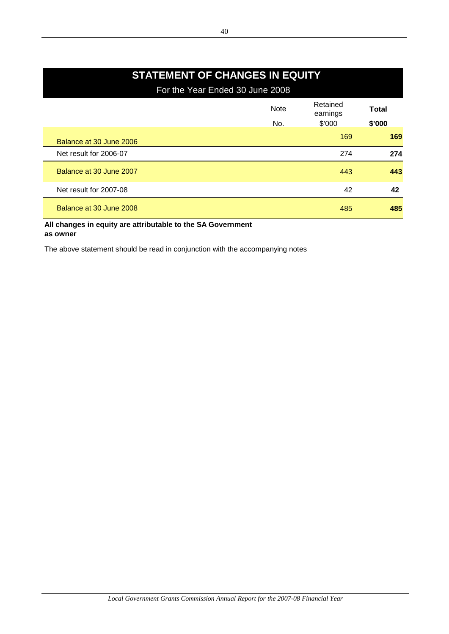# **STATEMENT OF CHANGES IN EQUITY**

For the Year Ended 30 June 2008

|                         | <b>Note</b><br>No. | Retained<br>earnings<br>\$'000 | Total<br>\$'000 |
|-------------------------|--------------------|--------------------------------|-----------------|
| Balance at 30 June 2006 |                    | 169                            | 169             |
| Net result for 2006-07  |                    | 274                            | 274             |
| Balance at 30 June 2007 |                    | 443                            | 443             |
| Net result for 2007-08  |                    | 42                             | 42              |
| Balance at 30 June 2008 |                    | 485                            | 485             |

**All changes in equity are attributable to the SA Government as owner**

The above statement should be read in conjunction with the accompanying notes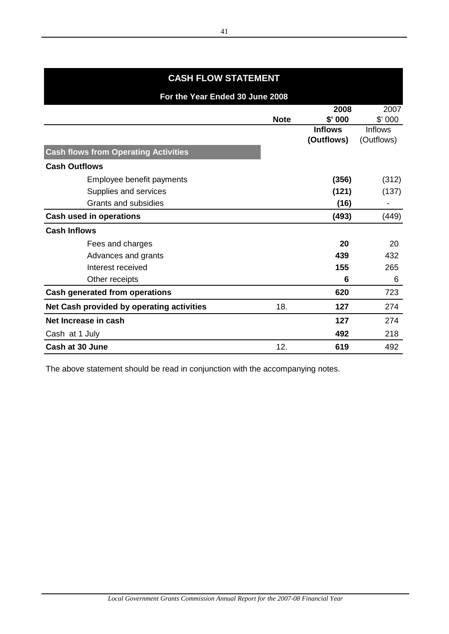# **2008** 2007 **Note \$' 000** \$' 000 **Inflows** Inflows **(Outflows)** (Outflows) **Cash flows from Operating Activities Cash Outflows** Employee benefit payments **(356)** (312) Supplies and services (121) (137) Grants and subsidies **(16)** and subsidies **(16)** and subsidies **and subsidies f Cash used in operations (493)** (449) **Cash Inflows** Fees and charges **20** 20 Advances and grants **439** 432 Interest received **155** 265 Other receipts 6 6 6 6 6 **6** 6 **6 Cash generated from operations 620**  723 **Net Cash provided by operating activities** 18. 127 274 **Net Increase in cash 127** 274 Cash at 1 July **492** 218 **Cash at 30 June** 12. **619** 492 **For the Year Ended 30 June 2008 CASH FLOW STATEMENT**

The above statement should be read in conjunction with the accompanying notes.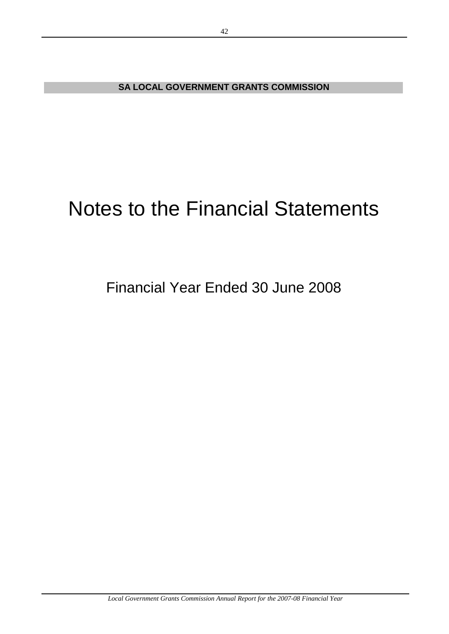**SA LOCAL GOVERNMENT GRANTS COMMISSION**

# Notes to the Financial Statements

# Financial Year Ended 30 June 2008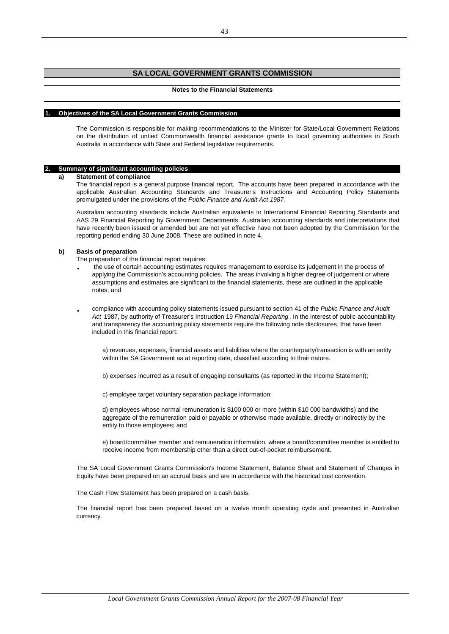# **SA LOCAL GOVERNMENT GRANTS COMMISSION**

#### **Notes to the Financial Statements**

#### **1. Objectives of the SA Local Government Grants Commission**

The Commission is responsible for making recommendations to the Minister for State/Local Government Relations on the distribution of untied Commonwealth financial assistance grants to local governing authorities in South Australia in accordance with State and Federal legislative requirements.

#### **2. Summary of significant accounting policies**

#### **a) Statement of compliance**

The financial report is a general purpose financial report. The accounts have been prepared in accordance with the applicable Australian Accounting Standards and Treasurer's Instructions and Accounting Policy Statements promulgated under the provisions of the *Public Finance and Audit Act 1987.*

Australian accounting standards include Australian equivalents to International Financial Reporting Standards and AAS 29 Financial Reporting by Government Departments. Australian accounting standards and interpretations that have recently been issued or amended but are not yet effective have not been adopted by the Commission for the reporting period ending 30 June 2008. These are outlined in note 4.

#### **b) Basis of preparation**

The preparation of the financial report requires:

- **·** the use of certain accounting estimates requires management to exercise its judgement in the process of applying the Commission's accounting policies. The areas involving a higher degree of judgement or where assumptions and estimates are significant to the financial statements, these are outlined in the applicable notes; and
- **·** compliance with accounting policy statements issued pursuant to section 41 of the *Public Finance and Audit Act* 1987, by authority of Treasurer's Instruction 19 *Financial Reporting* . In the interest of public accountability and transparency the accounting policy statements require the following note disclosures, that have been included in this financial report:

a) revenues, expenses, financial assets and liabilities where the counterparty/transaction is with an entity within the SA Government as at reporting date, classified according to their nature.

b) expenses incurred as a result of engaging consultants (as reported in the Income Statement);

c) employee target voluntary separation package information;

d) employees whose normal remuneration is \$100 000 or more (within \$10 000 bandwidths) and the aggregate of the remuneration paid or payable or otherwise made available, directly or indirectly by the entity to those employees; and

e) board/committee member and remuneration information, where a board/committee member is entitled to receive income from membership other than a direct out-of-pocket reimbursement.

The SA Local Government Grants Commission's Income Statement, Balance Sheet and Statement of Changes in Equity have been prepared on an accrual basis and are in accordance with the historical cost convention.

The Cash Flow Statement has been prepared on a cash basis.

The financial report has been prepared based on a twelve month operating cycle and presented in Australian currency.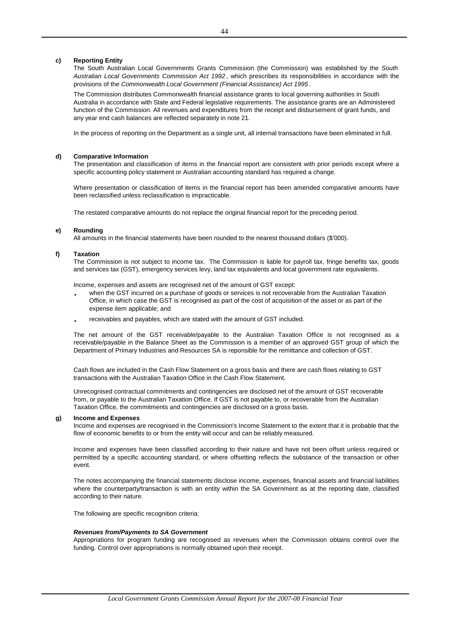#### **c) Reporting Entity**

The South Australian Local Governments Grants Commission (the Commission) was established by the *South Australian Local Governments Commission Act 1992* , which prescribes its responsibilities in accordance with the provisions of the *Commonwealth Local Government (Financial Assistance) Act 1995* .

The Commission distributes Commonwealth financial assistance grants to local governing authorities in South Australia in accordance with State and Federal legislative requirements. The assistance grants are an Administered function of the Commission. All revenues and expenditures from the receipt and disbursement of grant funds, and any year end cash balances are reflected separately in note 21.

In the process of reporting on the Department as a single unit, all internal transactions have been eliminated in full.

#### **d) Comparative Information**

The presentation and classification of items in the financial report are consistent with prior periods except where a specific accounting policy statement or Australian accounting standard has required a change.

Where presentation or classification of items in the financial report has been amended comparative amounts have been reclassified unless reclassification is impracticable.

The restated comparative amounts do not replace the original financial report for the preceding period.

#### **e) Rounding**

All amounts in the financial statements have been rounded to the nearest thousand dollars (\$'000).

#### **f) Taxation**

The Commission is not subject to income tax. The Commission is liable for payroll tax, fringe benefits tax, goods and services tax (GST), emergency services levy, land tax equivalents and local government rate equivalents.

Income, expenses and assets are recognised net of the amount of GST except:

- **·** when the GST incurred on a purchase of goods or services is not recoverable from the Australian Taxation Office, in which case the GST is recognised as part of the cost of acquisition of the asset or as part of the expense item applicable; and
- **·** receivables and payables, which are stated with the amount of GST included.

The net amount of the GST receivable/payable to the Australian Taxation Office is not recognised as a receivable/payable in the Balance Sheet as the Commission is a member of an approved GST group of which the Department of Primary Industries and Resources SA is reponsible for the remittance and collection of GST.

Cash flows are included in the Cash Flow Statement on a gross basis and there are cash flows relating to GST transactions with the Australian Taxation Office in the Cash Flow Statement.

Unrecognised contractual commitments and contingencies are disclosed net of the amount of GST recoverable from, or payable to the Australian Taxation Office. If GST is not payable to, or recoverable from the Australian Taxation Office, the commitments and contingencies are disclosed on a gross basis.

#### **g) Income and Expenses**

Income and expenses are recognised in the Commission's Income Statement to the extent that it is probable that the flow of economic benefits to or from the entity will occur and can be reliably measured.

Income and expenses have been classified according to their nature and have not been offset unless required or permitted by a specific accounting standard, or where offsetting reflects the substance of the transaction or other event.

The notes accompanying the financial statements disclose income, expenses, financial assets and financial liabilities where the counterparty/transaction is with an entity within the SA Government as at the reporting date, classified according to their nature.

The following are specific recognition criteria:

#### *Revenues from/Payments to SA Government*

Appropriations for program funding are recognised as revenues when the Commission obtains control over the funding. Control over appropriations is normally obtained upon their receipt.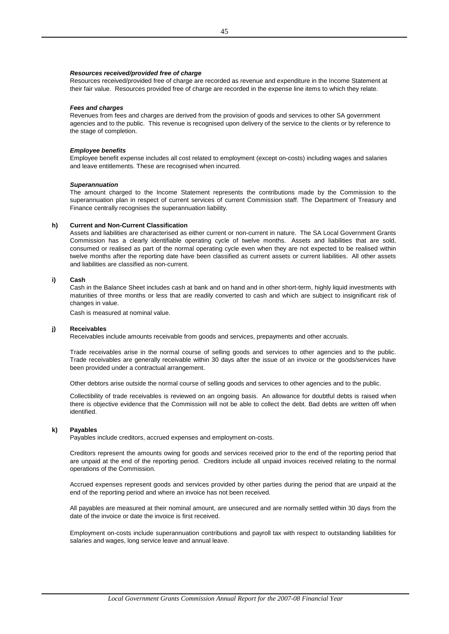#### *Resources received/provided free of charge*

Resources received/provided free of charge are recorded as revenue and expenditure in the Income Statement at their fair value. Resources provided free of charge are recorded in the expense line items to which they relate.

#### *Fees and charges*

Revenues from fees and charges are derived from the provision of goods and services to other SA government agencies and to the public. This revenue is recognised upon delivery of the service to the clients or by reference to the stage of completion.

#### *Employee benefits*

Employee benefit expense includes all cost related to employment (except on-costs) including wages and salaries and leave entitlements. These are recognised when incurred.

#### *Superannuation*

The amount charged to the Income Statement represents the contributions made by the Commission to the superannuation plan in respect of current services of current Commission staff. The Department of Treasury and Finance centrally recognises the superannuation liability.

#### **h) Current and Non-Current Classification**

Assets and liabilities are characterised as either current or non-current in nature. The SA Local Government Grants Commission has a clearly identifiable operating cycle of twelve months. Assets and liabilities that are sold, consumed or realised as part of the normal operating cycle even when they are not expected to be realised within twelve months after the reporting date have been classified as current assets or current liabilities. All other assets and liabilities are classified as non-current.

#### **i) Cash**

Cash in the Balance Sheet includes cash at bank and on hand and in other short-term, highly liquid investments with maturities of three months or less that are readily converted to cash and which are subject to insignificant risk of changes in value.

Cash is measured at nominal value.

#### **j) Receivables**

Receivables include amounts receivable from goods and services, prepayments and other accruals.

Trade receivables arise in the normal course of selling goods and services to other agencies and to the public. Trade receivables are generally receivable within 30 days after the issue of an invoice or the goods/services have been provided under a contractual arrangement.

Other debtors arise outside the normal course of selling goods and services to other agencies and to the public.

Collectibility of trade receivables is reviewed on an ongoing basis. An allowance for doubtful debts is raised when there is objective evidence that the Commission will not be able to collect the debt. Bad debts are written off when identified.

#### **k) Payables**

Payables include creditors, accrued expenses and employment on-costs.

Creditors represent the amounts owing for goods and services received prior to the end of the reporting period that are unpaid at the end of the reporting period. Creditors include all unpaid invoices received relating to the normal operations of the Commission.

Accrued expenses represent goods and services provided by other parties during the period that are unpaid at the end of the reporting period and where an invoice has not been received.

All payables are measured at their nominal amount, are unsecured and are normally settled within 30 days from the date of the invoice or date the invoice is first received.

Employment on-costs include superannuation contributions and payroll tax with respect to outstanding liabilities for salaries and wages, long service leave and annual leave.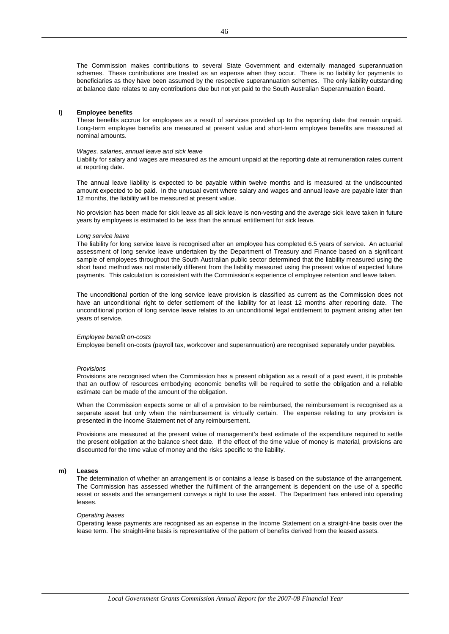The Commission makes contributions to several State Government and externally managed superannuation schemes. These contributions are treated as an expense when they occur. There is no liability for payments to beneficiaries as they have been assumed by the respective superannuation schemes. The only liability outstanding at balance date relates to any contributions due but not yet paid to the South Australian Superannuation Board.

#### **l) Employee benefits**

These benefits accrue for employees as a result of services provided up to the reporting date that remain unpaid. Long-term employee benefits are measured at present value and short-term employee benefits are measured at nominal amounts.

#### *Wages, salaries, annual leave and sick leave*

Liability for salary and wages are measured as the amount unpaid at the reporting date at remuneration rates current at reporting date.

The annual leave liability is expected to be payable within twelve months and is measured at the undiscounted amount expected to be paid. In the unusual event where salary and wages and annual leave are payable later than 12 months, the liability will be measured at present value.

No provision has been made for sick leave as all sick leave is non-vesting and the average sick leave taken in future years by employees is estimated to be less than the annual entitlement for sick leave.

#### *Long service leave*

The liability for long service leave is recognised after an employee has completed 6.5 years of service. An actuarial assessment of long service leave undertaken by the Department of Treasury and Finance based on a significant sample of employees throughout the South Australian public sector determined that the liability measured using the short hand method was not materially different from the liability measured using the present value of expected future payments. This calculation is consistent with the Commission's experience of employee retention and leave taken.

The unconditional portion of the long service leave provision is classified as current as the Commission does not have an unconditional right to defer settlement of the liability for at least 12 months after reporting date. The unconditional portion of long service leave relates to an unconditional legal entitlement to payment arising after ten years of service.

#### *Employee benefit on-costs*

Employee benefit on-costs (payroll tax, workcover and superannuation) are recognised separately under payables.

#### *Provisions*

Provisions are recognised when the Commission has a present obligation as a result of a past event, it is probable that an outflow of resources embodying economic benefits will be required to settle the obligation and a reliable estimate can be made of the amount of the obligation.

When the Commission expects some or all of a provision to be reimbursed, the reimbursement is recognised as a separate asset but only when the reimbursement is virtually certain. The expense relating to any provision is presented in the Income Statement net of any reimbursement.

Provisions are measured at the present value of management's best estimate of the expenditure required to settle the present obligation at the balance sheet date. If the effect of the time value of money is material, provisions are discounted for the time value of money and the risks specific to the liability.

#### **m) Leases**

The determination of whether an arrangement is or contains a lease is based on the substance of the arrangement. The Commission has assessed whether the fulfilment of the arrangement is dependent on the use of a specific asset or assets and the arrangement conveys a right to use the asset. The Department has entered into operating leases.

#### *Operating leases*

Operating lease payments are recognised as an expense in the Income Statement on a straight-line basis over the lease term. The straight-line basis is representative of the pattern of benefits derived from the leased assets.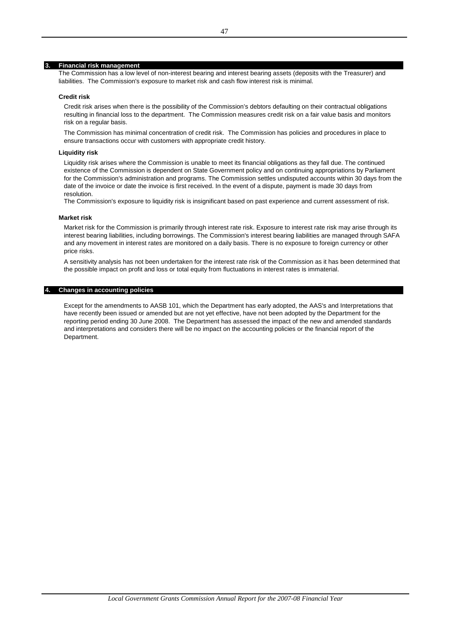#### **3. Financial risk management**

The Commission has a low level of non-interest bearing and interest bearing assets (deposits with the Treasurer) and liabilities. The Commission's exposure to market risk and cash flow interest risk is minimal.

#### **Credit risk**

Credit risk arises when there is the possibility of the Commission's debtors defaulting on their contractual obligations resulting in financial loss to the department. The Commission measures credit risk on a fair value basis and monitors risk on a regular basis.

The Commission has minimal concentration of credit risk. The Commission has policies and procedures in place to ensure transactions occur with customers with appropriate credit history.

#### **Liquidity risk**

Liquidity risk arises where the Commission is unable to meet its financial obligations as they fall due. The continued existence of the Commission is dependent on State Government policy and on continuing appropriations by Parliament for the Commission's administration and programs. The Commission settles undisputed accounts within 30 days from the date of the invoice or date the invoice is first received. In the event of a dispute, payment is made 30 days from resolution.

The Commission's exposure to liquidity risk is insignificant based on past experience and current assessment of risk.

#### **Market risk**

Market risk for the Commission is primarily through interest rate risk. Exposure to interest rate risk may arise through its interest bearing liabilities, including borrowings. The Commission's interest bearing liabilities are managed through SAFA and any movement in interest rates are monitored on a daily basis. There is no exposure to foreign currency or other price risks.

A sensitivity analysis has not been undertaken for the interest rate risk of the Commission as it has been determined that the possible impact on profit and loss or total equity from fluctuations in interest rates is immaterial.

#### **4. Changes in accounting policies**

Except for the amendments to AASB 101, which the Department has early adopted, the AAS's and Interpretations that have recently been issued or amended but are not yet effective, have not been adopted by the Department for the reporting period ending 30 June 2008. The Department has assessed the impact of the new and amended standards and interpretations and considers there will be no impact on the accounting policies or the financial report of the Department.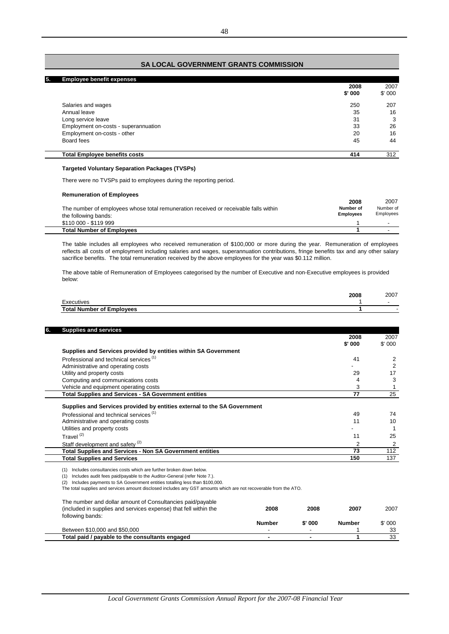# **SA LOCAL GOVERNMENT GRANTS COMMISSION**

| 5. | <b>Employee benefit expenses</b>     |        |        |
|----|--------------------------------------|--------|--------|
|    |                                      | 2008   | 2007   |
|    |                                      | \$'000 | \$'000 |
|    | Salaries and wages                   | 250    | 207    |
|    | Annual leave                         | 35     | 16     |
|    | Long service leave                   | 31     | 3      |
|    | Employment on-costs - superannuation | 33     | 26     |
|    | Employment on-costs - other          | 20     | 16     |
|    | Board fees                           | 45     | 44     |
|    | <b>Total Employee benefits costs</b> | 414    | 312    |

#### **Targeted Voluntary Separation Packages (TVSPs)**

There were no TVSPs paid to employees during the reporting period.

#### **Remuneration of Employees**

|                                                                                      | 2008             | 2007      |
|--------------------------------------------------------------------------------------|------------------|-----------|
| The number of employees whose total remuneration received or receivable falls within | Number of        | Number of |
| the following bands:                                                                 | <b>Employees</b> | Employees |
| \$110 000 - \$119 999                                                                |                  |           |
| <b>Total Number of Employees</b>                                                     |                  | -         |

The table includes all employees who received remuneration of \$100,000 or more during the year. Remuneration of employees reflects all costs of employment including salaries and wages, superannuation contributions, fringe benefits tax and any other salary sacrifice benefits. The total remuneration received by the above employees for the year was \$0.112 million.

The above table of Remuneration of Employees categorised by the number of Executive and non-Executive employees is provided below:

|                                  | 2008 | 2007 |
|----------------------------------|------|------|
| cutives                          |      |      |
| <b>Total Number of Employees</b> |      |      |

|                                                                          | 2008    | 2007   |
|--------------------------------------------------------------------------|---------|--------|
|                                                                          | \$' 000 | \$'000 |
| Supplies and Services provided by entities within SA Government          |         |        |
| Professional and technical services <sup>(1)</sup>                       | 41      |        |
| Administrative and operating costs                                       |         |        |
| Utility and property costs                                               | 29      |        |
| Computing and communications costs                                       |         |        |
| Vehicle and equipment operating costs                                    | 3       |        |
| Total Supplies and Services - SA Government entities                     | 77      | 25     |
| Supplies and Services provided by entities external to the SA Government |         |        |
| Professional and technical services <sup>(1)</sup>                       | 49      | 74     |
| Administrative and operating costs                                       | 11      | 10     |
| Utilities and property costs                                             |         |        |
| Travel $(2)$                                                             | 11      | 25     |
| Staff development and safety <sup>(2)</sup>                              | 2       |        |
| <b>Total Supplies and Services - Non SA Government entities</b>          | 73      | 112    |
|                                                                          | 150     | 137    |

(1) Includes consultancies costs which are further broken down below.

(1) Includes audit fees paid/payable to the Auditor-General (refer Note 7.).

(2) Includes payments to SA Government entities totalling less than \$100,000.

The total supplies and services amount disclosed includes any GST amounts which are not recoverable from the ATO.

| The number and dollar amount of Consultancies paid/payable<br>(included in supplies and services expense) that fell within the<br>following bands: | 2008                     | 2008     | 2007          | 2007   |
|----------------------------------------------------------------------------------------------------------------------------------------------------|--------------------------|----------|---------------|--------|
|                                                                                                                                                    | <b>Number</b>            | $$'$ 000 | <b>Number</b> | \$'000 |
| Between \$10,000 and \$50,000                                                                                                                      | $\overline{\phantom{a}}$ | -        |               | 33     |
| Total paid / payable to the consultants engaged                                                                                                    | $\blacksquare$           |          |               | 33     |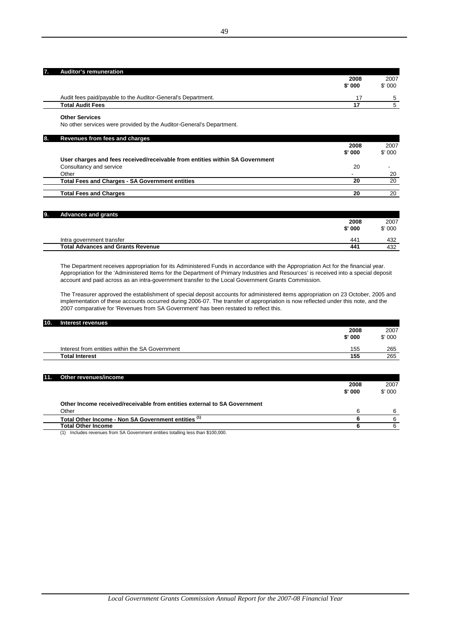| 7. . | Auditor's remuneration                                       |        |        |
|------|--------------------------------------------------------------|--------|--------|
|      |                                                              | 2008   | 2007   |
|      |                                                              | \$'000 | \$'000 |
|      | Audit fees paid/payable to the Auditor-General's Department. | 17     |        |
|      | <b>Total Audit Fees</b>                                      |        |        |
|      |                                                              |        |        |

**Other Services**

No other services were provided by the Auditor-General's Department.

| 8. | Revenues from fees and charges                                               |        |        |
|----|------------------------------------------------------------------------------|--------|--------|
|    |                                                                              | 2008   | 2007   |
|    |                                                                              | \$'000 | \$'000 |
|    | User charges and fees received/receivable from entities within SA Government |        |        |
|    | Consultancy and service                                                      | 20     |        |
|    | Other                                                                        |        | 20     |
|    | <b>Total Fees and Charges - SA Government entities</b>                       | 20     | 20     |
|    |                                                                              |        |        |
|    | <b>Total Fees and Charges</b>                                                | 20     | 20     |

| 19. | <b>Advances and grants</b>               |                 |        |
|-----|------------------------------------------|-----------------|--------|
|     |                                          | 2008            | 2007   |
|     |                                          | \$'000          | \$'000 |
|     | Intra government transfer                | 44 <sup>′</sup> | 432    |
|     | <b>Total Advances and Grants Revenue</b> | 441             | 432    |

The Department receives appropriation for its Administered Funds in accordance with the Appropriation Act for the financial year. Appropriation for the 'Administered Items for the Department of Primary Industries and Resources' is received into a special deposit account and paid across as an intra-government transfer to the Local Government Grants Commission.

The Treasurer approved the establishment of special deposit accounts for administered items appropriation on 23 October, 2005 and implementation of these accounts occurred during 2006-07. The transfer of appropriation is now reflected under this note, and the 2007 comparative for 'Revenues from SA Government' has been restated to reflect this.

| <b>10.</b> | Interest revenues                               |        |        |
|------------|-------------------------------------------------|--------|--------|
|            |                                                 | 2008   | 2007   |
|            |                                                 | \$'000 | \$'000 |
|            | Interest from entities within the SA Government | 155    | 265    |
|            | <b>Total Interest</b>                           | 155    | 265    |
|            |                                                 |        |        |

| <b>KK</b> | Other revenues/income                                                    |        |        |
|-----------|--------------------------------------------------------------------------|--------|--------|
|           |                                                                          | 2008   | 2007   |
|           |                                                                          | \$'000 | \$'000 |
|           | Other Income received/receivable from entities external to SA Government |        |        |
|           | Other                                                                    | ิค     |        |
|           | Total Other Income - Non SA Government entities (1)                      |        |        |
|           | <b>Total Other Income</b>                                                |        |        |

(1) Includes revenues from SA Government entities totalling less than \$100,000.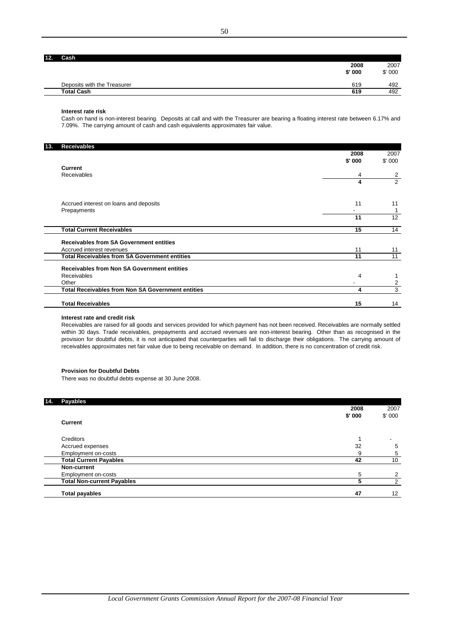$\overline{a}$ 

| 2. | Cash                        |          |        |
|----|-----------------------------|----------|--------|
|    |                             | 2008     | 2007   |
|    |                             | $$'$ 000 | \$'000 |
|    | Deposits with the Treasurer | 619      | 492    |
|    | <b>Total Cash</b>           | 619      | 492    |
|    |                             |          |        |

#### **Interest rate risk**

Cash on hand is non-interest bearing. Deposits at call and with the Treasurer are bearing a floating interest rate between 6.17% and 7.09%. The carrying amount of cash and cash equivalents approximates fair value.

| 13. | <b>Receivables</b>                                       |        |                |
|-----|----------------------------------------------------------|--------|----------------|
|     |                                                          | 2008   | 2007           |
|     |                                                          | \$'000 | \$'000         |
|     | <b>Current</b>                                           |        |                |
|     | Receivables                                              | 4      | 2              |
|     |                                                          | 4      | $\overline{2}$ |
|     |                                                          |        |                |
|     | Accrued interest on loans and deposits                   | 11     | 11             |
|     | Prepayments                                              |        |                |
|     |                                                          | 11     | 12             |
|     | <b>Total Current Receivables</b>                         | 15     | 14             |
|     | <b>Receivables from SA Government entities</b>           |        |                |
|     | Accrued interest revenues                                | 11     | 11             |
|     | <b>Total Receivables from SA Government entities</b>     | 11     | 11             |
|     | <b>Receivables from Non SA Government entities</b>       |        |                |
|     | Receivables                                              | 4      |                |
|     | Other                                                    |        | 2              |
|     | <b>Total Receivables from Non SA Government entities</b> | 4      | 3              |
|     | <b>Total Receivables</b>                                 | 15     | 14             |

#### **Interest rate and credit risk**

Receivables are raised for all goods and services provided for which payment has not been received. Receivables are normally settled within 30 days. Trade receivables, prepayments and accrued revenues are non-interest bearing. Other than as recognised in the provision for doubtful debts, it is not anticipated that counterparties will fail to discharge their obligations. The carrying amount of receivables approximates net fair value due to being receivable on demand. In addition, there is no concentration of credit risk.

#### **Provision for Doubtful Debts**

There was no doubtful debts expense at 30 June 2008.

| 14. | <b>Payables</b>                   |        |        |
|-----|-----------------------------------|--------|--------|
|     |                                   | 2008   | 2007   |
|     |                                   | \$'000 | \$'000 |
|     | Current                           |        |        |
|     | Creditors                         |        | -      |
|     | Accrued expenses                  | 32     | 5      |
|     | Employment on-costs               | 9      | 5      |
|     | <b>Total Current Payables</b>     | 42     | 10     |
|     | Non-current                       |        |        |
|     | Employment on-costs               | 5      | ◠      |
|     | <b>Total Non-current Payables</b> | 5      | 2      |
|     | <b>Total payables</b>             | 47     | 12     |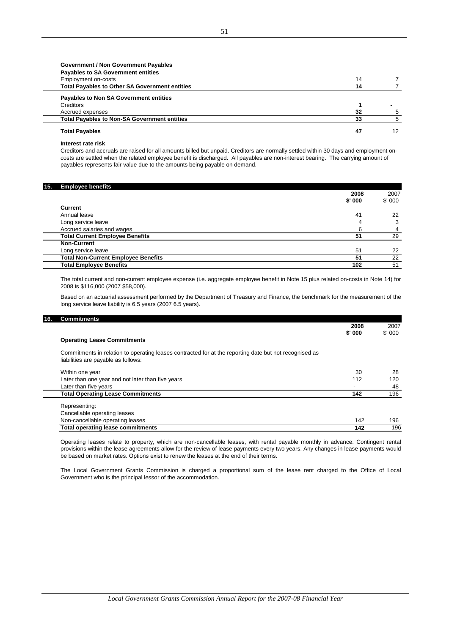# **Government / Non Government Payables Payables to SA Government entities**

| Employment on-costs                                   | 14 |    |
|-------------------------------------------------------|----|----|
| <b>Total Payables to Other SA Government entities</b> | 14 |    |
| Payables to Non SA Government entities                |    |    |
| Creditors                                             |    |    |
| Accrued expenses                                      | 32 |    |
| <b>Total Payables to Non-SA Government entities</b>   | 33 |    |
| <b>Total Payables</b>                                 | 47 | 12 |

#### **Interest rate risk**

Creditors and accruals are raised for all amounts billed but unpaid. Creditors are normally settled within 30 days and employment oncosts are settled when the related employee benefit is discharged. All payables are non-interest bearing. The carrying amount of payables represents fair value due to the amounts being payable on demand.

#### **15. Employee benefits 2008** 2007 **\$' 000** \$' 000 **Current** Annual leave 22 41 Long service leave 3 4 Accrued salaries and wages **4 6 6 4 6 6 6 4 Total Current Employee Benefits 51** 29 **Non-Current** Long service leave 22 Service 1 and 22 Service 1 and 22 Service 1 and 22 Service 1 and 22 Service 1 and 22 Service 1 and 22 Service 1 and 22 Service 1 and 22 Service 1 and 22 Service 1 and 22 Service 1 and 22 Service 1 and **Total Non-Current Employee Benefits 51** 22 **Total Employee Benefits** 102 51

The total current and non-current employee expense (i.e. aggregate employee benefit in Note 15 plus related on-costs in Note 14) for 2008 is \$116,000 (2007 \$58,000).

Based on an actuarial assessment performed by the Department of Treasury and Finance, the benchmark for the measurement of the long service leave liability is 6.5 years (2007 6.5 years).

# **16. Commitments**

|                                                                                                                                               | 2008                     | 2007   |
|-----------------------------------------------------------------------------------------------------------------------------------------------|--------------------------|--------|
|                                                                                                                                               | \$'000                   | \$'000 |
| <b>Operating Lease Commitments</b>                                                                                                            |                          |        |
| Commitments in relation to operating leases contracted for at the reporting date but not recognised as<br>liabilities are payable as follows: |                          |        |
| Within one year                                                                                                                               | 30                       | 28     |
| Later than one year and not later than five years                                                                                             | 112                      | 120    |
| Later than five years                                                                                                                         | $\overline{\phantom{0}}$ | 48     |
| <b>Total Operating Lease Commitments</b>                                                                                                      | 142                      | 196    |
| Representing:                                                                                                                                 |                          |        |
| Cancellable operating leases                                                                                                                  |                          |        |
| Non-cancellable operating leases                                                                                                              | 142                      | 196    |
| <b>Total operating lease commitments</b>                                                                                                      | 142                      | 196    |

Operating leases relate to property, which are non-cancellable leases, with rental payable monthly in advance. Contingent rental provisions within the lease agreements allow for the review of lease payments every two years. Any changes in lease payments would be based on market rates. Options exist to renew the leases at the end of their terms.

The Local Government Grants Commission is charged a proportional sum of the lease rent charged to the Office of Local Government who is the principal lessor of the accommodation.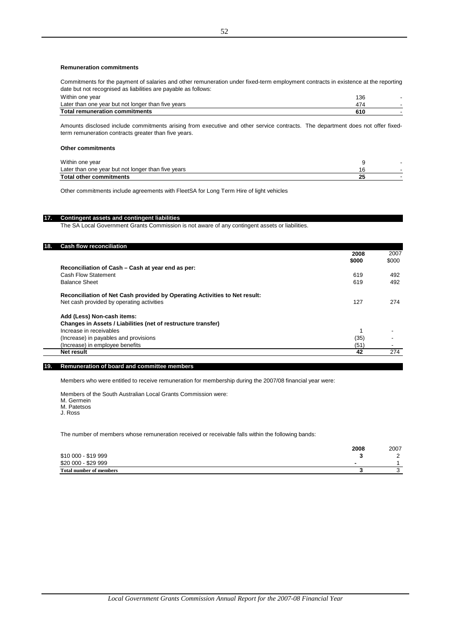#### **Remuneration commitments**

Commitments for the payment of salaries and other remuneration under fixed-term employment contracts in existence at the reporting date but not recognised as liabilities are payable as follows:

| Within one year                                    | 136 |  |
|----------------------------------------------------|-----|--|
| Later than one year but not longer than five years |     |  |
| <b>Total remuneration commitments</b>              |     |  |

Amounts disclosed include commitments arising from executive and other service contracts. The department does not offer fixedterm remuneration contracts greater than five years.

#### **Other commitments**

| Within one year                                    |  |
|----------------------------------------------------|--|
| Later than one year but not longer than five years |  |
| <b>Total other commitments</b>                     |  |

Other commitments include agreements with FleetSA for Long Term Hire of light vehicles

#### **17. Contingent assets and contingent liabilities**

The SA Local Government Grants Commission is not aware of any contingent assets or liabilities.

| 18. | <b>Cash flow reconciliation</b>                                            |       |       |
|-----|----------------------------------------------------------------------------|-------|-------|
|     |                                                                            | 2008  | 2007  |
|     |                                                                            | \$000 | \$000 |
|     | Reconciliation of Cash – Cash at year end as per:                          |       |       |
|     | Cash Flow Statement                                                        | 619   | 492   |
|     | <b>Balance Sheet</b>                                                       | 619   | 492   |
|     | Reconciliation of Net Cash provided by Operating Activities to Net result: |       |       |
|     | Net cash provided by operating activities                                  | 127   | 274   |
|     | Add (Less) Non-cash items:                                                 |       |       |
|     | Changes in Assets / Liabilities (net of restructure transfer)              |       |       |
|     | Increase in receivables                                                    |       |       |
|     | (Increase) in payables and provisions                                      | (35)  |       |
|     | (Increase) in employee benefits                                            | (51)  | -     |
|     | Net result                                                                 | 42    | 274   |
|     |                                                                            |       |       |

#### **19. Remuneration of board and committee members**

Members who were entitled to receive remuneration for membership during the 2007/08 financial year were:

Members of the South Australian Local Grants Commission were:

M. Germein M. Patetsos

J. Ross

The number of members whose remuneration received or receivable falls within the following bands:

|                                | 2008 | 2007 |
|--------------------------------|------|------|
| \$10 000 - \$19 999            |      |      |
| \$20 000 - \$29 999            |      |      |
| <b>Total number of members</b> |      |      |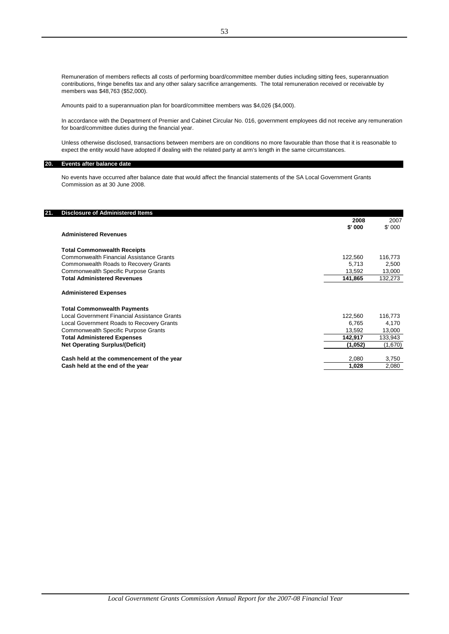Remuneration of members reflects all costs of performing board/committee member duties including sitting fees, superannuation contributions, fringe benefits tax and any other salary sacrifice arrangements. The total remuneration received or receivable by members was \$48,763 (\$52,000).

Amounts paid to a superannuation plan for board/committee members was \$4,026 (\$4,000).

In accordance with the Department of Premier and Cabinet Circular No. 016, government employees did not receive any remuneration for board/committee duties during the financial year.

Unless otherwise disclosed, transactions between members are on conditions no more favourable than those that it is reasonable to expect the entity would have adopted if dealing with the related party at arm's length in the same circumstances.

#### **20. Events after balance date**

No events have occurred after balance date that would affect the financial statements of the SA Local Government Grants Commission as at 30 June 2008.

| <b>Disclosure of Administered Items</b><br>21. |         |         |
|------------------------------------------------|---------|---------|
|                                                | 2008    | 2007    |
|                                                | \$' 000 | \$'000  |
| <b>Administered Revenues</b>                   |         |         |
| <b>Total Commonwealth Receipts</b>             |         |         |
| Commonwealth Financial Assistance Grants       | 122,560 | 116,773 |
| Commonwealth Roads to Recovery Grants          | 5,713   | 2,500   |
| <b>Commonwealth Specific Purpose Grants</b>    | 13,592  | 13,000  |
| <b>Total Administered Revenues</b>             | 141,865 | 132,273 |
| <b>Administered Expenses</b>                   |         |         |
| <b>Total Commonwealth Payments</b>             |         |         |
| Local Government Financial Assistance Grants   | 122,560 | 116,773 |
| Local Government Roads to Recovery Grants      | 6,765   | 4,170   |
| Commonwealth Specific Purpose Grants           | 13,592  | 13,000  |
| <b>Total Administered Expenses</b>             | 142,917 | 133,943 |
| <b>Net Operating Surplus/(Deficit)</b>         | (1,052) | (1,670) |
| Cash held at the commencement of the year      | 2,080   | 3,750   |
| Cash held at the end of the year               | 1,028   | 2,080   |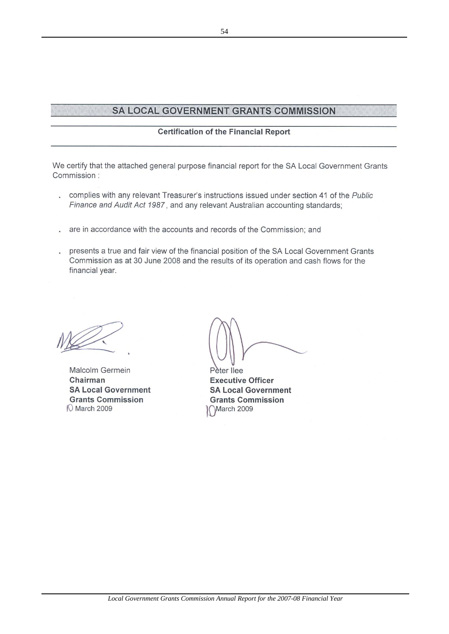# SA LOCAL GOVERNMENT GRANTS COMMISSION

# **Certification of the Financial Report**

We certify that the attached general purpose financial report for the SA Local Government Grants Commission:

- . complies with any relevant Treasurer's instructions issued under section 41 of the Public Finance and Audit Act 1987, and any relevant Australian accounting standards;
- are in accordance with the accounts and records of the Commission; and
- . presents a true and fair view of the financial position of the SA Local Government Grants Commission as at 30 June 2008 and the results of its operation and cash flows for the financial year.

Malcolm Germein Chairman **SA Local Government Grants Commission 10 March 2009** 

Pater Ilee **Executive Officer SA Local Government Grants Commission** March 2009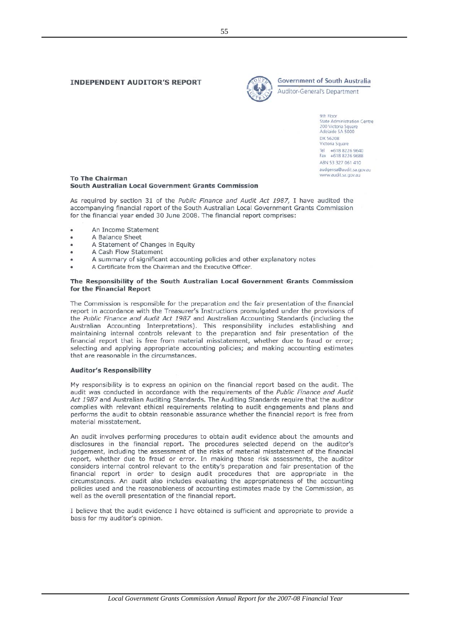#### **INDEPENDENT AUDITOR'S REPORT**



**Government of South Australia** 

Auditor-General's Department

9th Floor **State Administration Centre** 200 Victoria Square DX 56208 Victoria Square Tel +618 8226 9640<br>Fax +618 8226 9688 ABN 53 327 061 410 audgensa@audit.sa.gov.au www.audit.sa.gov.au

#### **To The Chairman** South Australian Local Government Grants Commission

As required by section 31 of the Public Finance and Audit Act 1987, I have audited the accompanying financial report of the South Australian Local Government Grants Commission for the financial year ended 30 June 2008. The financial report comprises:

- An Income Statement
- A Balance Sheet ×
- $\ddot{\phantom{0}}$ A Statement of Changes in Equity
- A Cash Flow Statement  $\bullet$
- A summary of significant accounting policies and other explanatory notes
- A Certificate from the Chairman and the Executive Officer.

#### The Responsibility of the South Australian Local Government Grants Commission for the Financial Report

The Commission is responsible for the preparation and the fair presentation of the financial report in accordance with the Treasurer's Instructions promulgated under the provisions of the Public Finance and Audit Act 1987 and Australian Accounting Standards (including the Australian Accounting Interpretations). This responsibility includes establishing and maintaining internal controls relevant to the preparation and fair presentation of the financial report that is free from material misstatement, whether due to fraud or error; selecting and applying appropriate accounting policies; and making accounting estimates that are reasonable in the circumstances.

#### **Auditor's Responsibility**

My responsibility is to express an opinion on the financial report based on the audit. The audit was conducted in accordance with the requirements of the Public Finance and Audit Act 1987 and Australian Auditing Standards. The Auditing Standards require that the auditor complies with relevant ethical requirements relating to audit engagements and plans and performs the audit to obtain reasonable assurance whether the financial report is free from material misstatement

An audit involves performing procedures to obtain audit evidence about the amounts and disclosures in the financial report. The procedures selected depend on the auditor's judgement, including the assessment of the risks of material misstatement of the financial report, whether due to fraud or error. In making those risk assessments, the auditor considers internal control relevant to the entity's preparation and fair presentation of the financial report in order to design audit procedures that are appropriate in the circumstances. An audit also includes evaluating the appropriateness of the accounting policies used and the reasonableness of accounting estimates made by the Commission, as well as the overall presentation of the financial report.

I believe that the audit evidence I have obtained is sufficient and appropriate to provide a basis for my auditor's opinion.